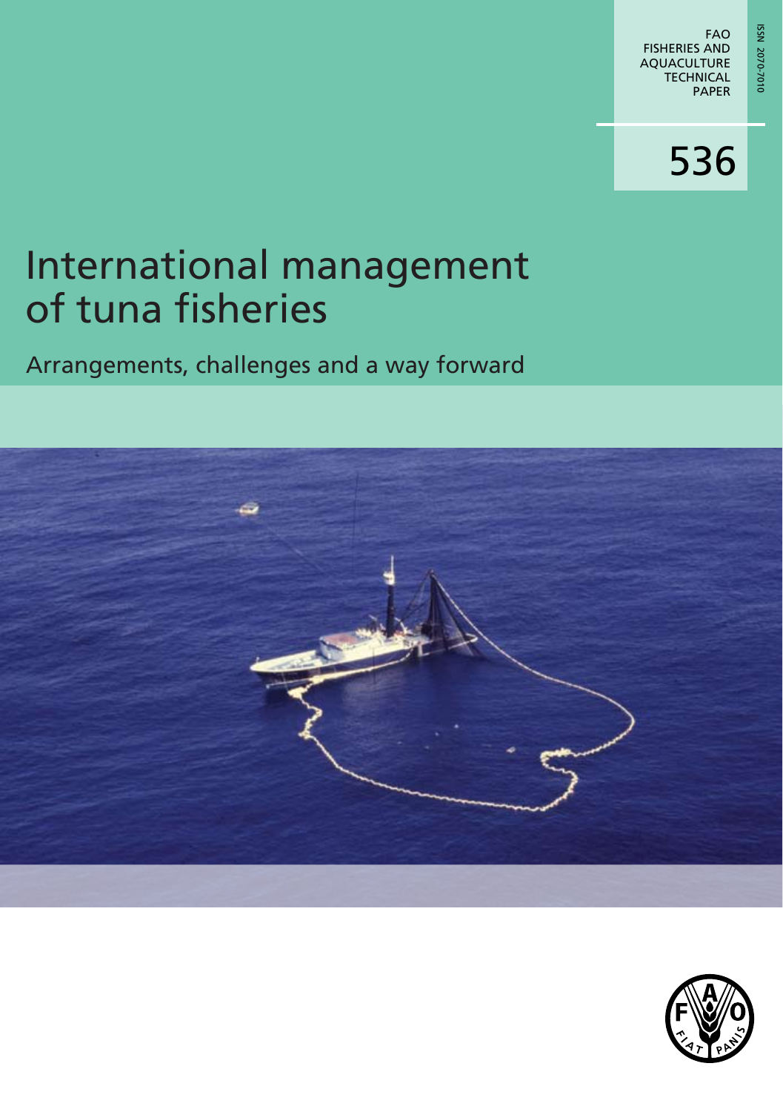# International management of tuna fisheries

Arrangements, challenges and a way forward



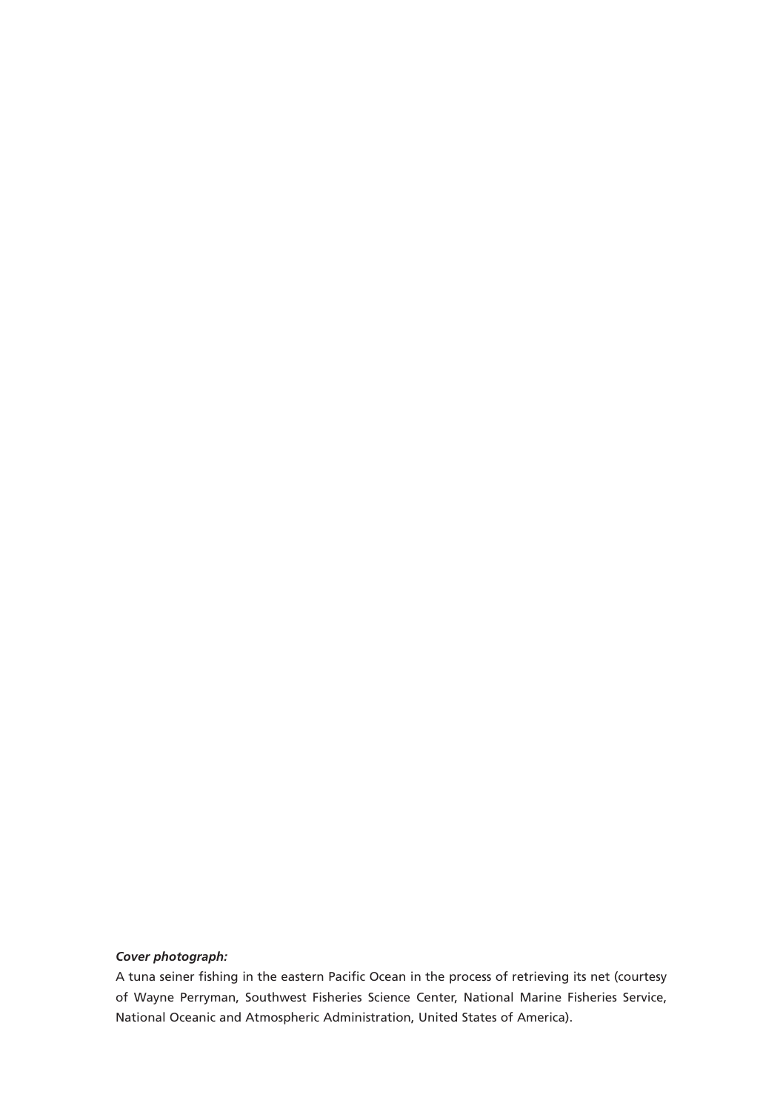#### *Cover photograph:*

A tuna seiner fishing in the eastern Pacific Ocean in the process of retrieving its net (courtesy of Wayne Perryman, Southwest Fisheries Science Center, National Marine Fisheries Service, National Oceanic and Atmospheric Administration, United States of America).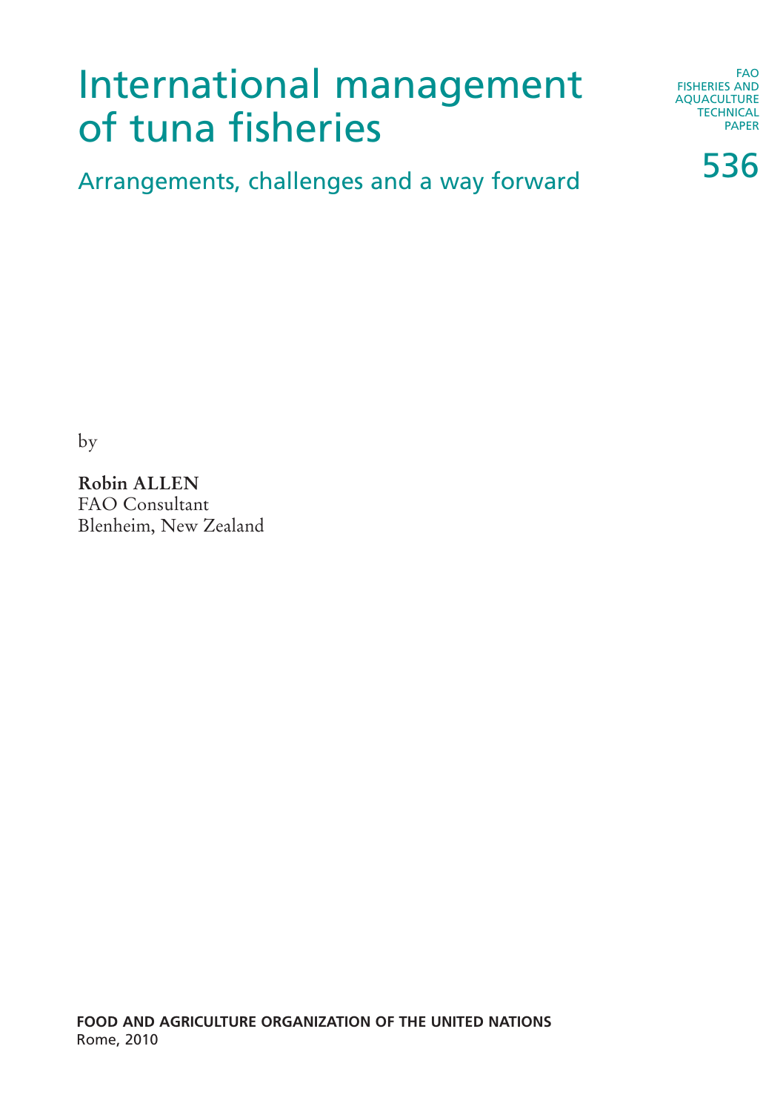# International management of tuna fisheries

FAO FISHERIES AND AQUACULTURE **TECHNICAL** PAPER

536

Arrangements, challenges and a way forward

by

**Robin ALLEN** FAO Consultant Blenheim, New Zealand

**FOOD AND AGRICULTURE ORGANIZATION OF THE UNITED NATIONS** Rome, 2010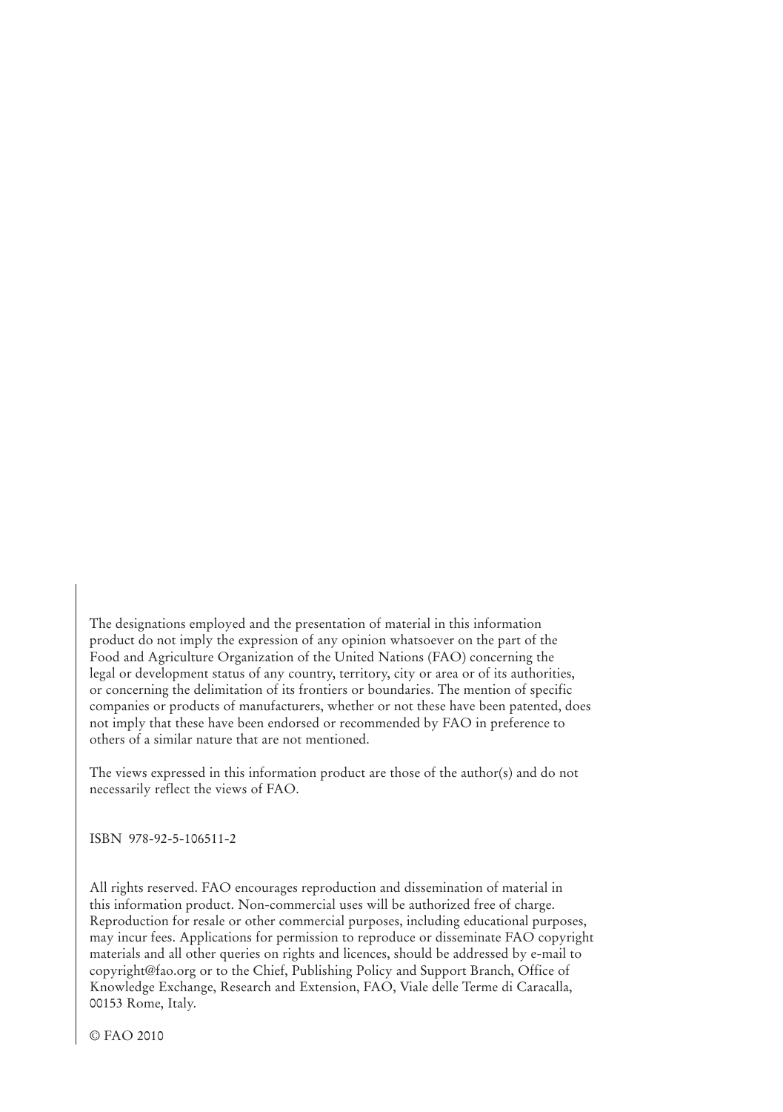The designations employed and the presentation of material in this information product do not imply the expression of any opinion whatsoever on the part of the Food and Agriculture Organization of the United Nations (FAO) concerning the legal or development status of any country, territory, city or area or of its authorities, or concerning the delimitation of its frontiers or boundaries. The mention of specific companies or products of manufacturers, whether or not these have been patented, does not imply that these have been endorsed or recommended by FAO in preference to others of a similar nature that are not mentioned.

The views expressed in this information product are those of the author(s) and do not necessarily reflect the views of FAO.

ISBN 978-92-5-106511-2

All rights reserved. FAO encourages reproduction and dissemination of material in this information product. Non-commercial uses will be authorized free of charge. Reproduction for resale or other commercial purposes, including educational purposes, may incur fees. Applications for permission to reproduce or disseminate FAO copyright materials and all other queries on rights and licences, should be addressed by e-mail to copyright@fao.org or to the Chief, Publishing Policy and Support Branch, Office of Knowledge Exchange, Research and Extension, FAO, Viale delle Terme di Caracalla, 00153 Rome, Italy.

© FAO 2010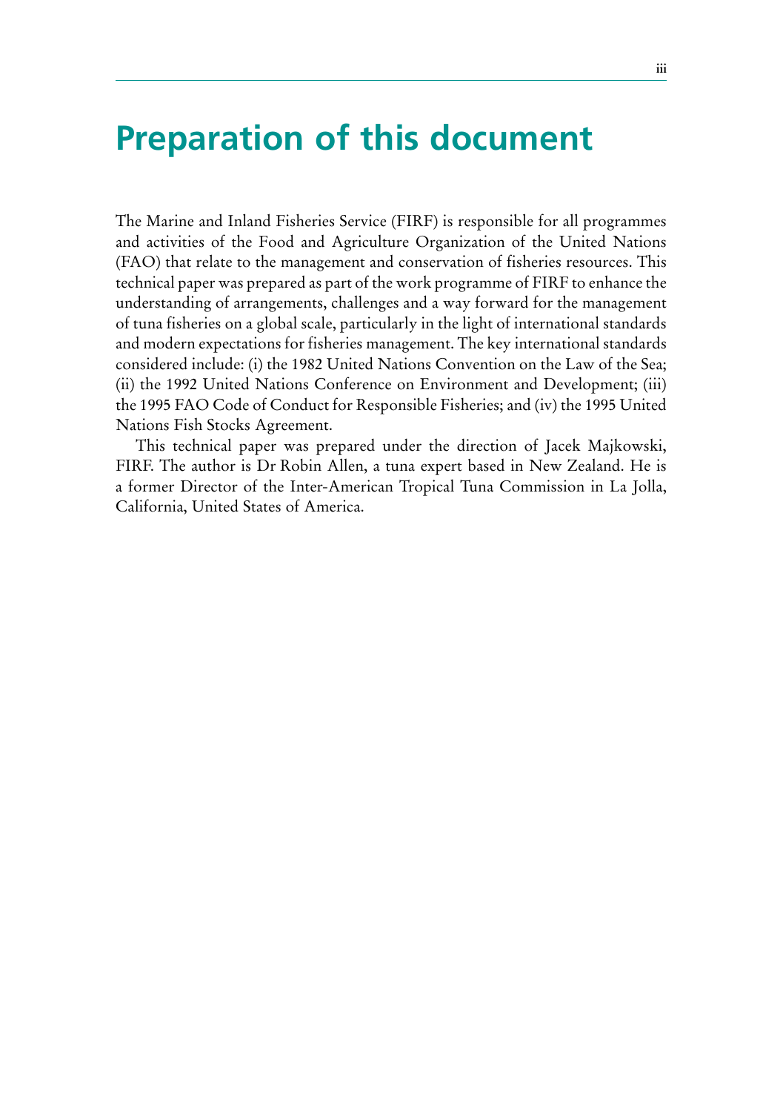# **Preparation of this document**

The Marine and Inland Fisheries Service (FIRF) is responsible for all programmes and activities of the Food and Agriculture Organization of the United Nations (FAO) that relate to the management and conservation of fisheries resources. This technical paper was prepared as part of the work programme of FIRF to enhance the understanding of arrangements, challenges and a way forward for the management of tuna fisheries on a global scale, particularly in the light of international standards and modern expectations for fisheries management. The key international standards considered include: (i) the 1982 United Nations Convention on the Law of the Sea; (ii) the 1992 United Nations Conference on Environment and Development; (iii) the 1995 FAO Code of Conduct for Responsible Fisheries; and (iv) the 1995 United Nations Fish Stocks Agreement.

This technical paper was prepared under the direction of Jacek Majkowski, FIRF. The author is Dr Robin Allen, a tuna expert based in New Zealand. He is a former Director of the Inter-American Tropical Tuna Commission in La Jolla, California, United States of America.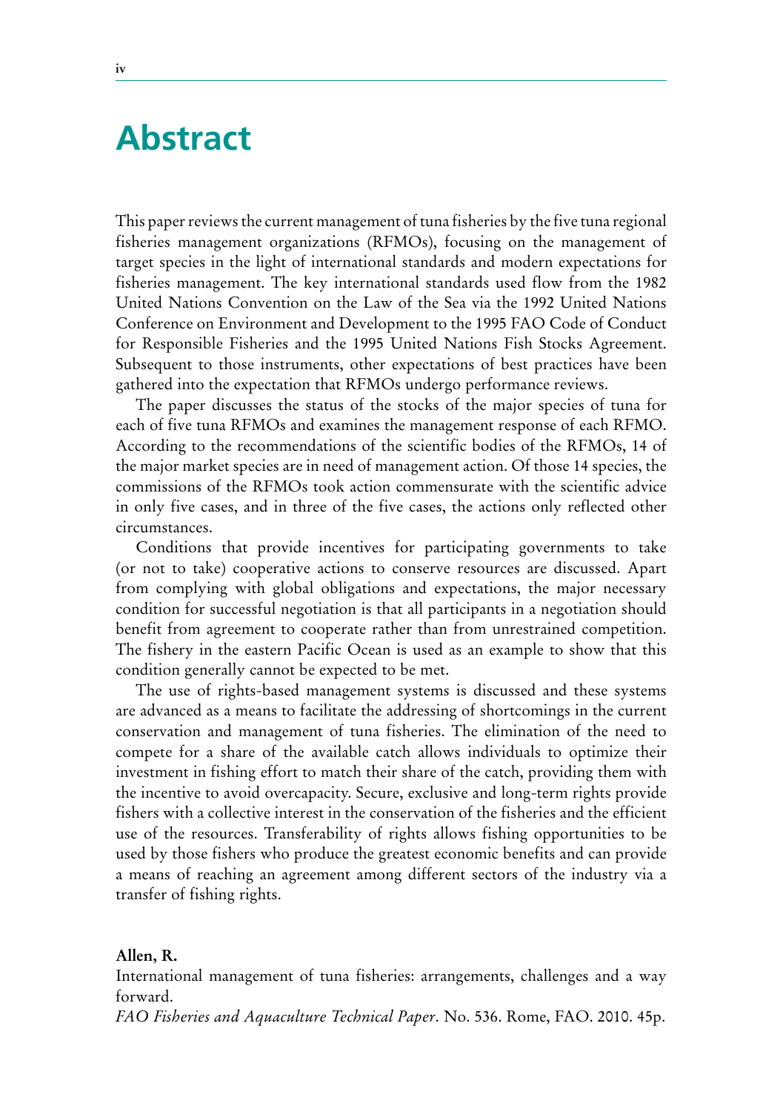# **Abstract**

This paper reviews the current management of tuna fisheries by the five tuna regional fisheries management organizations (RFMOs), focusing on the management of target species in the light of international standards and modern expectations for fisheries management. The key international standards used flow from the 1982 United Nations Convention on the Law of the Sea via the 1992 United Nations Conference on Environment and Development to the 1995 FAO Code of Conduct for Responsible Fisheries and the 1995 United Nations Fish Stocks Agreement. Subsequent to those instruments, other expectations of best practices have been gathered into the expectation that RFMOs undergo performance reviews.

The paper discusses the status of the stocks of the major species of tuna for each of five tuna RFMOs and examines the management response of each RFMO. According to the recommendations of the scientific bodies of the RFMOs, 14 of the major market species are in need of management action. Of those 14 species, the commissions of the RFMOs took action commensurate with the scientific advice in only five cases, and in three of the five cases, the actions only reflected other circumstances.

Conditions that provide incentives for participating governments to take (or not to take) cooperative actions to conserve resources are discussed. Apart from complying with global obligations and expectations, the major necessary condition for successful negotiation is that all participants in a negotiation should benefit from agreement to cooperate rather than from unrestrained competition. The fishery in the eastern Pacific Ocean is used as an example to show that this condition generally cannot be expected to be met.

The use of rights-based management systems is discussed and these systems are advanced as a means to facilitate the addressing of shortcomings in the current conservation and management of tuna fisheries. The elimination of the need to compete for a share of the available catch allows individuals to optimize their investment in fishing effort to match their share of the catch, providing them with the incentive to avoid overcapacity. Secure, exclusive and long-term rights provide fishers with a collective interest in the conservation of the fisheries and the efficient use of the resources. Transferability of rights allows fishing opportunities to be used by those fishers who produce the greatest economic benefits and can provide a means of reaching an agreement among different sectors of the industry via a transfer of fishing rights.

### **Allen, R.**

International management of tuna fisheries: arrangements, challenges and a way forward.

*FAO Fisheries and Aquaculture Technical Paper*. No. 536. Rome, FAO. 2010. 45p.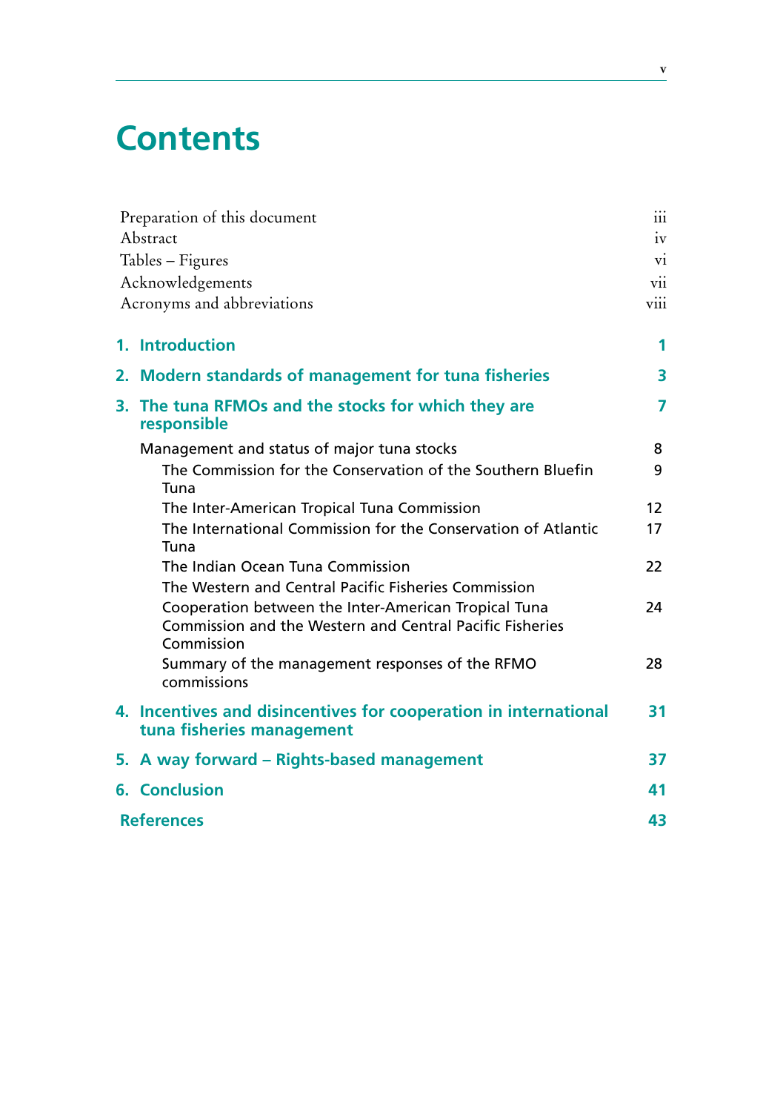# **Contents**

|                   | Preparation of this document                                                                                                   | $\cdots$<br>111 |  |
|-------------------|--------------------------------------------------------------------------------------------------------------------------------|-----------------|--|
|                   | Abstract                                                                                                                       | 1V              |  |
|                   | Tables - Figures                                                                                                               | V1              |  |
|                   | Acknowledgements                                                                                                               | V11             |  |
|                   | Acronyms and abbreviations                                                                                                     | V111            |  |
|                   | 1. Introduction                                                                                                                | 1               |  |
|                   | 2. Modern standards of management for tuna fisheries                                                                           | 3               |  |
|                   | 3. The tuna RFMOs and the stocks for which they are<br>responsible                                                             | 7               |  |
|                   | Management and status of major tuna stocks                                                                                     | 8               |  |
|                   | The Commission for the Conservation of the Southern Bluefin<br>Tuna                                                            | 9               |  |
|                   | The Inter-American Tropical Tuna Commission                                                                                    | 12              |  |
|                   | The International Commission for the Conservation of Atlantic<br>Tuna                                                          | 17              |  |
|                   | The Indian Ocean Tuna Commission                                                                                               | 22              |  |
|                   | The Western and Central Pacific Fisheries Commission                                                                           |                 |  |
|                   | Cooperation between the Inter-American Tropical Tuna<br>Commission and the Western and Central Pacific Fisheries<br>Commission | 24              |  |
|                   | Summary of the management responses of the RFMO<br>commissions                                                                 | 28              |  |
|                   | 4. Incentives and disincentives for cooperation in international<br>tuna fisheries management                                  | 31              |  |
|                   | 5. A way forward – Rights-based management                                                                                     | 37              |  |
|                   | <b>6. Conclusion</b>                                                                                                           | 41              |  |
| <b>References</b> |                                                                                                                                |                 |  |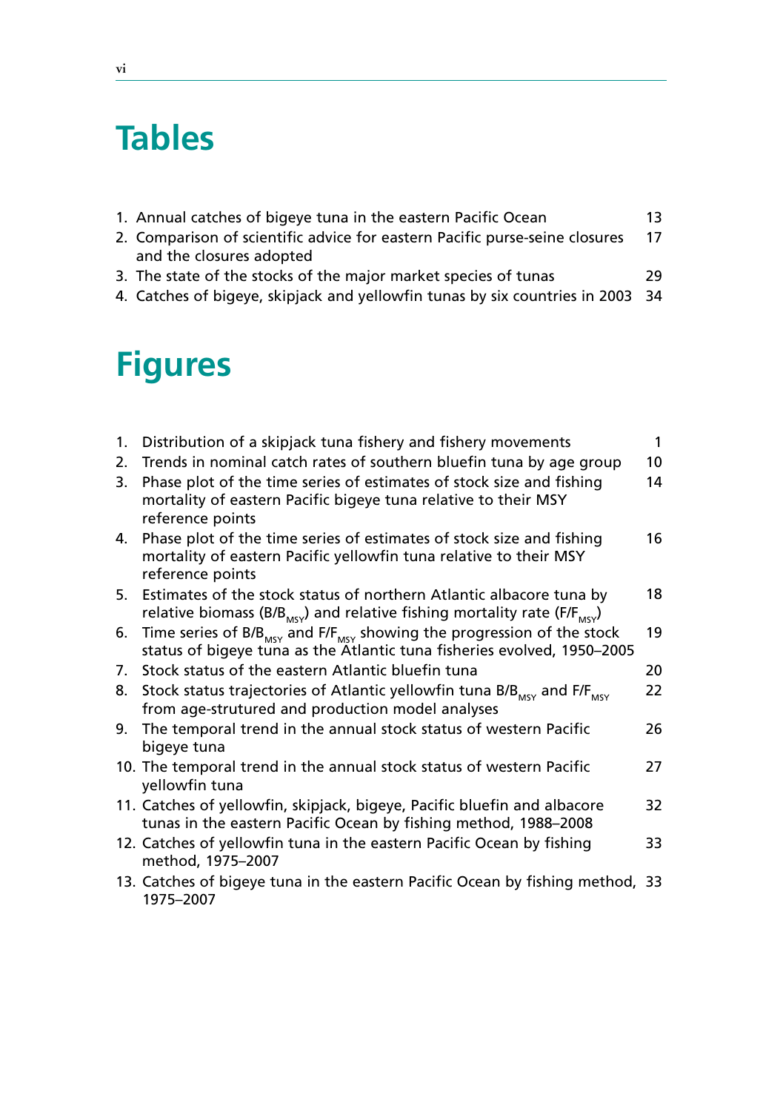# **Tables**

| 0. Cancellar of clientificated for category Darific nearest and concern | $\overline{1}$ |
|-------------------------------------------------------------------------|----------------|
| 1. Annual catches of bigeye tuna in the eastern Pacific Ocean           |                |

- 2. Comparison of scientific advice for eastern Pacific purse-seine closures and the closures adopted 17
- 3. The state of the stocks of the major market species of tunas 29
- 4. Catches of bigeye, skipjack and yellowfin tunas by six countries in 2003 34

# **Figures**

| 1. | Distribution of a skipjack tuna fishery and fishery movements                                                                                                              | $\mathbf{1}$ |
|----|----------------------------------------------------------------------------------------------------------------------------------------------------------------------------|--------------|
| 2. | Trends in nominal catch rates of southern bluefin tuna by age group                                                                                                        | 10           |
| 3. | Phase plot of the time series of estimates of stock size and fishing<br>mortality of eastern Pacific bigeye tuna relative to their MSY<br>reference points                 | 14           |
| 4. | Phase plot of the time series of estimates of stock size and fishing<br>mortality of eastern Pacific yellowfin tuna relative to their MSY<br>reference points              | 16           |
|    | 5. Estimates of the stock status of northern Atlantic albacore tuna by<br>relative biomass (B/B <sub>MSY</sub> ) and relative fishing mortality rate (F/F <sub>MSY</sub> ) | 18           |
| 6. | Time series of B/B <sub>MSY</sub> and F/F <sub>MSY</sub> showing the progression of the stock<br>status of bigeye tuna as the Atlantic tuna fisheries evolved, 1950-2005   | 19           |
| 7. | Stock status of the eastern Atlantic bluefin tuna                                                                                                                          | 20           |
| 8. | Stock status trajectories of Atlantic yellowfin tuna B/B <sub>MSY</sub> and F/F <sub>MSY</sub><br>from age-strutured and production model analyses                         | 22           |
| 9. | The temporal trend in the annual stock status of western Pacific<br>bigeye tuna                                                                                            | 26           |
|    | 10. The temporal trend in the annual stock status of western Pacific<br>yellowfin tuna                                                                                     | 27           |
|    | 11. Catches of yellowfin, skipjack, bigeye, Pacific bluefin and albacore<br>tunas in the eastern Pacific Ocean by fishing method, 1988-2008                                | 32           |
|    | 12. Catches of yellowfin tuna in the eastern Pacific Ocean by fishing<br>method, 1975–2007                                                                                 | 33           |
|    | 13. Catches of bigeye tuna in the eastern Pacific Ocean by fishing method, 33<br>1975-2007                                                                                 |              |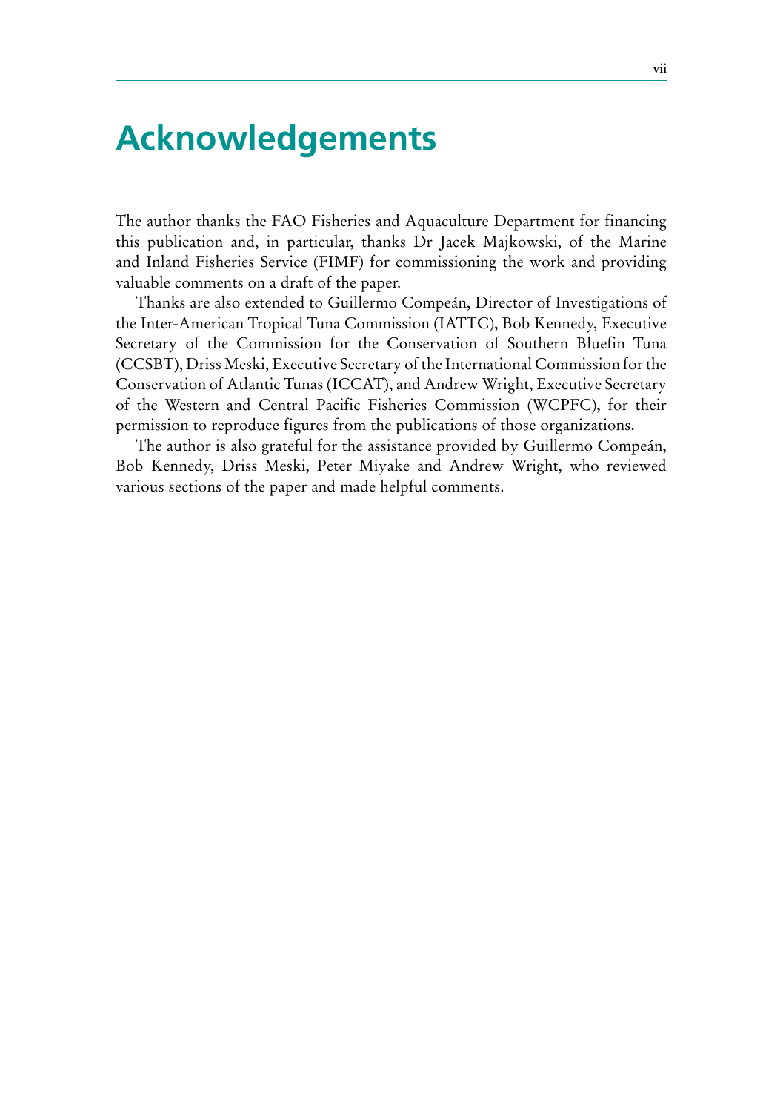# **Acknowledgements**

The author thanks the FAO Fisheries and Aquaculture Department for financing this publication and, in particular, thanks Dr Jacek Majkowski, of the Marine and Inland Fisheries Service (FIMF) for commissioning the work and providing valuable comments on a draft of the paper.

Thanks are also extended to Guillermo Compeán, Director of Investigations of the Inter-American Tropical Tuna Commission (IATTC), Bob Kennedy, Executive Secretary of the Commission for the Conservation of Southern Bluefin Tuna (CCSBT), Driss Meski, Executive Secretary of the International Commission for the Conservation of Atlantic Tunas (ICCAT), and Andrew Wright, Executive Secretary of the Western and Central Pacific Fisheries Commission (WCPFC), for their permission to reproduce figures from the publications of those organizations.

The author is also grateful for the assistance provided by Guillermo Compeán, Bob Kennedy, Driss Meski, Peter Miyake and Andrew Wright, who reviewed various sections of the paper and made helpful comments.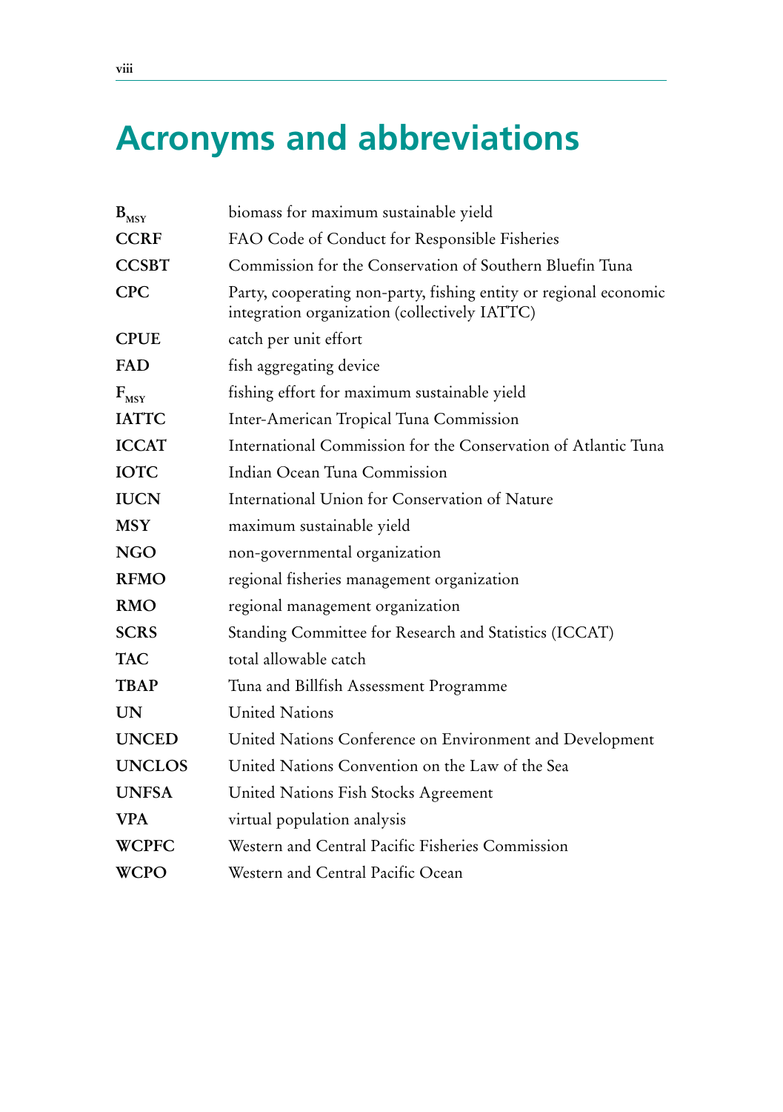# **Acronyms and abbreviations**

| $\mathbf{B}_{\text{MSY}}$ | biomass for maximum sustainable yield                                                                              |
|---------------------------|--------------------------------------------------------------------------------------------------------------------|
| <b>CCRF</b>               | FAO Code of Conduct for Responsible Fisheries                                                                      |
| <b>CCSBT</b>              | Commission for the Conservation of Southern Bluefin Tuna                                                           |
| <b>CPC</b>                | Party, cooperating non-party, fishing entity or regional economic<br>integration organization (collectively IATTC) |
| <b>CPUE</b>               | catch per unit effort                                                                                              |
| FAD                       | fish aggregating device                                                                                            |
| $F_{MSV}$                 | fishing effort for maximum sustainable yield                                                                       |
| <b>IATTC</b>              | Inter-American Tropical Tuna Commission                                                                            |
| <b>ICCAT</b>              | International Commission for the Conservation of Atlantic Tuna                                                     |
| <b>IOTC</b>               | Indian Ocean Tuna Commission                                                                                       |
| <b>IUCN</b>               | International Union for Conservation of Nature                                                                     |
| <b>MSY</b>                | maximum sustainable yield                                                                                          |
| NGO                       | non-governmental organization                                                                                      |
| <b>RFMO</b>               | regional fisheries management organization                                                                         |
| <b>RMO</b>                | regional management organization                                                                                   |
| <b>SCRS</b>               | Standing Committee for Research and Statistics (ICCAT)                                                             |
| <b>TAC</b>                | total allowable catch                                                                                              |
| <b>TBAP</b>               | Tuna and Billfish Assessment Programme                                                                             |
| <b>UN</b>                 | <b>United Nations</b>                                                                                              |
| <b>UNCED</b>              | United Nations Conference on Environment and Development                                                           |
| <b>UNCLOS</b>             | United Nations Convention on the Law of the Sea                                                                    |
| <b>UNFSA</b>              | United Nations Fish Stocks Agreement                                                                               |
| <b>VPA</b>                | virtual population analysis                                                                                        |
| <b>WCPFC</b>              | Western and Central Pacific Fisheries Commission                                                                   |
| <b>WCPO</b>               | Western and Central Pacific Ocean                                                                                  |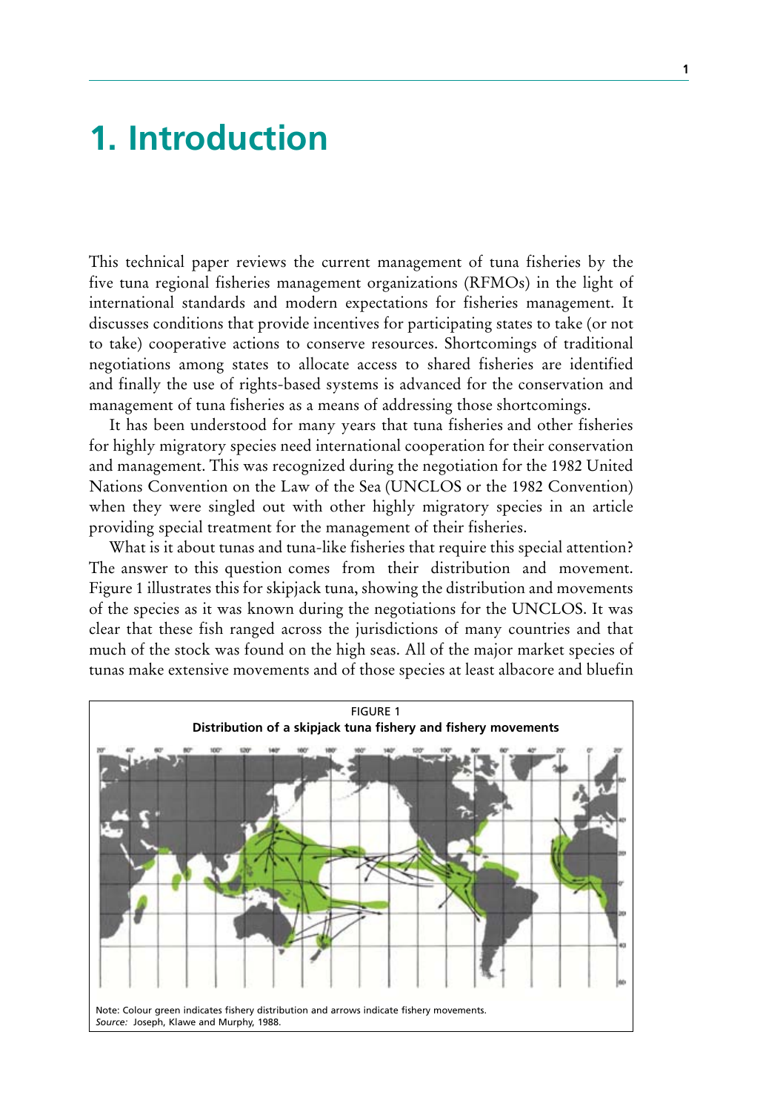# **1. Introduction**

This technical paper reviews the current management of tuna fisheries by the five tuna regional fisheries management organizations (RFMOs) in the light of international standards and modern expectations for fisheries management. It discusses conditions that provide incentives for participating states to take (or not to take) cooperative actions to conserve resources. Shortcomings of traditional negotiations among states to allocate access to shared fisheries are identified and finally the use of rights-based systems is advanced for the conservation and management of tuna fisheries as a means of addressing those shortcomings.

It has been understood for many years that tuna fisheries and other fisheries for highly migratory species need international cooperation for their conservation and management. This was recognized during the negotiation for the 1982 United Nations Convention on the Law of the Sea (UNCLOS or the 1982 Convention) when they were singled out with other highly migratory species in an article providing special treatment for the management of their fisheries.

What is it about tunas and tuna-like fisheries that require this special attention? The answer to this question comes from their distribution and movement. Figure 1 illustrates this for skipjack tuna, showing the distribution and movements of the species as it was known during the negotiations for the UNCLOS. It was clear that these fish ranged across the jurisdictions of many countries and that much of the stock was found on the high seas. All of the major market species of tunas make extensive movements and of those species at least albacore and bluefin

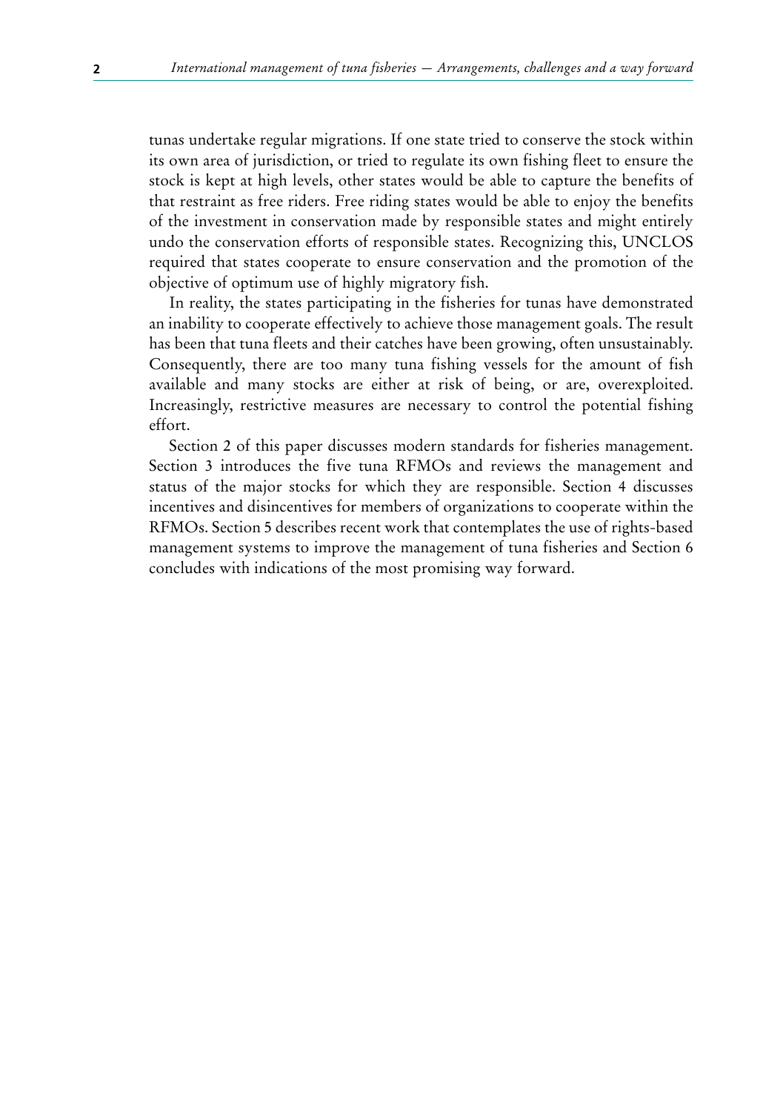tunas undertake regular migrations. If one state tried to conserve the stock within its own area of jurisdiction, or tried to regulate its own fishing fleet to ensure the stock is kept at high levels, other states would be able to capture the benefits of that restraint as free riders. Free riding states would be able to enjoy the benefits of the investment in conservation made by responsible states and might entirely undo the conservation efforts of responsible states. Recognizing this, UNCLOS required that states cooperate to ensure conservation and the promotion of the objective of optimum use of highly migratory fish.

In reality, the states participating in the fisheries for tunas have demonstrated an inability to cooperate effectively to achieve those management goals. The result has been that tuna fleets and their catches have been growing, often unsustainably. Consequently, there are too many tuna fishing vessels for the amount of fish available and many stocks are either at risk of being, or are, overexploited. Increasingly, restrictive measures are necessary to control the potential fishing effort.

Section 2 of this paper discusses modern standards for fisheries management. Section 3 introduces the five tuna RFMOs and reviews the management and status of the major stocks for which they are responsible. Section 4 discusses incentives and disincentives for members of organizations to cooperate within the RFMOs. Section 5 describes recent work that contemplates the use of rights-based management systems to improve the management of tuna fisheries and Section 6 concludes with indications of the most promising way forward.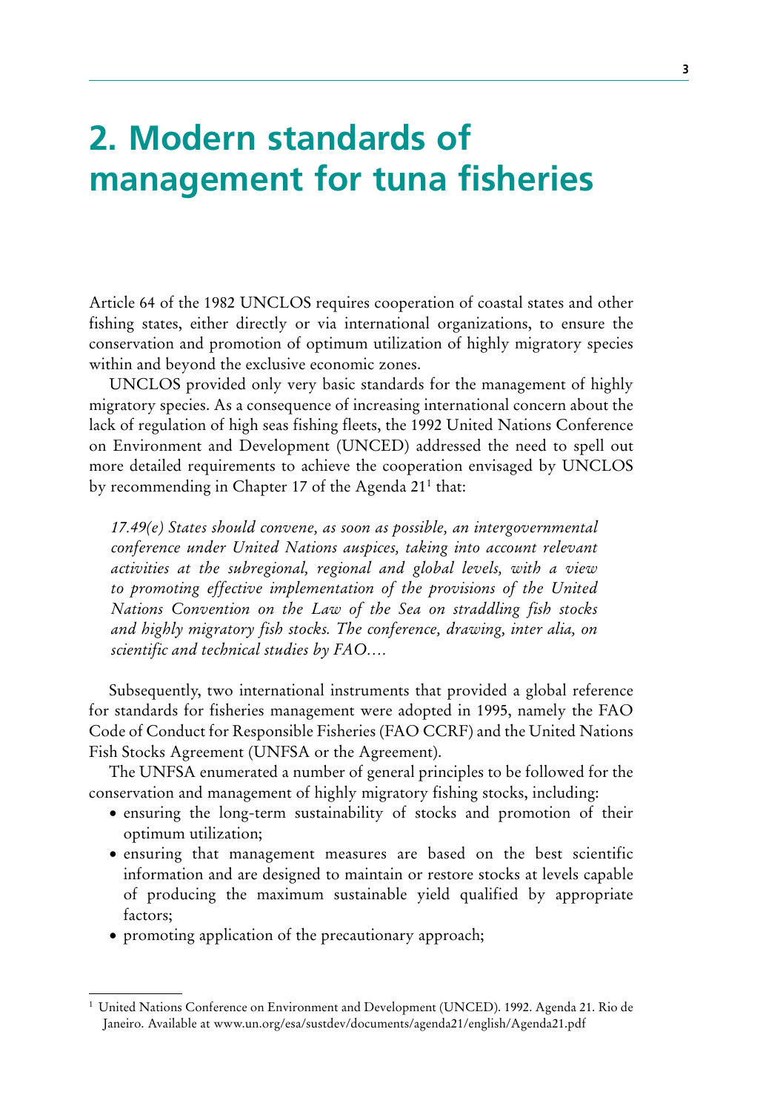# **2. Modern standards of management for tuna fisheries**

Article 64 of the 1982 UNCLOS requires cooperation of coastal states and other fishing states, either directly or via international organizations, to ensure the conservation and promotion of optimum utilization of highly migratory species within and beyond the exclusive economic zones.

UNCLOS provided only very basic standards for the management of highly migratory species. As a consequence of increasing international concern about the lack of regulation of high seas fishing fleets, the 1992 United Nations Conference on Environment and Development (UNCED) addressed the need to spell out more detailed requirements to achieve the cooperation envisaged by UNCLOS by recommending in Chapter 17 of the Agenda 211 that:

*17.49(e) States should convene, as soon as possible, an intergovernmental conference under United Nations auspices, taking into account relevant activities at the subregional, regional and global levels, with a view to promoting effective implementation of the provisions of the United Nations Convention on the Law of the Sea on straddling fish stocks and highly migratory fish stocks. The conference, drawing, inter alia, on scientific and technical studies by FAO….*

Subsequently, two international instruments that provided a global reference for standards for fisheries management were adopted in 1995, namely the FAO Code of Conduct for Responsible Fisheries (FAO CCRF) and the United Nations Fish Stocks Agreement (UNFSA or the Agreement).

The UNFSA enumerated a number of general principles to be followed for the conservation and management of highly migratory fishing stocks, including:

- ensuring the long-term sustainability of stocks and promotion of their optimum utilization;
- ensuring that management measures are based on the best scientific information and are designed to maintain or restore stocks at levels capable of producing the maximum sustainable yield qualified by appropriate factors;
- promoting application of the precautionary approach;

<sup>1</sup> United Nations Conference on Environment and Development (UNCED). 1992. Agenda 21. Rio de Janeiro. Available at www.un.org/esa/sustdev/documents/agenda21/english/Agenda21.pdf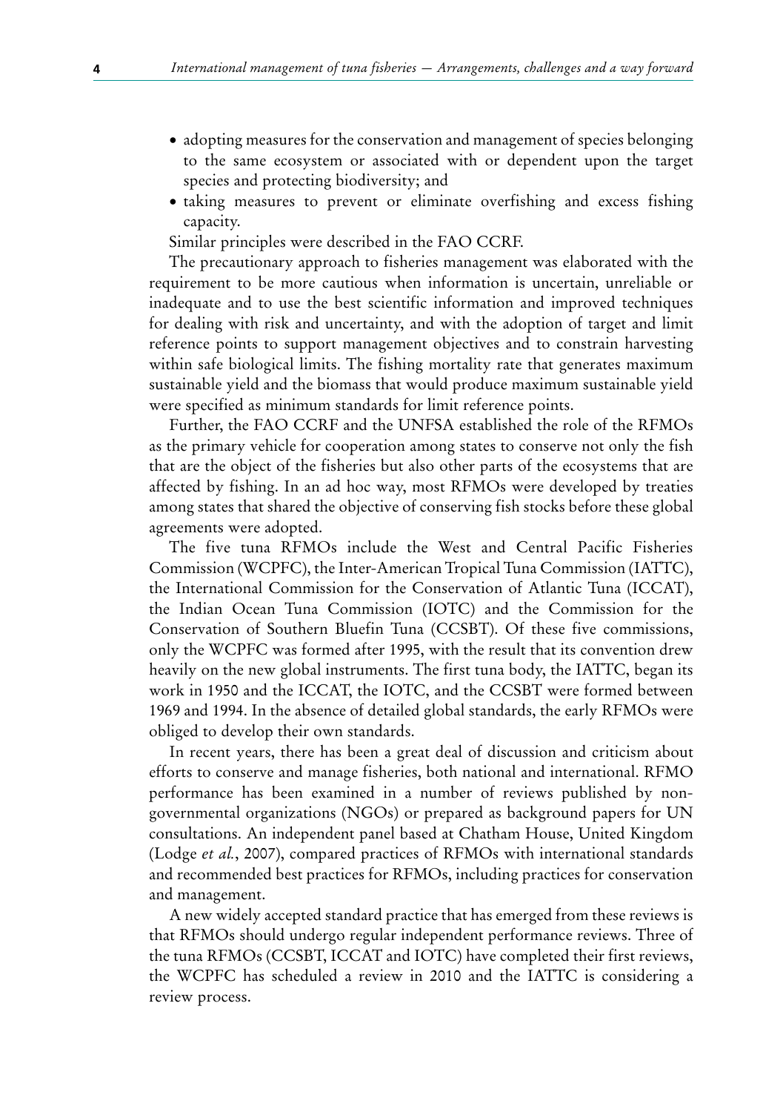- adopting measures for the conservation and management of species belonging to the same ecosystem or associated with or dependent upon the target species and protecting biodiversity; and
- taking measures to prevent or eliminate overfishing and excess fishing capacity.

Similar principles were described in the FAO CCRF.

The precautionary approach to fisheries management was elaborated with the requirement to be more cautious when information is uncertain, unreliable or inadequate and to use the best scientific information and improved techniques for dealing with risk and uncertainty, and with the adoption of target and limit reference points to support management objectives and to constrain harvesting within safe biological limits. The fishing mortality rate that generates maximum sustainable yield and the biomass that would produce maximum sustainable yield were specified as minimum standards for limit reference points.

Further, the FAO CCRF and the UNFSA established the role of the RFMOs as the primary vehicle for cooperation among states to conserve not only the fish that are the object of the fisheries but also other parts of the ecosystems that are affected by fishing. In an ad hoc way, most RFMOs were developed by treaties among states that shared the objective of conserving fish stocks before these global agreements were adopted.

The five tuna RFMOs include the West and Central Pacific Fisheries Commission (WCPFC), the Inter-American Tropical Tuna Commission (IATTC), the International Commission for the Conservation of Atlantic Tuna (ICCAT), the Indian Ocean Tuna Commission (IOTC) and the Commission for the Conservation of Southern Bluefin Tuna (CCSBT). Of these five commissions, only the WCPFC was formed after 1995, with the result that its convention drew heavily on the new global instruments. The first tuna body, the IATTC, began its work in 1950 and the ICCAT, the IOTC, and the CCSBT were formed between 1969 and 1994. In the absence of detailed global standards, the early RFMOs were obliged to develop their own standards.

In recent years, there has been a great deal of discussion and criticism about efforts to conserve and manage fisheries, both national and international. RFMO performance has been examined in a number of reviews published by nongovernmental organizations (NGOs) or prepared as background papers for UN consultations. An independent panel based at Chatham House, United Kingdom (Lodge *et al.*, 2007), compared practices of RFMOs with international standards and recommended best practices for RFMOs, including practices for conservation and management.

A new widely accepted standard practice that has emerged from these reviews is that RFMOs should undergo regular independent performance reviews. Three of the tuna RFMOs (CCSBT, ICCAT and IOTC) have completed their first reviews, the WCPFC has scheduled a review in 2010 and the IATTC is considering a review process.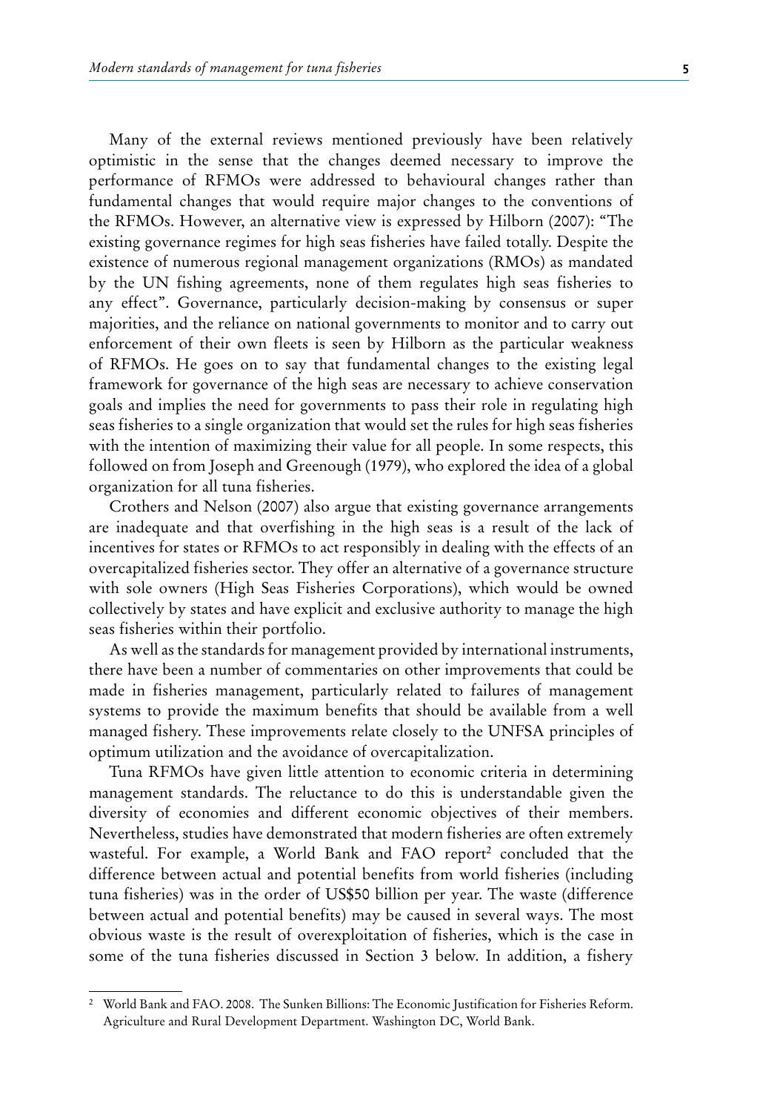Many of the external reviews mentioned previously have been relatively optimistic in the sense that the changes deemed necessary to improve the performance of RFMOs were addressed to behavioural changes rather than fundamental changes that would require major changes to the conventions of the RFMOs. However, an alternative view is expressed by Hilborn (2007): "The existing governance regimes for high seas fisheries have failed totally. Despite the existence of numerous regional management organizations (RMOs) as mandated by the UN fishing agreements, none of them regulates high seas fisheries to any effect". Governance, particularly decision-making by consensus or super majorities, and the reliance on national governments to monitor and to carry out enforcement of their own fleets is seen by Hilborn as the particular weakness of RFMOs. He goes on to say that fundamental changes to the existing legal framework for governance of the high seas are necessary to achieve conservation goals and implies the need for governments to pass their role in regulating high seas fisheries to a single organization that would set the rules for high seas fisheries with the intention of maximizing their value for all people. In some respects, this followed on from Joseph and Greenough (1979), who explored the idea of a global organization for all tuna fisheries.

Crothers and Nelson (2007) also argue that existing governance arrangements are inadequate and that overfishing in the high seas is a result of the lack of incentives for states or RFMOs to act responsibly in dealing with the effects of an overcapitalized fisheries sector. They offer an alternative of a governance structure with sole owners (High Seas Fisheries Corporations), which would be owned collectively by states and have explicit and exclusive authority to manage the high seas fisheries within their portfolio.

As well as the standards for management provided by international instruments, there have been a number of commentaries on other improvements that could be made in fisheries management, particularly related to failures of management systems to provide the maximum benefits that should be available from a well managed fishery. These improvements relate closely to the UNFSA principles of optimum utilization and the avoidance of overcapitalization.

Tuna RFMOs have given little attention to economic criteria in determining management standards. The reluctance to do this is understandable given the diversity of economies and different economic objectives of their members. Nevertheless, studies have demonstrated that modern fisheries are often extremely wasteful. For example, a World Bank and FAO report<sup>2</sup> concluded that the difference between actual and potential benefits from world fisheries (including tuna fisheries) was in the order of US\$50 billion per year. The waste (difference between actual and potential benefits) may be caused in several ways. The most obvious waste is the result of overexploitation of fisheries, which is the case in some of the tuna fisheries discussed in Section 3 below. In addition, a fishery

<sup>2</sup> World Bank and FAO. 2008. The Sunken Billions: The Economic Justification for Fisheries Reform. Agriculture and Rural Development Department. Washington DC, World Bank.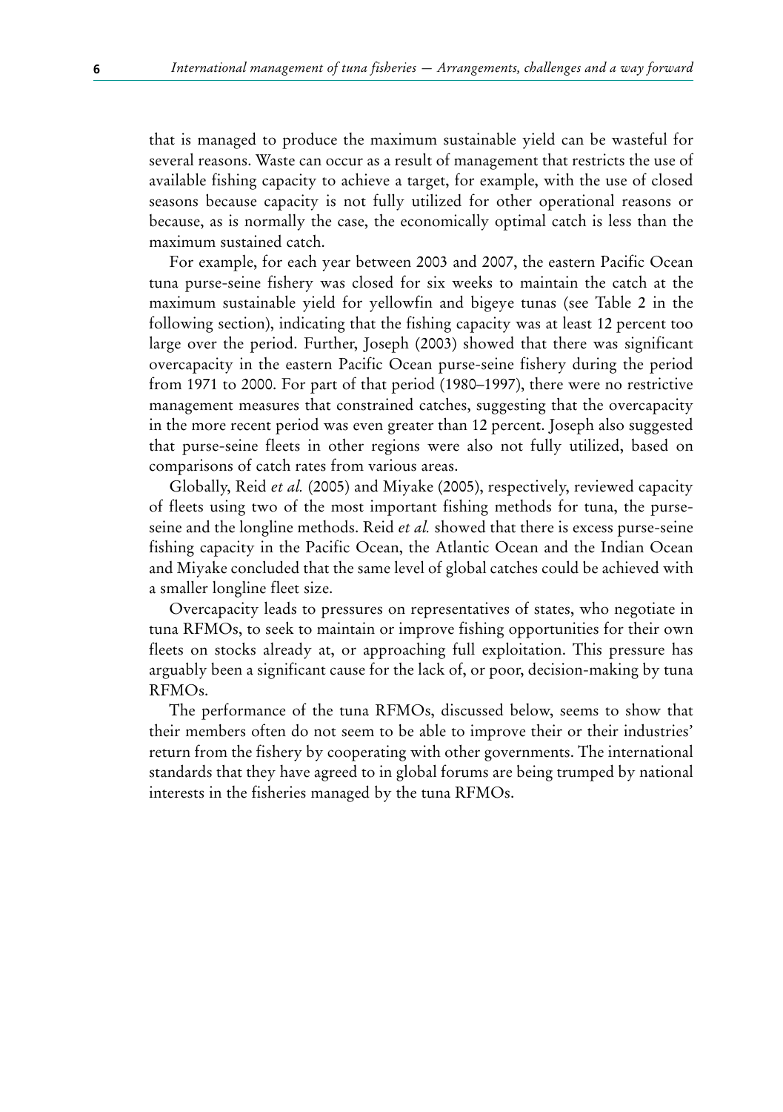that is managed to produce the maximum sustainable yield can be wasteful for several reasons. Waste can occur as a result of management that restricts the use of available fishing capacity to achieve a target, for example, with the use of closed seasons because capacity is not fully utilized for other operational reasons or because, as is normally the case, the economically optimal catch is less than the maximum sustained catch.

For example, for each year between 2003 and 2007, the eastern Pacific Ocean tuna purse-seine fishery was closed for six weeks to maintain the catch at the maximum sustainable yield for yellowfin and bigeye tunas (see Table 2 in the following section), indicating that the fishing capacity was at least 12 percent too large over the period. Further, Joseph (2003) showed that there was significant overcapacity in the eastern Pacific Ocean purse-seine fishery during the period from 1971 to 2000. For part of that period (1980–1997), there were no restrictive management measures that constrained catches, suggesting that the overcapacity in the more recent period was even greater than 12 percent. Joseph also suggested that purse-seine fleets in other regions were also not fully utilized, based on comparisons of catch rates from various areas.

Globally, Reid *et al.* (2005) and Miyake (2005), respectively, reviewed capacity of fleets using two of the most important fishing methods for tuna, the purseseine and the longline methods. Reid *et al.* showed that there is excess purse-seine fishing capacity in the Pacific Ocean, the Atlantic Ocean and the Indian Ocean and Miyake concluded that the same level of global catches could be achieved with a smaller longline fleet size.

Overcapacity leads to pressures on representatives of states, who negotiate in tuna RFMOs, to seek to maintain or improve fishing opportunities for their own fleets on stocks already at, or approaching full exploitation. This pressure has arguably been a significant cause for the lack of, or poor, decision-making by tuna RFMOs.

The performance of the tuna RFMOs, discussed below, seems to show that their members often do not seem to be able to improve their or their industries' return from the fishery by cooperating with other governments. The international standards that they have agreed to in global forums are being trumped by national interests in the fisheries managed by the tuna RFMOs.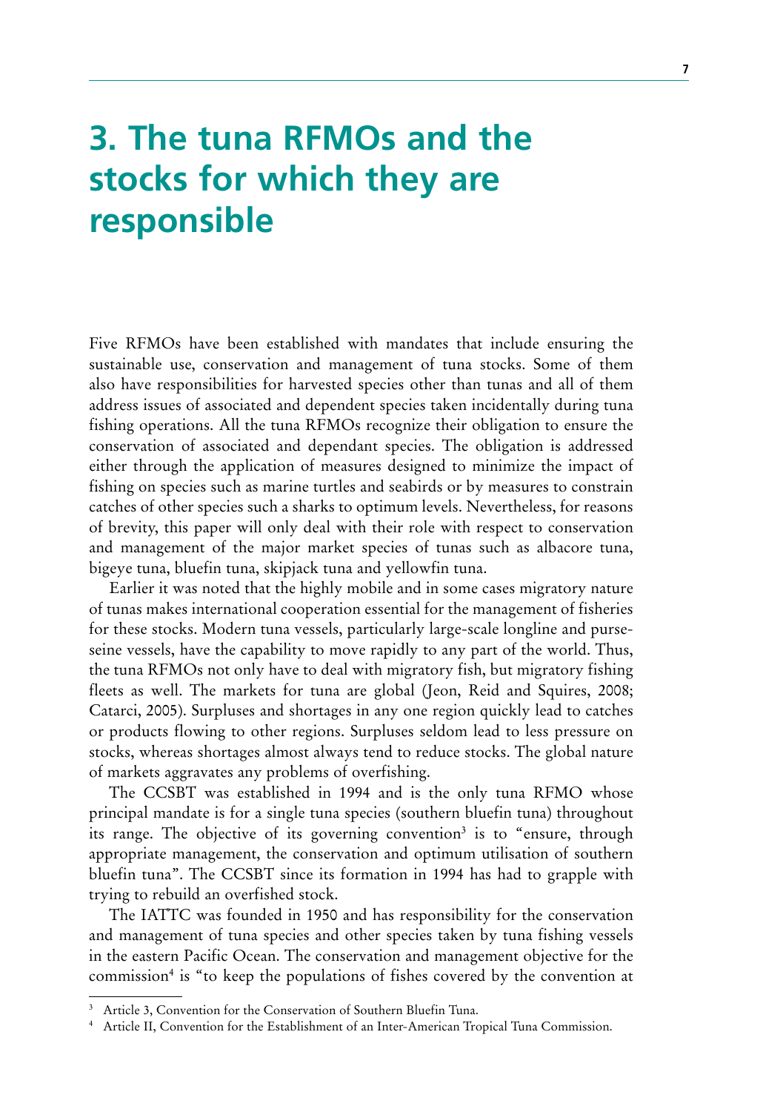# **3. The tuna RFMOs and the stocks for which they are responsible**

Five RFMOs have been established with mandates that include ensuring the sustainable use, conservation and management of tuna stocks. Some of them also have responsibilities for harvested species other than tunas and all of them address issues of associated and dependent species taken incidentally during tuna fishing operations. All the tuna RFMOs recognize their obligation to ensure the conservation of associated and dependant species. The obligation is addressed either through the application of measures designed to minimize the impact of fishing on species such as marine turtles and seabirds or by measures to constrain catches of other species such a sharks to optimum levels. Nevertheless, for reasons of brevity, this paper will only deal with their role with respect to conservation and management of the major market species of tunas such as albacore tuna, bigeye tuna, bluefin tuna, skipjack tuna and yellowfin tuna.

Earlier it was noted that the highly mobile and in some cases migratory nature of tunas makes international cooperation essential for the management of fisheries for these stocks. Modern tuna vessels, particularly large-scale longline and purseseine vessels, have the capability to move rapidly to any part of the world. Thus, the tuna RFMOs not only have to deal with migratory fish, but migratory fishing fleets as well. The markets for tuna are global (Jeon, Reid and Squires, 2008; Catarci, 2005). Surpluses and shortages in any one region quickly lead to catches or products flowing to other regions. Surpluses seldom lead to less pressure on stocks, whereas shortages almost always tend to reduce stocks. The global nature of markets aggravates any problems of overfishing.

The CCSBT was established in 1994 and is the only tuna RFMO whose principal mandate is for a single tuna species (southern bluefin tuna) throughout its range. The objective of its governing convention<sup>3</sup> is to "ensure, through appropriate management, the conservation and optimum utilisation of southern bluefin tuna". The CCSBT since its formation in 1994 has had to grapple with trying to rebuild an overfished stock.

The IATTC was founded in 1950 and has responsibility for the conservation and management of tuna species and other species taken by tuna fishing vessels in the eastern Pacific Ocean. The conservation and management objective for the commission<sup>4</sup> is "to keep the populations of fishes covered by the convention at

<sup>&</sup>lt;sup>3</sup> Article 3, Convention for the Conservation of Southern Bluefin Tuna.

<sup>4</sup> Article II, Convention for the Establishment of an Inter-American Tropical Tuna Commission.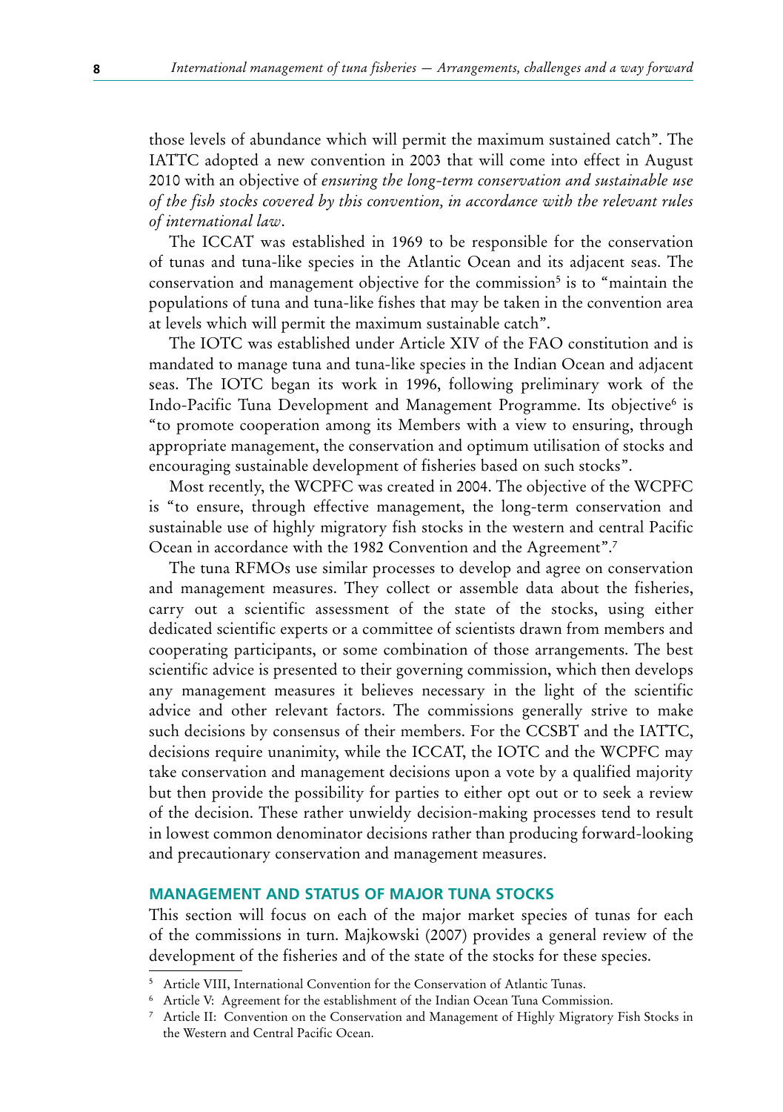those levels of abundance which will permit the maximum sustained catch". The IATTC adopted a new convention in 2003 that will come into effect in August 2010 with an objective of *ensuring the long-term conservation and sustainable use of the fish stocks covered by this convention, in accordance with the relevant rules of international law*.

The ICCAT was established in 1969 to be responsible for the conservation of tunas and tuna-like species in the Atlantic Ocean and its adjacent seas. The conservation and management objective for the commission<sup>5</sup> is to "maintain the populations of tuna and tuna-like fishes that may be taken in the convention area at levels which will permit the maximum sustainable catch".

The IOTC was established under Article XIV of the FAO constitution and is mandated to manage tuna and tuna-like species in the Indian Ocean and adjacent seas. The IOTC began its work in 1996, following preliminary work of the Indo-Pacific Tuna Development and Management Programme. Its objective<sup>6</sup> is "to promote cooperation among its Members with a view to ensuring, through appropriate management, the conservation and optimum utilisation of stocks and encouraging sustainable development of fisheries based on such stocks".

Most recently, the WCPFC was created in 2004. The objective of the WCPFC is "to ensure, through effective management, the long-term conservation and sustainable use of highly migratory fish stocks in the western and central Pacific Ocean in accordance with the 1982 Convention and the Agreement".<sup>7</sup>

The tuna RFMOs use similar processes to develop and agree on conservation and management measures. They collect or assemble data about the fisheries, carry out a scientific assessment of the state of the stocks, using either dedicated scientific experts or a committee of scientists drawn from members and cooperating participants, or some combination of those arrangements. The best scientific advice is presented to their governing commission, which then develops any management measures it believes necessary in the light of the scientific advice and other relevant factors. The commissions generally strive to make such decisions by consensus of their members. For the CCSBT and the IATTC, decisions require unanimity, while the ICCAT, the IOTC and the WCPFC may take conservation and management decisions upon a vote by a qualified majority but then provide the possibility for parties to either opt out or to seek a review of the decision. These rather unwieldy decision-making processes tend to result in lowest common denominator decisions rather than producing forward-looking and precautionary conservation and management measures.

### **MANAGEMENT AND STATUS OF MAJOR TUNA STOCKS**

This section will focus on each of the major market species of tunas for each of the commissions in turn. Majkowski (2007) provides a general review of the development of the fisheries and of the state of the stocks for these species.

<sup>5</sup> Article VIII, International Convention for the Conservation of Atlantic Tunas.

<sup>6</sup> Article V: Agreement for the establishment of the Indian Ocean Tuna Commission.

<sup>7</sup> Article II: Convention on the Conservation and Management of Highly Migratory Fish Stocks in the Western and Central Pacific Ocean.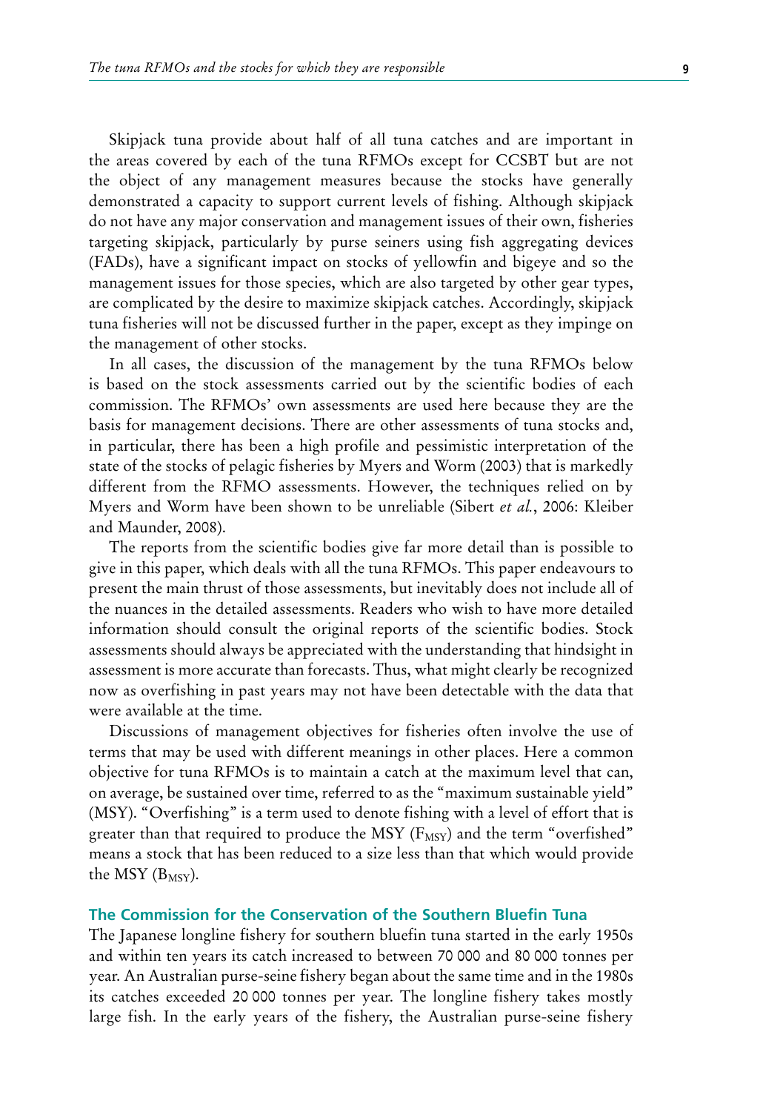Skipjack tuna provide about half of all tuna catches and are important in the areas covered by each of the tuna RFMOs except for CCSBT but are not the object of any management measures because the stocks have generally demonstrated a capacity to support current levels of fishing. Although skipjack do not have any major conservation and management issues of their own, fisheries targeting skipjack, particularly by purse seiners using fish aggregating devices (FADs), have a significant impact on stocks of yellowfin and bigeye and so the management issues for those species, which are also targeted by other gear types, are complicated by the desire to maximize skipjack catches. Accordingly, skipjack tuna fisheries will not be discussed further in the paper, except as they impinge on the management of other stocks.

In all cases, the discussion of the management by the tuna RFMOs below is based on the stock assessments carried out by the scientific bodies of each commission. The RFMOs' own assessments are used here because they are the basis for management decisions. There are other assessments of tuna stocks and, in particular, there has been a high profile and pessimistic interpretation of the state of the stocks of pelagic fisheries by Myers and Worm (2003) that is markedly different from the RFMO assessments. However, the techniques relied on by Myers and Worm have been shown to be unreliable (Sibert *et al.*, 2006: Kleiber and Maunder, 2008).

The reports from the scientific bodies give far more detail than is possible to give in this paper, which deals with all the tuna RFMOs. This paper endeavours to present the main thrust of those assessments, but inevitably does not include all of the nuances in the detailed assessments. Readers who wish to have more detailed information should consult the original reports of the scientific bodies. Stock assessments should always be appreciated with the understanding that hindsight in assessment is more accurate than forecasts. Thus, what might clearly be recognized now as overfishing in past years may not have been detectable with the data that were available at the time.

Discussions of management objectives for fisheries often involve the use of terms that may be used with different meanings in other places. Here a common objective for tuna RFMOs is to maintain a catch at the maximum level that can, on average, be sustained over time, referred to as the "maximum sustainable yield" (MSY). "Overfishing" is a term used to denote fishing with a level of effort that is greater than that required to produce the MSY ( $F_{MSY}$ ) and the term "overfished" means a stock that has been reduced to a size less than that which would provide the MSY  $(B_{MSV})$ .

### **The Commission for the Conservation of the Southern Bluefin Tuna**

The Japanese longline fishery for southern bluefin tuna started in the early 1950s and within ten years its catch increased to between 70 000 and 80 000 tonnes per year. An Australian purse-seine fishery began about the same time and in the 1980s its catches exceeded 20 000 tonnes per year. The longline fishery takes mostly large fish. In the early years of the fishery, the Australian purse-seine fishery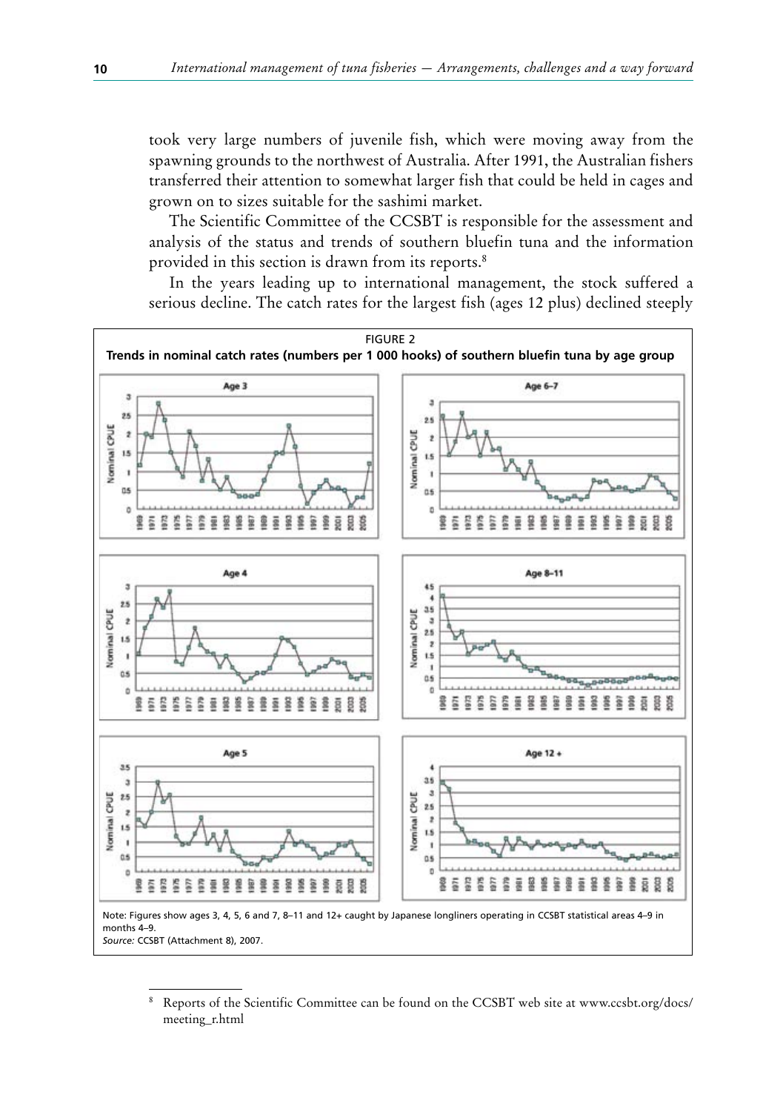took very large numbers of juvenile fish, which were moving away from the spawning grounds to the northwest of Australia. After 1991, the Australian fishers transferred their attention to somewhat larger fish that could be held in cages and grown on to sizes suitable for the sashimi market.

The Scientific Committee of the CCSBT is responsible for the assessment and analysis of the status and trends of southern bluefin tuna and the information provided in this section is drawn from its reports.<sup>8</sup>

In the years leading up to international management, the stock suffered a serious decline. The catch rates for the largest fish (ages 12 plus) declined steeply



<sup>8</sup> Reports of the Scientific Committee can be found on the CCSBT web site at www.ccsbt.org/docs/ meeting\_r.html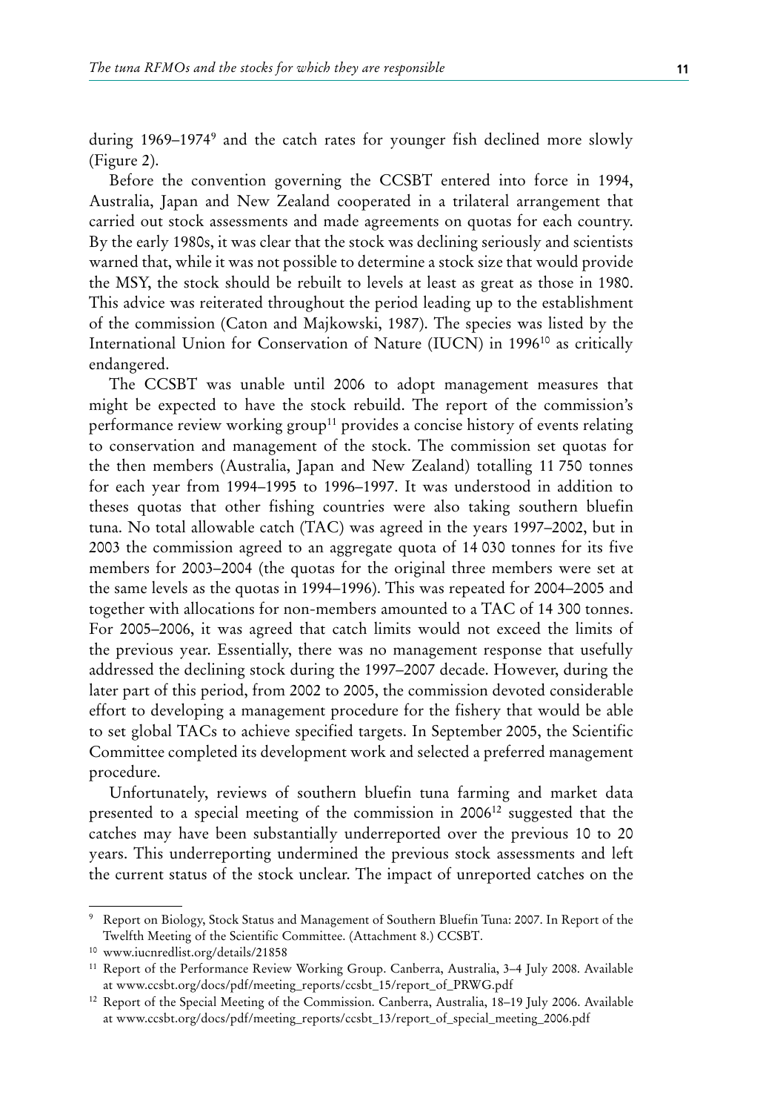during 1969–19749 and the catch rates for younger fish declined more slowly (Figure 2).

Before the convention governing the CCSBT entered into force in 1994, Australia, Japan and New Zealand cooperated in a trilateral arrangement that carried out stock assessments and made agreements on quotas for each country. By the early 1980s, it was clear that the stock was declining seriously and scientists warned that, while it was not possible to determine a stock size that would provide the MSY, the stock should be rebuilt to levels at least as great as those in 1980. This advice was reiterated throughout the period leading up to the establishment of the commission (Caton and Majkowski, 1987). The species was listed by the International Union for Conservation of Nature (IUCN) in 1996<sup>10</sup> as critically endangered.

The CCSBT was unable until 2006 to adopt management measures that might be expected to have the stock rebuild. The report of the commission's performance review working group<sup>11</sup> provides a concise history of events relating to conservation and management of the stock. The commission set quotas for the then members (Australia, Japan and New Zealand) totalling 11 750 tonnes for each year from 1994–1995 to 1996–1997. It was understood in addition to theses quotas that other fishing countries were also taking southern bluefin tuna. No total allowable catch (TAC) was agreed in the years 1997–2002, but in 2003 the commission agreed to an aggregate quota of 14 030 tonnes for its five members for 2003–2004 (the quotas for the original three members were set at the same levels as the quotas in 1994–1996). This was repeated for 2004–2005 and together with allocations for non-members amounted to a TAC of 14 300 tonnes. For 2005–2006, it was agreed that catch limits would not exceed the limits of the previous year. Essentially, there was no management response that usefully addressed the declining stock during the 1997–2007 decade. However, during the later part of this period, from 2002 to 2005, the commission devoted considerable effort to developing a management procedure for the fishery that would be able to set global TACs to achieve specified targets. In September 2005, the Scientific Committee completed its development work and selected a preferred management procedure.

Unfortunately, reviews of southern bluefin tuna farming and market data presented to a special meeting of the commission in 200612 suggested that the catches may have been substantially underreported over the previous 10 to 20 years. This underreporting undermined the previous stock assessments and left the current status of the stock unclear. The impact of unreported catches on the

<sup>9</sup> Report on Biology, Stock Status and Management of Southern Bluefin Tuna: 2007. In Report of the Twelfth Meeting of the Scientific Committee. (Attachment 8.) CCSBT.

<sup>10</sup> www.iucnredlist.org/details/21858

<sup>11</sup> Report of the Performance Review Working Group. Canberra, Australia, 3–4 July 2008. Available at www.ccsbt.org/docs/pdf/meeting\_reports/ccsbt\_15/report\_of\_PRWG.pdf

<sup>12</sup> Report of the Special Meeting of the Commission. Canberra, Australia, 18–19 July 2006. Available at www.ccsbt.org/docs/pdf/meeting\_reports/ccsbt\_13/report\_of\_special\_meeting\_2006.pdf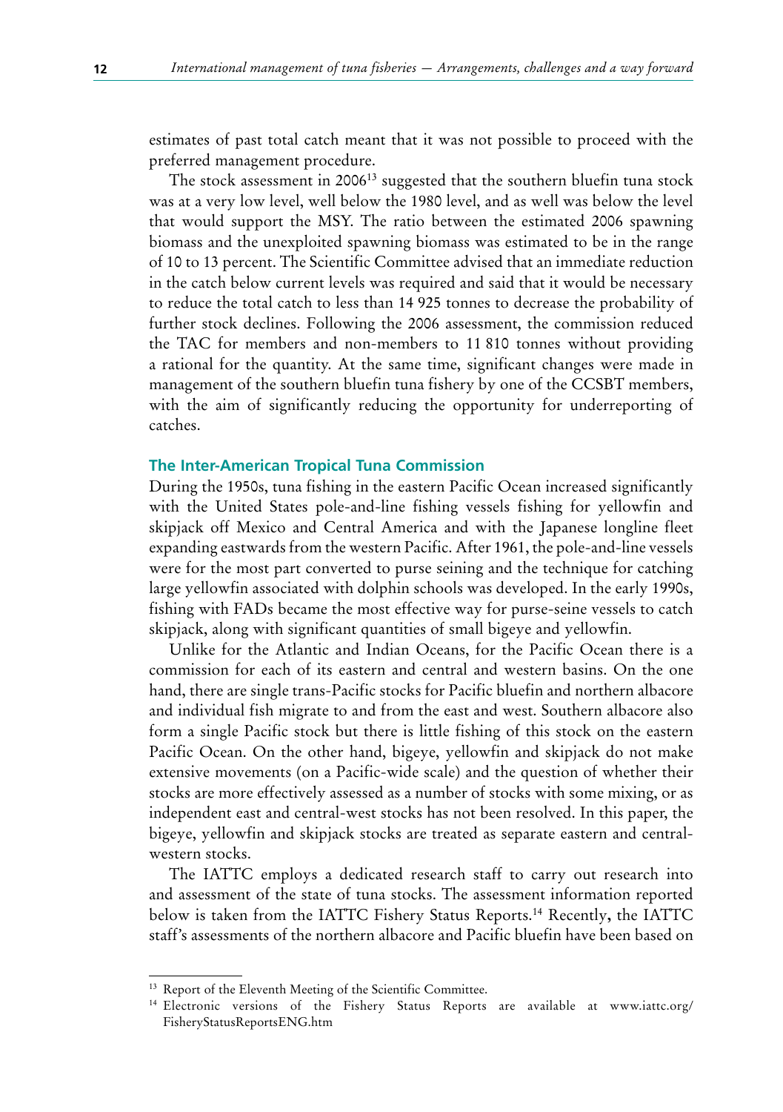estimates of past total catch meant that it was not possible to proceed with the preferred management procedure.

The stock assessment in 2006<sup>13</sup> suggested that the southern bluefin tuna stock was at a very low level, well below the 1980 level, and as well was below the level that would support the MSY. The ratio between the estimated 2006 spawning biomass and the unexploited spawning biomass was estimated to be in the range of 10 to 13 percent. The Scientific Committee advised that an immediate reduction in the catch below current levels was required and said that it would be necessary to reduce the total catch to less than 14 925 tonnes to decrease the probability of further stock declines. Following the 2006 assessment, the commission reduced the TAC for members and non-members to 11 810 tonnes without providing a rational for the quantity. At the same time, significant changes were made in management of the southern bluefin tuna fishery by one of the CCSBT members, with the aim of significantly reducing the opportunity for underreporting of catches.

#### **The Inter-American Tropical Tuna Commission**

During the 1950s, tuna fishing in the eastern Pacific Ocean increased significantly with the United States pole-and-line fishing vessels fishing for yellowfin and skipjack off Mexico and Central America and with the Japanese longline fleet expanding eastwards from the western Pacific. After 1961, the pole-and-line vessels were for the most part converted to purse seining and the technique for catching large yellowfin associated with dolphin schools was developed. In the early 1990s, fishing with FADs became the most effective way for purse-seine vessels to catch skipjack, along with significant quantities of small bigeye and yellowfin.

Unlike for the Atlantic and Indian Oceans, for the Pacific Ocean there is a commission for each of its eastern and central and western basins. On the one hand, there are single trans-Pacific stocks for Pacific bluefin and northern albacore and individual fish migrate to and from the east and west. Southern albacore also form a single Pacific stock but there is little fishing of this stock on the eastern Pacific Ocean. On the other hand, bigeye, yellowfin and skipjack do not make extensive movements (on a Pacific-wide scale) and the question of whether their stocks are more effectively assessed as a number of stocks with some mixing, or as independent east and central-west stocks has not been resolved. In this paper, the bigeye, yellowfin and skipjack stocks are treated as separate eastern and centralwestern stocks.

The IATTC employs a dedicated research staff to carry out research into and assessment of the state of tuna stocks. The assessment information reported below is taken from the IATTC Fishery Status Reports.14 Recently**,** the IATTC staff's assessments of the northern albacore and Pacific bluefin have been based on

<sup>13</sup> Report of the Eleventh Meeting of the Scientific Committee.

<sup>14</sup> Electronic versions of the Fishery Status Reports are available at www.iattc.org/ FisheryStatusReportsENG.htm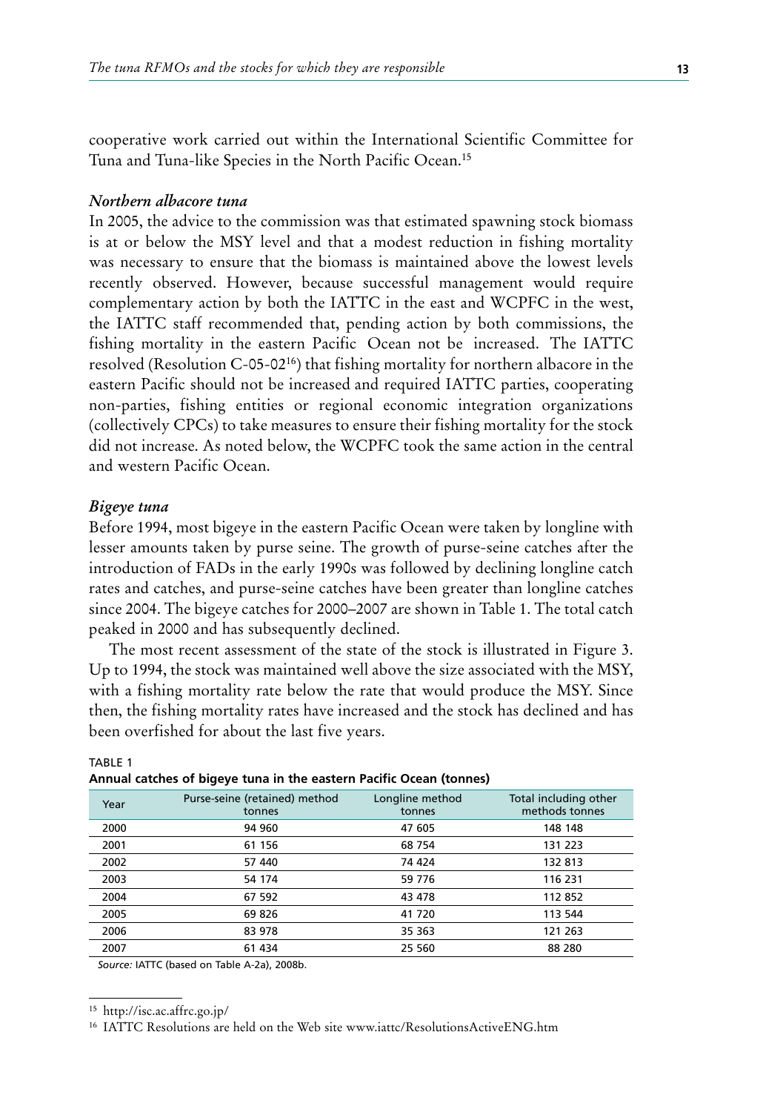cooperative work carried out within the International Scientific Committee for Tuna and Tuna-like Species in the North Pacific Ocean.15

#### *Northern albacore tuna*

In 2005, the advice to the commission was that estimated spawning stock biomass is at or below the MSY level and that a modest reduction in fishing mortality was necessary to ensure that the biomass is maintained above the lowest levels recently observed. However, because successful management would require complementary action by both the IATTC in the east and WCPFC in the west, the IATTC staff recommended that, pending action by both commissions, the fishing mortality in the eastern Pacific Ocean not be increased. The IATTC resolved (Resolution C-05-0216) that fishing mortality for northern albacore in the eastern Pacific should not be increased and required IATTC parties, cooperating non-parties, fishing entities or regional economic integration organizations (collectively CPCs) to take measures to ensure their fishing mortality for the stock did not increase. As noted below, the WCPFC took the same action in the central and western Pacific Ocean.

#### *Bigeye tuna*

Before 1994, most bigeye in the eastern Pacific Ocean were taken by longline with lesser amounts taken by purse seine. The growth of purse-seine catches after the introduction of FADs in the early 1990s was followed by declining longline catch rates and catches, and purse-seine catches have been greater than longline catches since 2004. The bigeye catches for 2000–2007 are shown in Table 1. The total catch peaked in 2000 and has subsequently declined.

The most recent assessment of the state of the stock is illustrated in Figure 3. Up to 1994, the stock was maintained well above the size associated with the MSY, with a fishing mortality rate below the rate that would produce the MSY. Since then, the fishing mortality rates have increased and the stock has declined and has been overfished for about the last five years.

| Year | Purse-seine (retained) method<br>tonnes | Longline method<br>tonnes | Total including other<br>methods tonnes |
|------|-----------------------------------------|---------------------------|-----------------------------------------|
| 2000 | 94 960                                  | 47 605                    | 148 148                                 |
| 2001 | 61 156                                  | 68 754                    | 131 223                                 |
| 2002 | 57 440                                  | 74 424                    | 132 813                                 |
| 2003 | 54 174                                  | 59 776                    | 116 231                                 |
| 2004 | 67 592                                  | 43 478                    | 112 852                                 |
| 2005 | 69 826                                  | 41 720                    | 113 544                                 |
| 2006 | 83 978                                  | 35 363                    | 121 263                                 |
| 2007 | 61 434                                  | 25 560                    | 88 280                                  |

#### TABLE 1 **Annual catches of bigeye tuna in the eastern Pacific Ocean (tonnes)**

*Source:* IATTC (based on Table A-2a), 2008b.

<sup>15</sup> http://isc.ac.affrc.go.jp/

<sup>16</sup> IATTC Resolutions are held on the Web site www.iattc/ResolutionsActiveENG.htm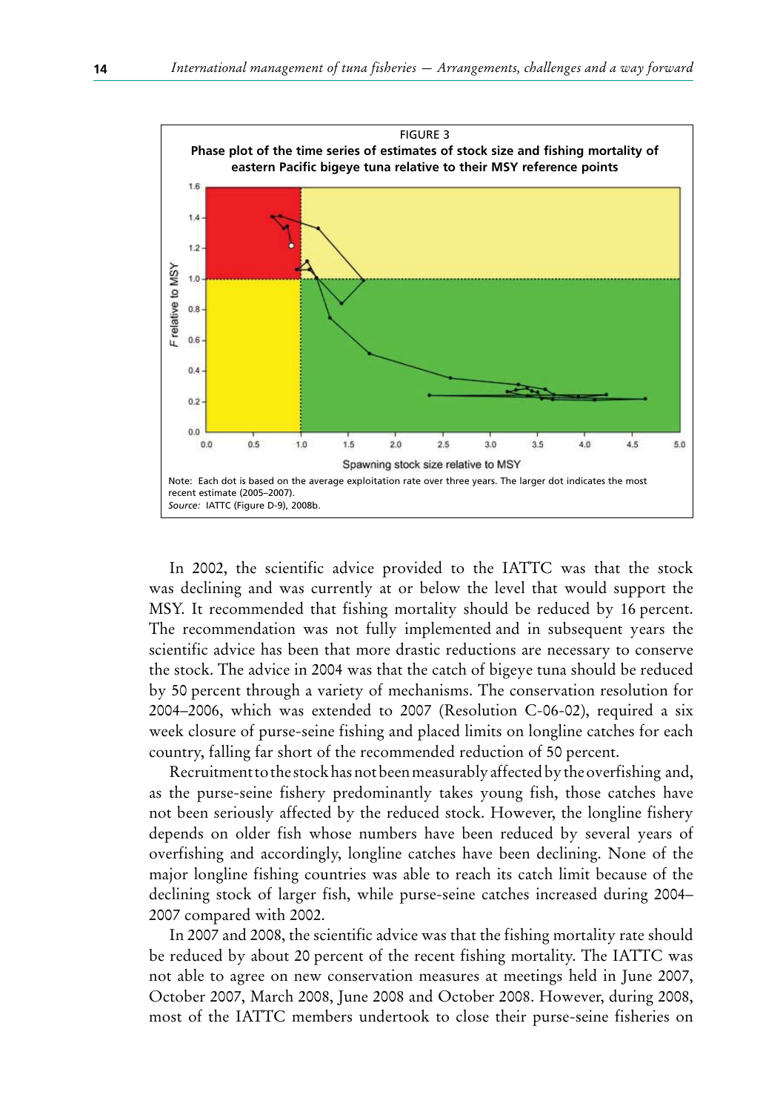

In 2002, the scientific advice provided to the IATTC was that the stock was declining and was currently at or below the level that would support the MSY. It recommended that fishing mortality should be reduced by 16 percent. The recommendation was not fully implemented and in subsequent years the scientific advice has been that more drastic reductions are necessary to conserve the stock. The advice in 2004 was that the catch of bigeye tuna should be reduced by 50 percent through a variety of mechanisms. The conservation resolution for 2004–2006, which was extended to 2007 (Resolution C-06-02), required a six week closure of purse-seine fishing and placed limits on longline catches for each country, falling far short of the recommended reduction of 50 percent.

Recruitment to the stock has not been measurably affected by the overfishing and, as the purse-seine fishery predominantly takes young fish, those catches have not been seriously affected by the reduced stock. However, the longline fishery depends on older fish whose numbers have been reduced by several years of overfishing and accordingly, longline catches have been declining. None of the major longline fishing countries was able to reach its catch limit because of the declining stock of larger fish, while purse-seine catches increased during 2004– 2007 compared with 2002.

In 2007 and 2008, the scientific advice was that the fishing mortality rate should be reduced by about 20 percent of the recent fishing mortality. The IATTC was not able to agree on new conservation measures at meetings held in June 2007, October 2007, March 2008, June 2008 and October 2008. However, during 2008, most of the IATTC members undertook to close their purse-seine fisheries on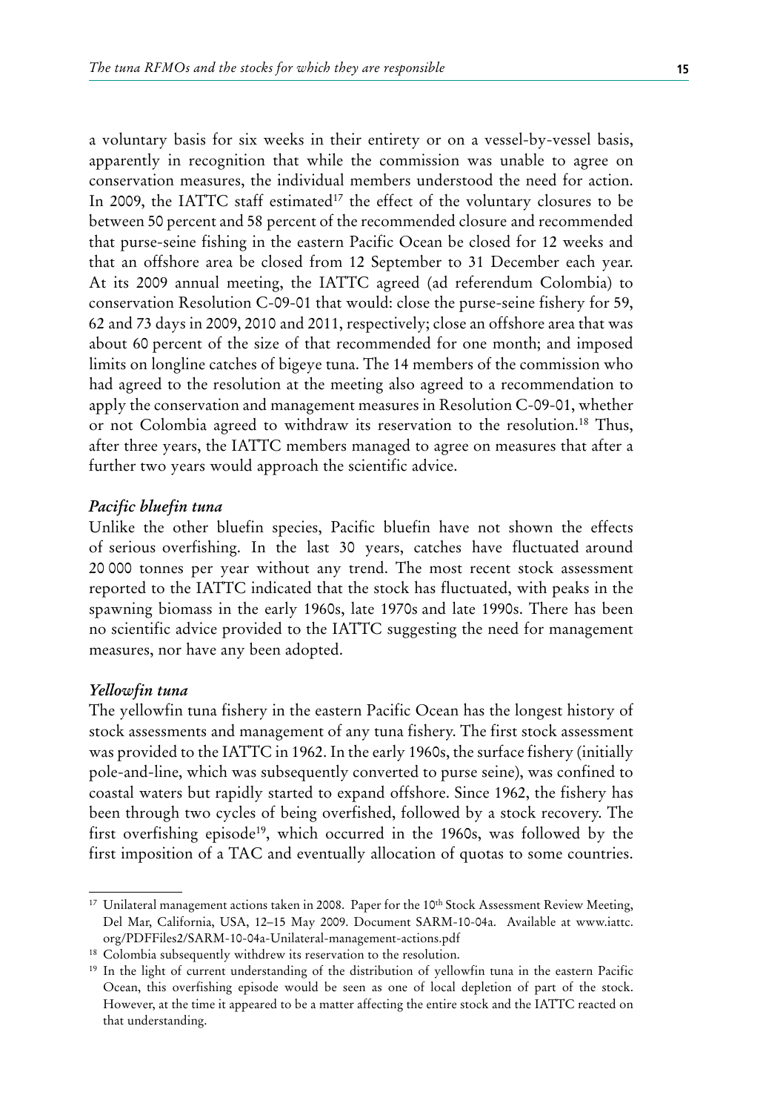a voluntary basis for six weeks in their entirety or on a vessel-by-vessel basis, apparently in recognition that while the commission was unable to agree on conservation measures, the individual members understood the need for action. In 2009, the IATTC staff estimated<sup>17</sup> the effect of the voluntary closures to be between 50 percent and 58 percent of the recommended closure and recommended that purse-seine fishing in the eastern Pacific Ocean be closed for 12 weeks and that an offshore area be closed from 12 September to 31 December each year. At its 2009 annual meeting, the IATTC agreed (ad referendum Colombia) to conservation Resolution C-09-01 that would: close the purse-seine fishery for 59, 62 and 73 days in 2009, 2010 and 2011, respectively; close an offshore area that was about 60 percent of the size of that recommended for one month; and imposed limits on longline catches of bigeye tuna. The 14 members of the commission who had agreed to the resolution at the meeting also agreed to a recommendation to apply the conservation and management measures in Resolution C-09-01, whether or not Colombia agreed to withdraw its reservation to the resolution.18 Thus, after three years, the IATTC members managed to agree on measures that after a further two years would approach the scientific advice.

#### *Pacific bluefin tuna*

Unlike the other bluefin species, Pacific bluefin have not shown the effects of serious overfishing. In the last 30 years, catches have fluctuated around 20 000 tonnes per year without any trend. The most recent stock assessment reported to the IATTC indicated that the stock has fluctuated, with peaks in the spawning biomass in the early 1960s, late 1970s and late 1990s. There has been no scientific advice provided to the IATTC suggesting the need for management measures, nor have any been adopted.

### *Yellowfin tuna*

The yellowfin tuna fishery in the eastern Pacific Ocean has the longest history of stock assessments and management of any tuna fishery. The first stock assessment was provided to the IATTC in 1962. In the early 1960s, the surface fishery (initially pole-and-line, which was subsequently converted to purse seine), was confined to coastal waters but rapidly started to expand offshore. Since 1962, the fishery has been through two cycles of being overfished, followed by a stock recovery. The first overfishing episode<sup>19</sup>, which occurred in the 1960s, was followed by the first imposition of a TAC and eventually allocation of quotas to some countries.

<sup>&</sup>lt;sup>17</sup> Unilateral management actions taken in 2008. Paper for the 10<sup>th</sup> Stock Assessment Review Meeting, Del Mar, California, USA, 12–15 May 2009. Document SARM-10-04a. Available at www.iattc. org/PDFFiles2/SARM-10-04a-Unilateral-management-actions.pdf

<sup>&</sup>lt;sup>18</sup> Colombia subsequently withdrew its reservation to the resolution.

<sup>19</sup> In the light of current understanding of the distribution of yellowfin tuna in the eastern Pacific Ocean, this overfishing episode would be seen as one of local depletion of part of the stock. However, at the time it appeared to be a matter affecting the entire stock and the IATTC reacted on that understanding.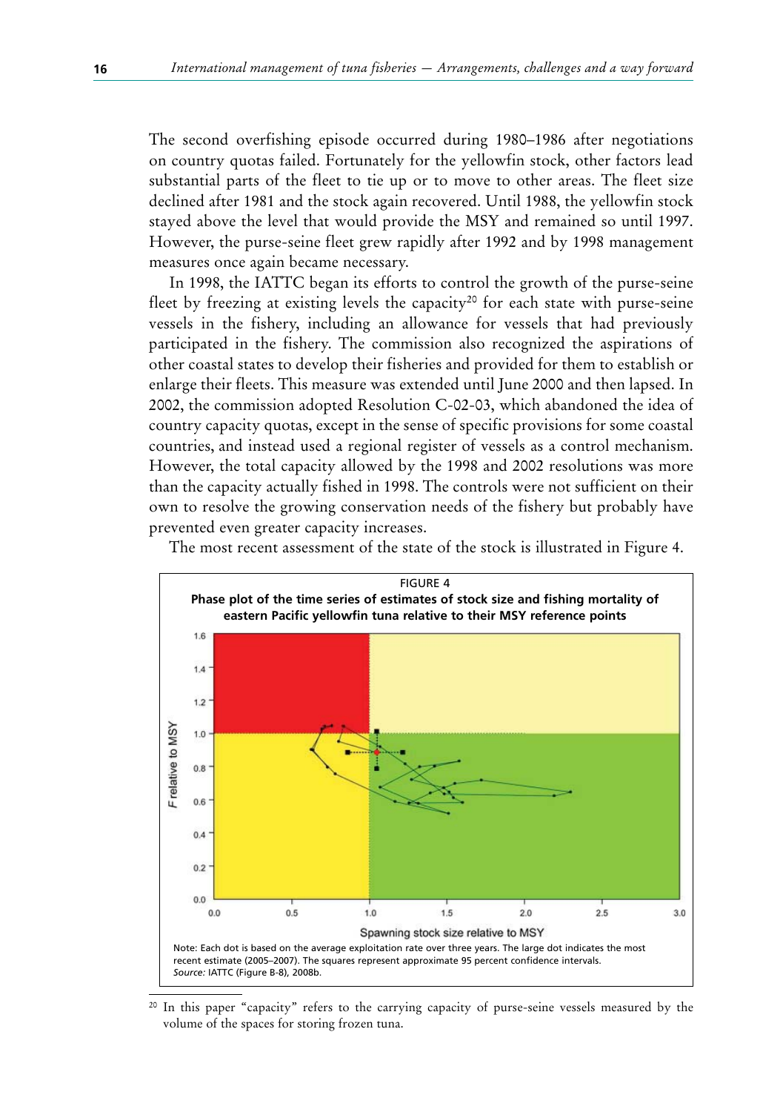The second overfishing episode occurred during 1980–1986 after negotiations on country quotas failed. Fortunately for the yellowfin stock, other factors lead substantial parts of the fleet to tie up or to move to other areas. The fleet size declined after 1981 and the stock again recovered. Until 1988, the yellowfin stock stayed above the level that would provide the MSY and remained so until 1997. However, the purse-seine fleet grew rapidly after 1992 and by 1998 management measures once again became necessary.

In 1998, the IATTC began its efforts to control the growth of the purse-seine fleet by freezing at existing levels the capacity<sup>20</sup> for each state with purse-seine vessels in the fishery, including an allowance for vessels that had previously participated in the fishery. The commission also recognized the aspirations of other coastal states to develop their fisheries and provided for them to establish or enlarge their fleets. This measure was extended until June 2000 and then lapsed. In 2002, the commission adopted Resolution C-02-03, which abandoned the idea of country capacity quotas, except in the sense of specific provisions for some coastal countries, and instead used a regional register of vessels as a control mechanism. However, the total capacity allowed by the 1998 and 2002 resolutions was more than the capacity actually fished in 1998. The controls were not sufficient on their own to resolve the growing conservation needs of the fishery but probably have prevented even greater capacity increases.



The most recent assessment of the state of the stock is illustrated in Figure 4.

In this paper "capacity" refers to the carrying capacity of purse-seine vessels measured by the volume of the spaces for storing frozen tuna.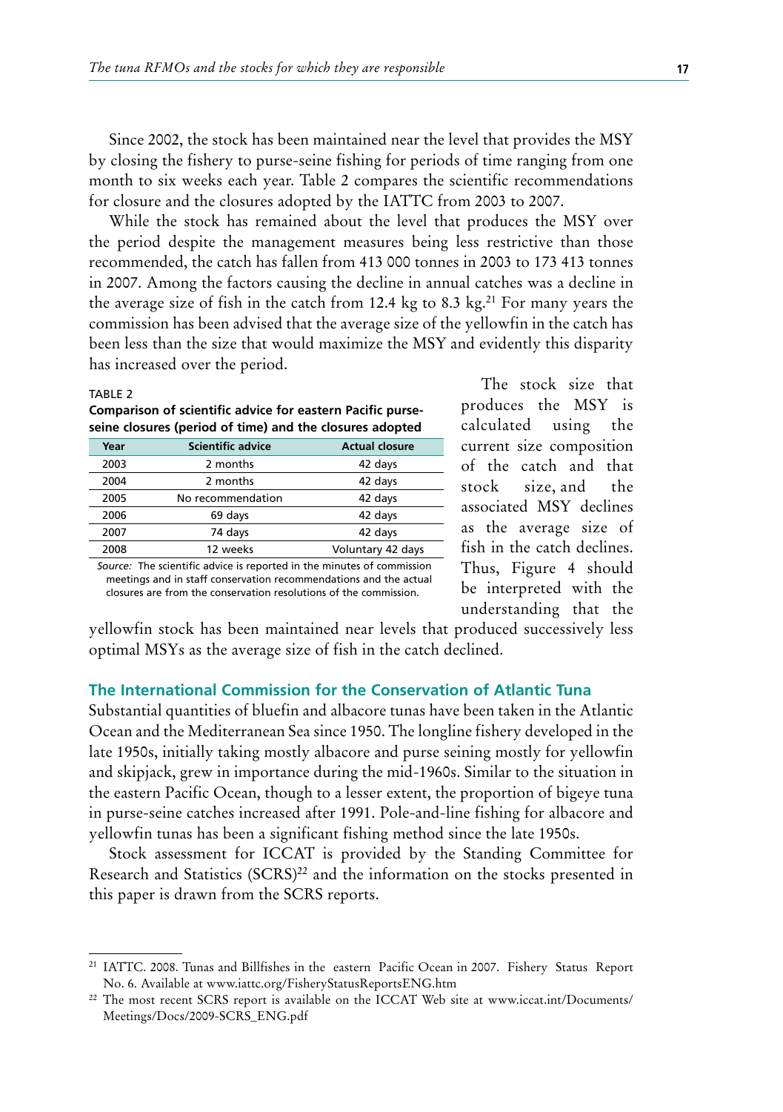Since 2002, the stock has been maintained near the level that provides the MSY by closing the fishery to purse-seine fishing for periods of time ranging from one month to six weeks each year. Table 2 compares the scientific recommendations for closure and the closures adopted by the IATTC from 2003 to 2007.

While the stock has remained about the level that produces the MSY over the period despite the management measures being less restrictive than those recommended, the catch has fallen from 413 000 tonnes in 2003 to 173 413 tonnes in 2007. Among the factors causing the decline in annual catches was a decline in the average size of fish in the catch from 12.4 kg to  $8.3 \text{ kg}$ .<sup>21</sup> For many years the commission has been advised that the average size of the yellowfin in the catch has been less than the size that would maximize the MSY and evidently this disparity has increased over the period.

#### TABLE 2

**Comparison of scientific advice for eastern Pacific purseseine closures (period of time) and the closures adopted**

| Year | <b>Scientific advice</b> | <b>Actual closure</b> |
|------|--------------------------|-----------------------|
| 2003 | 2 months                 | 42 days               |
| 2004 | 2 months                 | 42 days               |
| 2005 | No recommendation        | 42 days               |
| 2006 | 69 days                  | 42 days               |
| 2007 | 74 days                  | 42 days               |
| 2008 | 12 weeks                 | Voluntary 42 days     |

*Source:* The scientific advice is reported in the minutes of commission meetings and in staff conservation recommendations and the actual closures are from the conservation resolutions of the commission.

The stock size that produces the MSY is calculated using the current size composition of the catch and that stock size, and the associated MSY declines as the average size of fish in the catch declines. Thus, Figure 4 should be interpreted with the understanding that the

yellowfin stock has been maintained near levels that produced successively less optimal MSYs as the average size of fish in the catch declined.

## **The International Commission for the Conservation of Atlantic Tuna**

Substantial quantities of bluefin and albacore tunas have been taken in the Atlantic Ocean and the Mediterranean Sea since 1950. The longline fishery developed in the late 1950s, initially taking mostly albacore and purse seining mostly for yellowfin and skipjack, grew in importance during the mid-1960s. Similar to the situation in the eastern Pacific Ocean, though to a lesser extent, the proportion of bigeye tuna in purse-seine catches increased after 1991. Pole-and-line fishing for albacore and yellowfin tunas has been a significant fishing method since the late 1950s.

Stock assessment for ICCAT is provided by the Standing Committee for Research and Statistics (SCRS)<sup>22</sup> and the information on the stocks presented in this paper is drawn from the SCRS reports.

<sup>21</sup> IATTC. 2008. Tunas and Billfishes in the eastern Pacific Ocean in 2007. Fishery Status Report No. 6. Available at www.iattc.org/FisheryStatusReportsENG.htm

<sup>22</sup> The most recent SCRS report is available on the ICCAT Web site at www.iccat.int/Documents/ Meetings/Docs/2009-SCRS\_ENG.pdf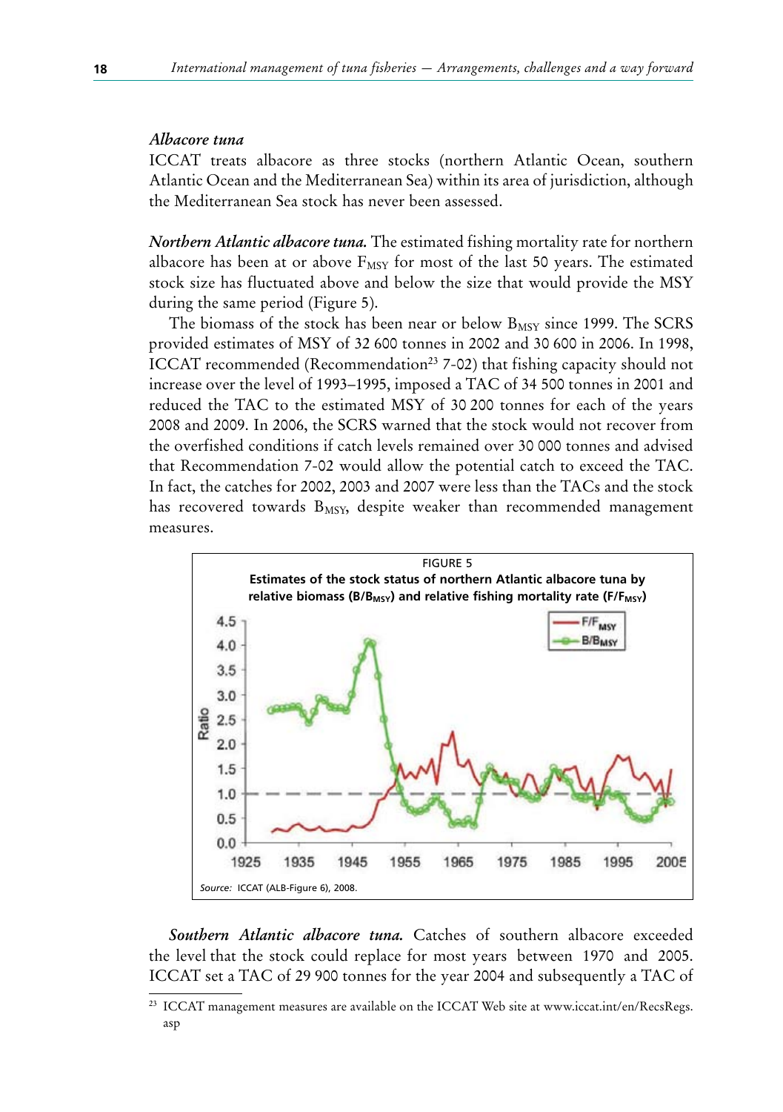## *Albacore tuna*

ICCAT treats albacore as three stocks (northern Atlantic Ocean, southern Atlantic Ocean and the Mediterranean Sea) within its area of jurisdiction, although the Mediterranean Sea stock has never been assessed.

*Northern Atlantic albacore tuna.* The estimated fishing mortality rate for northern albacore has been at or above  $F_{MST}$  for most of the last 50 years. The estimated stock size has fluctuated above and below the size that would provide the MSY during the same period (Figure 5).

The biomass of the stock has been near or below  $B_{MSY}$  since 1999. The SCRS provided estimates of MSY of 32 600 tonnes in 2002 and 30 600 in 2006. In 1998, ICCAT recommended (Recommendation<sup>23</sup> 7-02) that fishing capacity should not increase over the level of 1993–1995, imposed a TAC of 34 500 tonnes in 2001 and reduced the TAC to the estimated MSY of 30 200 tonnes for each of the years 2008 and 2009. In 2006, the SCRS warned that the stock would not recover from the overfished conditions if catch levels remained over 30 000 tonnes and advised that Recommendation 7-02 would allow the potential catch to exceed the TAC. In fact, the catches for 2002, 2003 and 2007 were less than the TACs and the stock has recovered towards  $B_{MSY}$ , despite weaker than recommended management measures.



*Southern Atlantic albacore tuna.* Catches of southern albacore exceeded the level that the stock could replace for most years between 1970 and 2005. ICCAT set a TAC of 29 900 tonnes for the year 2004 and subsequently a TAC of

<sup>23</sup> ICCAT management measures are available on the ICCAT Web site at www.iccat.int/en/RecsRegs. asp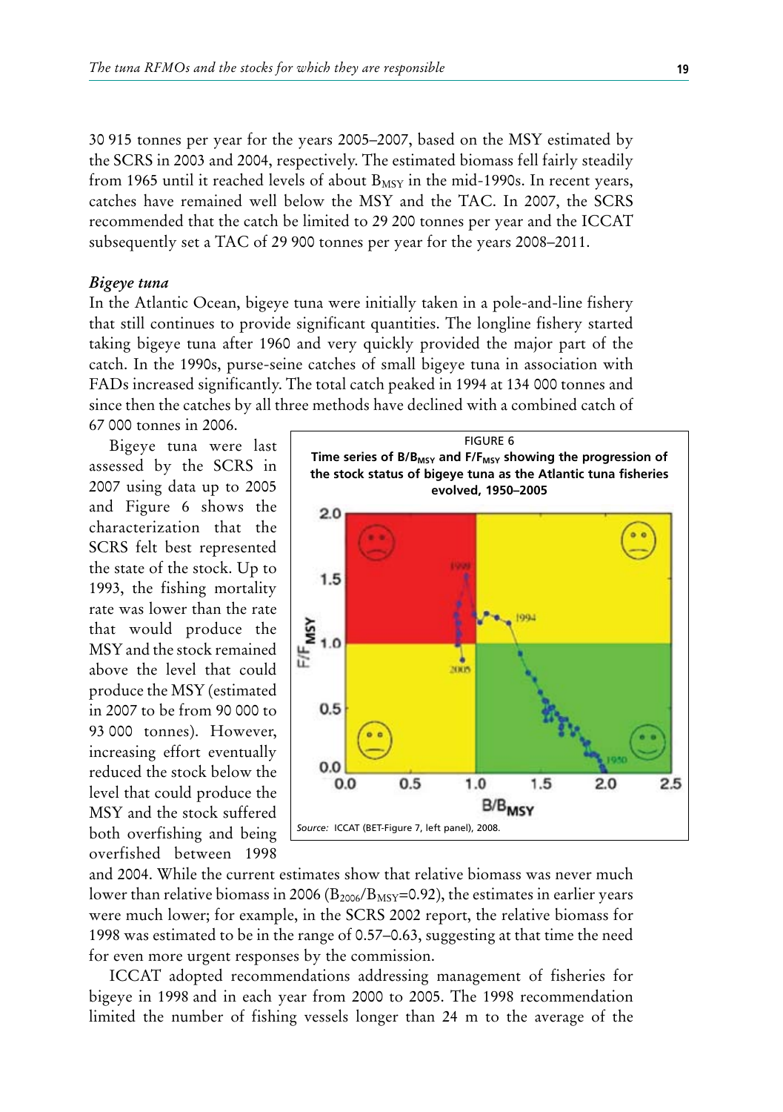30 915 tonnes per year for the years 2005–2007, based on the MSY estimated by the SCRS in 2003 and 2004, respectively. The estimated biomass fell fairly steadily from 1965 until it reached levels of about  $B_{MSY}$  in the mid-1990s. In recent years, catches have remained well below the MSY and the TAC. In 2007, the SCRS recommended that the catch be limited to 29 200 tonnes per year and the ICCAT subsequently set a TAC of 29 900 tonnes per year for the years 2008–2011.

#### *Bigeye tuna*

In the Atlantic Ocean, bigeye tuna were initially taken in a pole-and-line fishery that still continues to provide significant quantities. The longline fishery started taking bigeye tuna after 1960 and very quickly provided the major part of the catch. In the 1990s, purse-seine catches of small bigeye tuna in association with FADs increased significantly. The total catch peaked in 1994 at 134 000 tonnes and since then the catches by all three methods have declined with a combined catch of

67 000 tonnes in 2006.

Bigeye tuna were last assessed by the SCRS in 2007 using data up to 2005 and Figure 6 shows the characterization that the SCRS felt best represented the state of the stock. Up to 1993, the fishing mortality rate was lower than the rate that would produce the MSY and the stock remained above the level that could produce the MSY (estimated in 2007 to be from 90 000 to 93 000 tonnes). However, increasing effort eventually reduced the stock below the level that could produce the MSY and the stock suffered both overfishing and being overfished between 1998



and 2004. While the current estimates show that relative biomass was never much lower than relative biomass in 2006 ( $B_{2006}/B_{MSY}=0.92$ ), the estimates in earlier years were much lower; for example, in the SCRS 2002 report, the relative biomass for 1998 was estimated to be in the range of 0.57–0.63, suggesting at that time the need for even more urgent responses by the commission.

ICCAT adopted recommendations addressing management of fisheries for bigeye in 1998 and in each year from 2000 to 2005. The 1998 recommendation limited the number of fishing vessels longer than 24 m to the average of the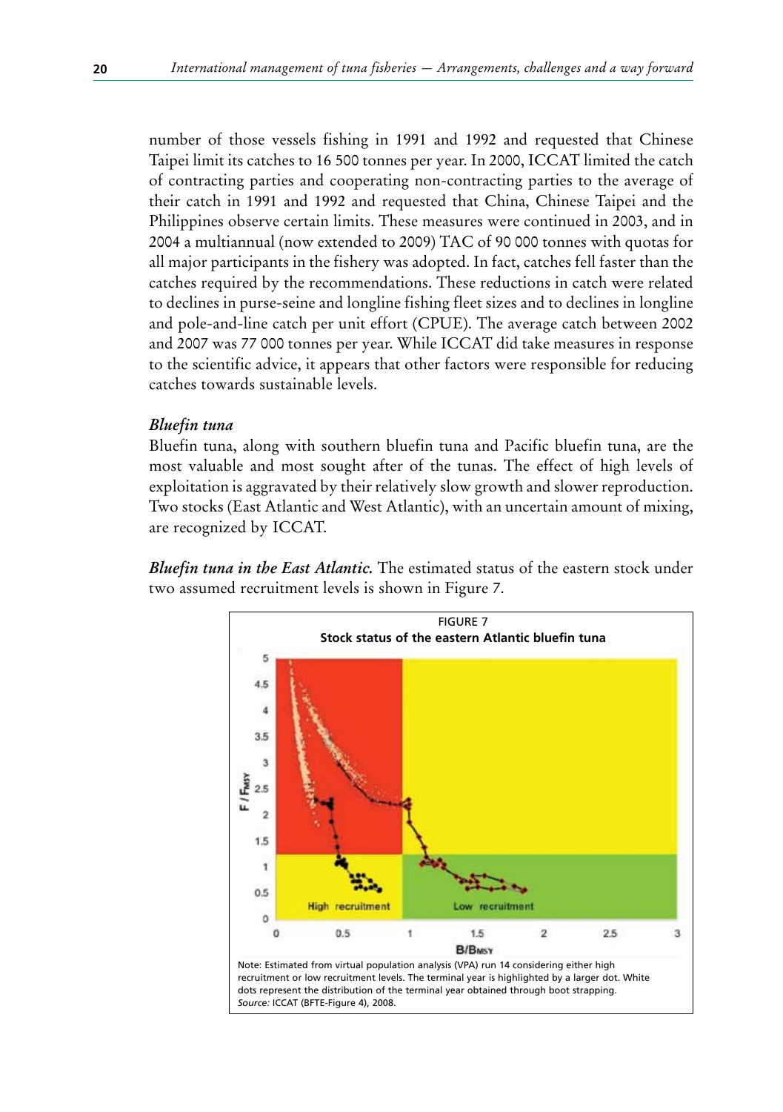number of those vessels fishing in 1991 and 1992 and requested that Chinese Taipei limit its catches to 16 500 tonnes per year. In 2000, ICCAT limited the catch of contracting parties and cooperating non-contracting parties to the average of their catch in 1991 and 1992 and requested that China, Chinese Taipei and the Philippines observe certain limits. These measures were continued in 2003, and in 2004 a multiannual (now extended to 2009) TAC of 90 000 tonnes with quotas for all major participants in the fishery was adopted. In fact, catches fell faster than the catches required by the recommendations. These reductions in catch were related to declines in purse-seine and longline fishing fleet sizes and to declines in longline and pole-and-line catch per unit effort (CPUE). The average catch between 2002 and 2007 was 77 000 tonnes per year. While ICCAT did take measures in response to the scientific advice, it appears that other factors were responsible for reducing catches towards sustainable levels.

### *Bluefin tuna*

Bluefin tuna, along with southern bluefin tuna and Pacific bluefin tuna, are the most valuable and most sought after of the tunas. The effect of high levels of exploitation is aggravated by their relatively slow growth and slower reproduction. Two stocks (East Atlantic and West Atlantic), with an uncertain amount of mixing, are recognized by ICCAT.

*Bluefin tuna in the East Atlantic.* The estimated status of the eastern stock under two assumed recruitment levels is shown in Figure 7.

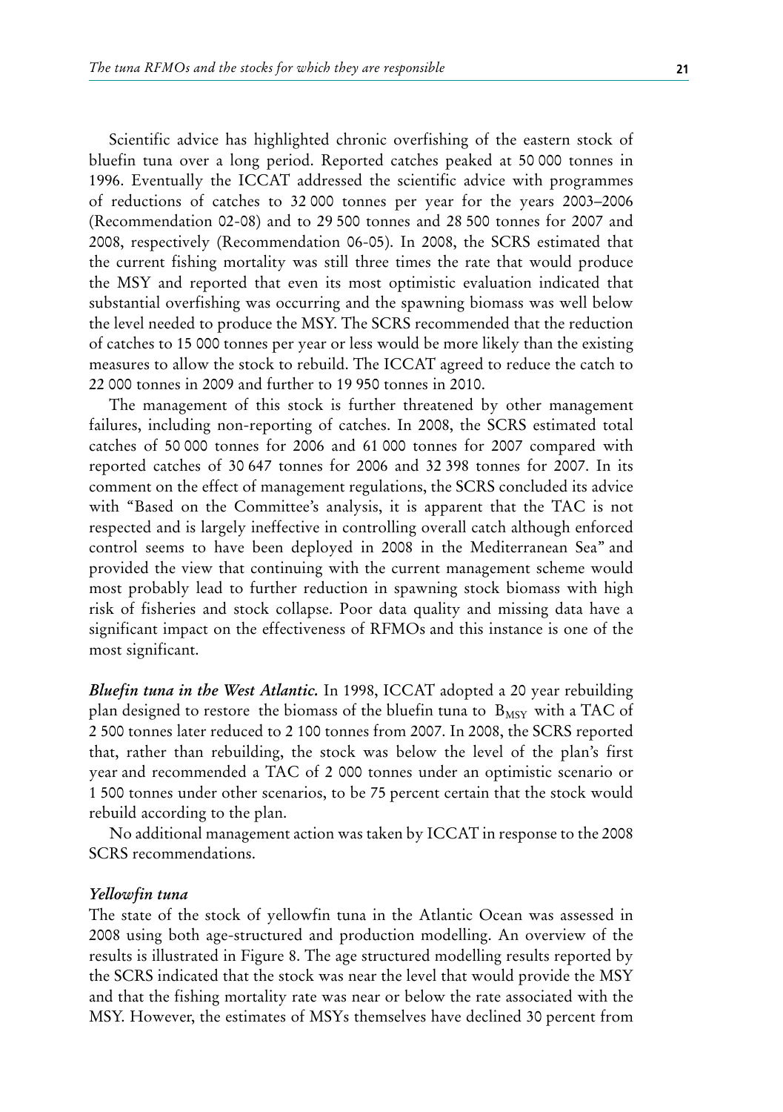Scientific advice has highlighted chronic overfishing of the eastern stock of bluefin tuna over a long period. Reported catches peaked at 50 000 tonnes in 1996. Eventually the ICCAT addressed the scientific advice with programmes of reductions of catches to 32 000 tonnes per year for the years 2003–2006 (Recommendation 02-08) and to 29 500 tonnes and 28 500 tonnes for 2007 and 2008, respectively (Recommendation 06-05). In 2008, the SCRS estimated that the current fishing mortality was still three times the rate that would produce the MSY and reported that even its most optimistic evaluation indicated that substantial overfishing was occurring and the spawning biomass was well below the level needed to produce the MSY. The SCRS recommended that the reduction of catches to 15 000 tonnes per year or less would be more likely than the existing measures to allow the stock to rebuild. The ICCAT agreed to reduce the catch to 22 000 tonnes in 2009 and further to 19 950 tonnes in 2010.

The management of this stock is further threatened by other management failures, including non-reporting of catches. In 2008, the SCRS estimated total catches of 50 000 tonnes for 2006 and 61 000 tonnes for 2007 compared with reported catches of 30 647 tonnes for 2006 and 32 398 tonnes for 2007. In its comment on the effect of management regulations, the SCRS concluded its advice with "Based on the Committee's analysis, it is apparent that the TAC is not respected and is largely ineffective in controlling overall catch although enforced control seems to have been deployed in 2008 in the Mediterranean Sea" and provided the view that continuing with the current management scheme would most probably lead to further reduction in spawning stock biomass with high risk of fisheries and stock collapse. Poor data quality and missing data have a significant impact on the effectiveness of RFMOs and this instance is one of the most significant.

*Bluefin tuna in the West Atlantic.* In 1998, ICCAT adopted a 20 year rebuilding plan designed to restore the biomass of the bluefin tuna to  $B_{MSY}$  with a TAC of 2 500 tonnes later reduced to 2 100 tonnes from 2007. In 2008, the SCRS reported that, rather than rebuilding, the stock was below the level of the plan's first year and recommended a TAC of 2 000 tonnes under an optimistic scenario or 1 500 tonnes under other scenarios, to be 75 percent certain that the stock would rebuild according to the plan.

No additional management action was taken by ICCAT in response to the 2008 SCRS recommendations.

#### *Yellowfin tuna*

The state of the stock of yellowfin tuna in the Atlantic Ocean was assessed in 2008 using both age-structured and production modelling. An overview of the results is illustrated in Figure 8. The age structured modelling results reported by the SCRS indicated that the stock was near the level that would provide the MSY and that the fishing mortality rate was near or below the rate associated with the MSY. However, the estimates of MSYs themselves have declined 30 percent from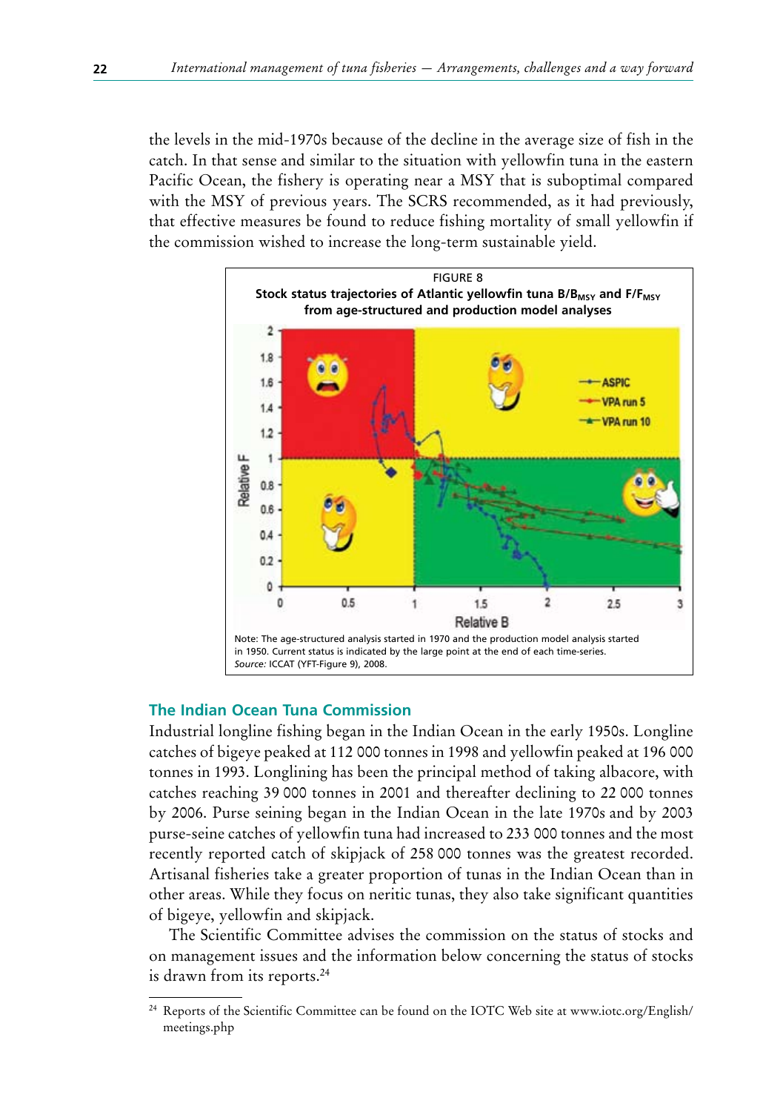the levels in the mid-1970s because of the decline in the average size of fish in the catch. In that sense and similar to the situation with yellowfin tuna in the eastern Pacific Ocean, the fishery is operating near a MSY that is suboptimal compared with the MSY of previous years. The SCRS recommended, as it had previously, that effective measures be found to reduce fishing mortality of small yellowfin if the commission wished to increase the long-term sustainable yield.



### **The Indian Ocean Tuna Commission**

Industrial longline fishing began in the Indian Ocean in the early 1950s. Longline catches of bigeye peaked at 112 000 tonnes in 1998 and yellowfin peaked at 196 000 tonnes in 1993. Longlining has been the principal method of taking albacore, with catches reaching 39 000 tonnes in 2001 and thereafter declining to 22 000 tonnes by 2006. Purse seining began in the Indian Ocean in the late 1970s and by 2003 purse-seine catches of yellowfin tuna had increased to 233 000 tonnes and the most recently reported catch of skipjack of 258 000 tonnes was the greatest recorded. Artisanal fisheries take a greater proportion of tunas in the Indian Ocean than in other areas. While they focus on neritic tunas, they also take significant quantities of bigeye, yellowfin and skipjack.

The Scientific Committee advises the commission on the status of stocks and on management issues and the information below concerning the status of stocks is drawn from its reports.24

<sup>24</sup> Reports of the Scientific Committee can be found on the IOTC Web site at www.iotc.org/English/ meetings.php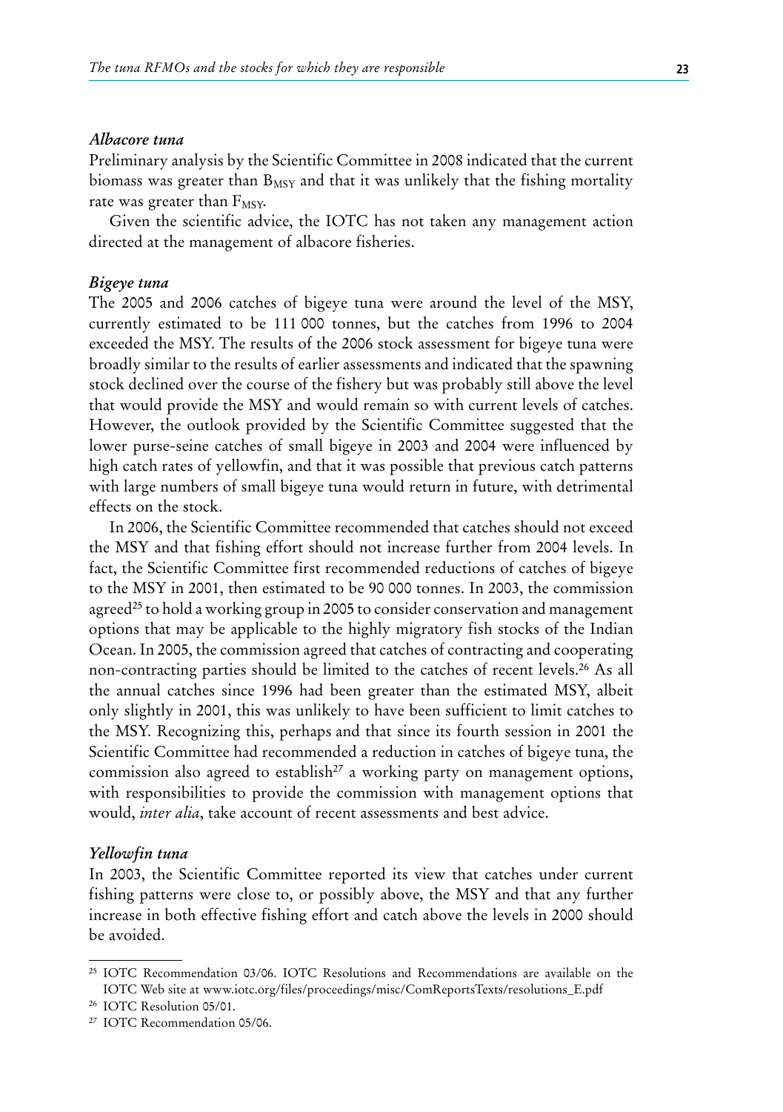#### *Albacore tuna*

Preliminary analysis by the Scientific Committee in 2008 indicated that the current biomass was greater than  $B_{MSY}$  and that it was unlikely that the fishing mortality rate was greater than  $F_{MSY}$ .

Given the scientific advice, the IOTC has not taken any management action directed at the management of albacore fisheries.

### *Bigeye tuna*

The 2005 and 2006 catches of bigeye tuna were around the level of the MSY, currently estimated to be 111 000 tonnes, but the catches from 1996 to 2004 exceeded the MSY. The results of the 2006 stock assessment for bigeye tuna were broadly similar to the results of earlier assessments and indicated that the spawning stock declined over the course of the fishery but was probably still above the level that would provide the MSY and would remain so with current levels of catches. However, the outlook provided by the Scientific Committee suggested that the lower purse-seine catches of small bigeye in 2003 and 2004 were influenced by high catch rates of yellowfin, and that it was possible that previous catch patterns with large numbers of small bigeye tuna would return in future, with detrimental effects on the stock.

In 2006, the Scientific Committee recommended that catches should not exceed the MSY and that fishing effort should not increase further from 2004 levels. In fact, the Scientific Committee first recommended reductions of catches of bigeye to the MSY in 2001, then estimated to be 90 000 tonnes. In 2003, the commission agreed<sup>25</sup> to hold a working group in 2005 to consider conservation and management options that may be applicable to the highly migratory fish stocks of the Indian Ocean. In 2005, the commission agreed that catches of contracting and cooperating non-contracting parties should be limited to the catches of recent levels.26 As all the annual catches since 1996 had been greater than the estimated MSY, albeit only slightly in 2001, this was unlikely to have been sufficient to limit catches to the MSY. Recognizing this, perhaps and that since its fourth session in 2001 the Scientific Committee had recommended a reduction in catches of bigeye tuna, the commission also agreed to establish<sup>27</sup> a working party on management options, with responsibilities to provide the commission with management options that would, *inter alia*, take account of recent assessments and best advice.

#### *Yellowfin tuna*

In 2003, the Scientific Committee reported its view that catches under current fishing patterns were close to, or possibly above, the MSY and that any further increase in both effective fishing effort and catch above the levels in 2000 should be avoided.

<sup>25</sup> IOTC Recommendation 03/06. IOTC Resolutions and Recommendations are available on the IOTC Web site at www.iotc.org/files/proceedings/misc/ComReportsTexts/resolutions\_E.pdf

<sup>26</sup> IOTC Resolution 05/01.

<sup>27</sup> IOTC Recommendation 05/06.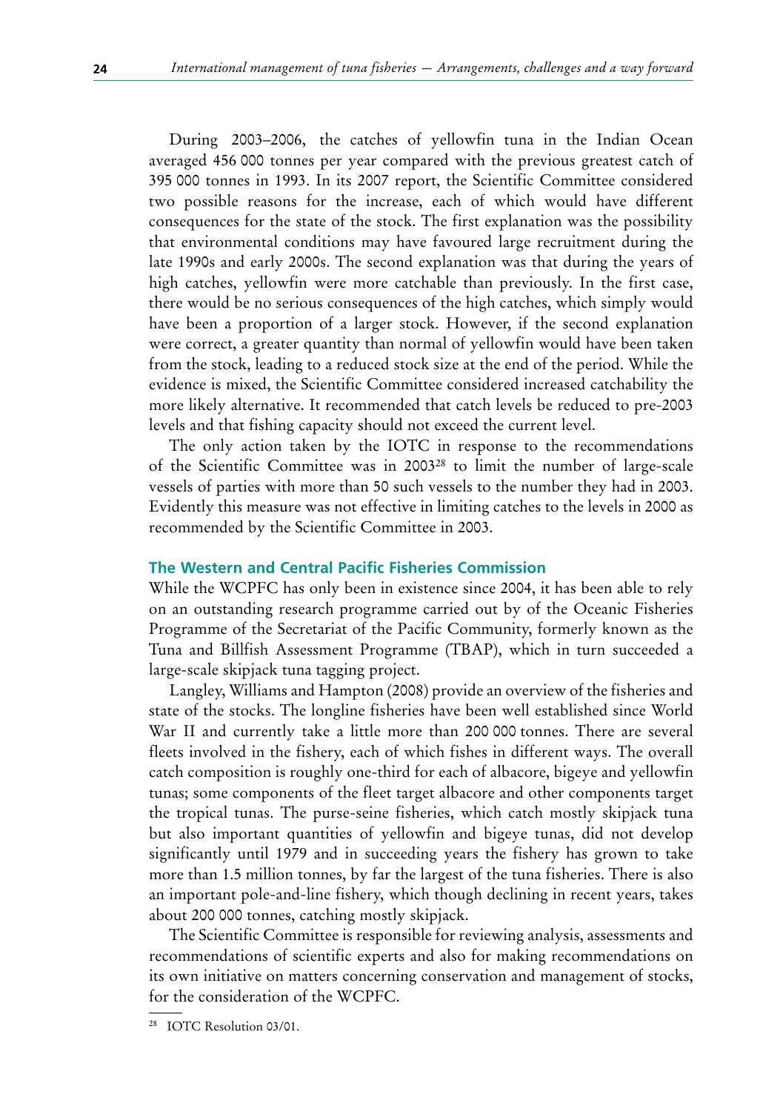During 2003–2006, the catches of yellowfin tuna in the Indian Ocean averaged 456 000 tonnes per year compared with the previous greatest catch of 395 000 tonnes in 1993. In its 2007 report, the Scientific Committee considered two possible reasons for the increase, each of which would have different consequences for the state of the stock. The first explanation was the possibility that environmental conditions may have favoured large recruitment during the late 1990s and early 2000s. The second explanation was that during the years of high catches, yellowfin were more catchable than previously. In the first case, there would be no serious consequences of the high catches, which simply would have been a proportion of a larger stock. However, if the second explanation were correct, a greater quantity than normal of yellowfin would have been taken from the stock, leading to a reduced stock size at the end of the period. While the evidence is mixed, the Scientific Committee considered increased catchability the more likely alternative. It recommended that catch levels be reduced to pre-2003 levels and that fishing capacity should not exceed the current level.

The only action taken by the IOTC in response to the recommendations of the Scientific Committee was in 200328 to limit the number of large-scale vessels of parties with more than 50 such vessels to the number they had in 2003. Evidently this measure was not effective in limiting catches to the levels in 2000 as recommended by the Scientific Committee in 2003.

## **The Western and Central Pacific Fisheries Commission**

While the WCPFC has only been in existence since 2004, it has been able to rely on an outstanding research programme carried out by of the Oceanic Fisheries Programme of the Secretariat of the Pacific Community, formerly known as the Tuna and Billfish Assessment Programme (TBAP), which in turn succeeded a large-scale skipjack tuna tagging project.

Langley, Williams and Hampton (2008) provide an overview of the fisheries and state of the stocks. The longline fisheries have been well established since World War II and currently take a little more than 200 000 tonnes. There are several fleets involved in the fishery, each of which fishes in different ways. The overall catch composition is roughly one-third for each of albacore, bigeye and yellowfin tunas; some components of the fleet target albacore and other components target the tropical tunas. The purse-seine fisheries, which catch mostly skipjack tuna but also important quantities of yellowfin and bigeye tunas, did not develop significantly until 1979 and in succeeding years the fishery has grown to take more than 1.5 million tonnes, by far the largest of the tuna fisheries. There is also an important pole-and-line fishery, which though declining in recent years, takes about 200 000 tonnes, catching mostly skipjack.

The Scientific Committee is responsible for reviewing analysis, assessments and recommendations of scientific experts and also for making recommendations on its own initiative on matters concerning conservation and management of stocks, for the consideration of the WCPFC.

<sup>28</sup> IOTC Resolution 03/01.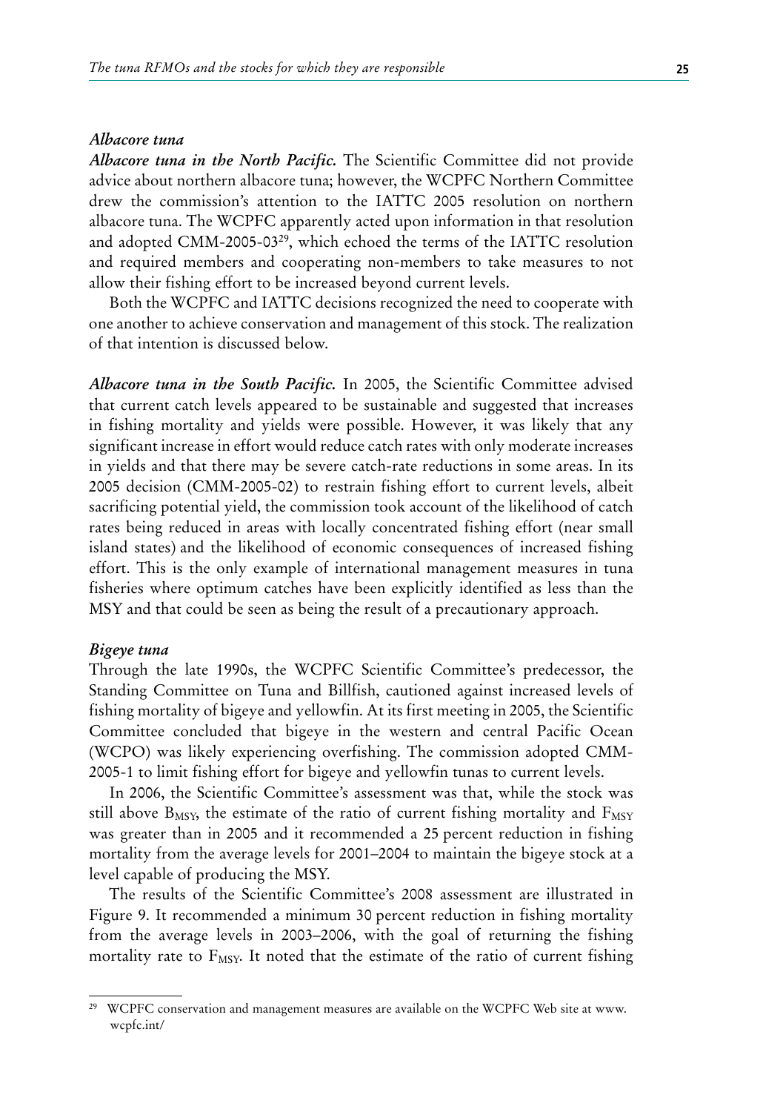### *Albacore tuna*

*Albacore tuna in the North Pacific.* The Scientific Committee did not provide advice about northern albacore tuna; however, the WCPFC Northern Committee drew the commission's attention to the IATTC 2005 resolution on northern albacore tuna. The WCPFC apparently acted upon information in that resolution and adopted CMM-2005-0329, which echoed the terms of the IATTC resolution and required members and cooperating non-members to take measures to not allow their fishing effort to be increased beyond current levels.

Both the WCPFC and IATTC decisions recognized the need to cooperate with one another to achieve conservation and management of this stock. The realization of that intention is discussed below.

*Albacore tuna in the South Pacific.* In 2005, the Scientific Committee advised that current catch levels appeared to be sustainable and suggested that increases in fishing mortality and yields were possible. However, it was likely that any significant increase in effort would reduce catch rates with only moderate increases in yields and that there may be severe catch-rate reductions in some areas. In its 2005 decision (CMM-2005-02) to restrain fishing effort to current levels, albeit sacrificing potential yield, the commission took account of the likelihood of catch rates being reduced in areas with locally concentrated fishing effort (near small island states) and the likelihood of economic consequences of increased fishing effort. This is the only example of international management measures in tuna fisheries where optimum catches have been explicitly identified as less than the MSY and that could be seen as being the result of a precautionary approach.

#### *Bigeye tuna*

Through the late 1990s, the WCPFC Scientific Committee's predecessor, the Standing Committee on Tuna and Billfish, cautioned against increased levels of fishing mortality of bigeye and yellowfin. At its first meeting in 2005, the Scientific Committee concluded that bigeye in the western and central Pacific Ocean (WCPO) was likely experiencing overfishing. The commission adopted CMM-2005-1 to limit fishing effort for bigeye and yellowfin tunas to current levels.

In 2006, the Scientific Committee's assessment was that, while the stock was still above  $B_{MSY}$ , the estimate of the ratio of current fishing mortality and  $F_{MSY}$ was greater than in 2005 and it recommended a 25 percent reduction in fishing mortality from the average levels for 2001–2004 to maintain the bigeye stock at a level capable of producing the MSY.

The results of the Scientific Committee's 2008 assessment are illustrated in Figure 9. It recommended a minimum 30 percent reduction in fishing mortality from the average levels in 2003–2006, with the goal of returning the fishing mortality rate to  $F_{MSY}$ . It noted that the estimate of the ratio of current fishing

<sup>&</sup>lt;sup>29</sup> WCPFC conservation and management measures are available on the WCPFC Web site at www. wcpfc.int/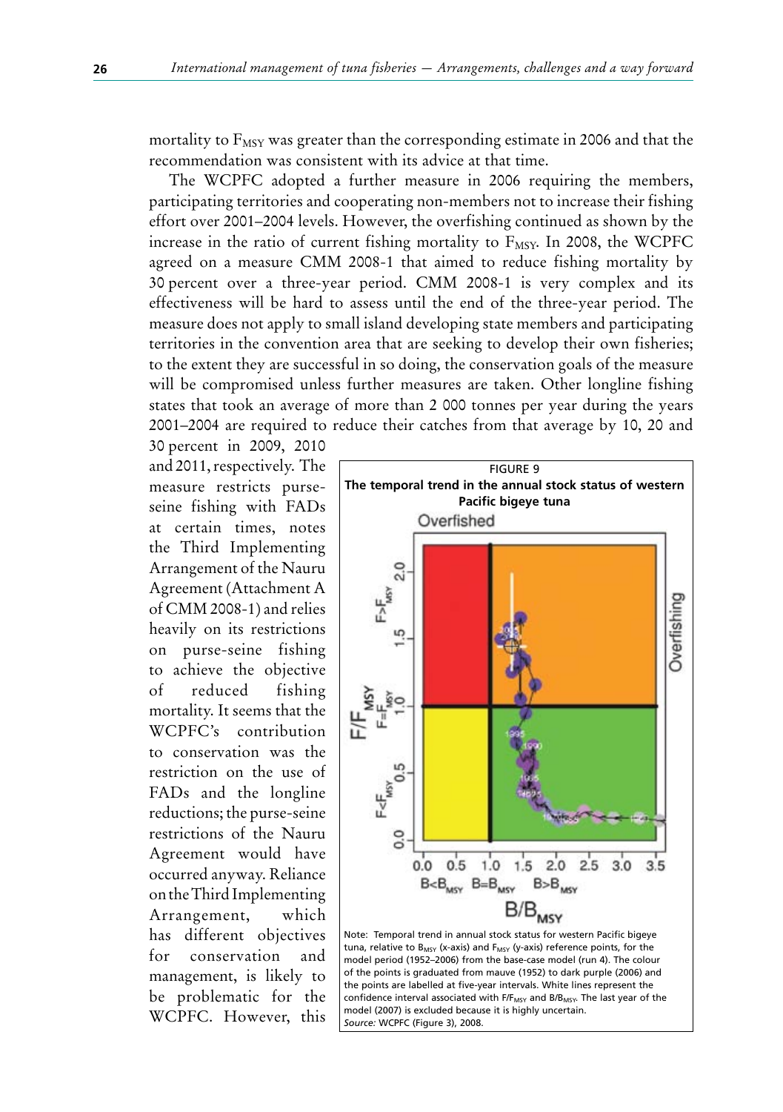mortality to  $F_{MSY}$  was greater than the corresponding estimate in 2006 and that the recommendation was consistent with its advice at that time.

The WCPFC adopted a further measure in 2006 requiring the members, participating territories and cooperating non-members not to increase their fishing effort over 2001–2004 levels. However, the overfishing continued as shown by the increase in the ratio of current fishing mortality to  $F_{MSY}$ . In 2008, the WCPFC agreed on a measure CMM 2008-1 that aimed to reduce fishing mortality by 30 percent over a three-year period. CMM 2008-1 is very complex and its effectiveness will be hard to assess until the end of the three-year period. The measure does not apply to small island developing state members and participating territories in the convention area that are seeking to develop their own fisheries; to the extent they are successful in so doing, the conservation goals of the measure will be compromised unless further measures are taken. Other longline fishing states that took an average of more than 2 000 tonnes per year during the years 2001–2004 are required to reduce their catches from that average by 10, 20 and

30 percent in 2009, 2010 and 2011, respectively. The measure restricts purseseine fishing with FADs at certain times, notes the Third Implementing Arrangement of the Nauru Agreement (Attachment A of CMM 2008-1) and relies heavily on its restrictions on purse-seine fishing to achieve the objective of reduced fishing mortality. It seems that the WCPFC's contribution to conservation was the restriction on the use of FADs and the longline reductions; the purse-seine restrictions of the Nauru Agreement would have occurred anyway. Reliance on the Third Implementing Arrangement, which has different objectives for conservation and management, is likely to be problematic for the WCPFC. However, this



model (2007) is excluded because it is highly uncertain.

*Source:* WCPFC (Figure 3), 2008.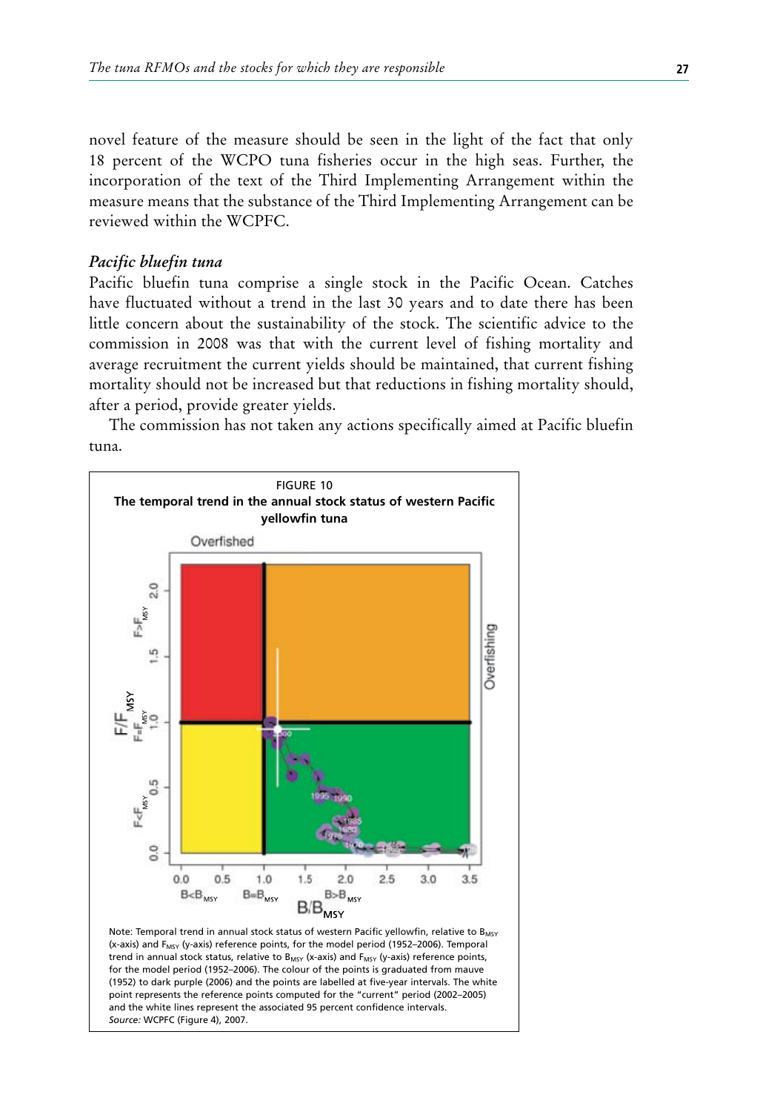novel feature of the measure should be seen in the light of the fact that only 18 percent of the WCPO tuna fisheries occur in the high seas. Further, the incorporation of the text of the Third Implementing Arrangement within the measure means that the substance of the Third Implementing Arrangement can be reviewed within the WCPFC.

### *Pacific bluefin tuna*

Pacific bluefin tuna comprise a single stock in the Pacific Ocean. Catches have fluctuated without a trend in the last 30 years and to date there has been little concern about the sustainability of the stock. The scientific advice to the commission in 2008 was that with the current level of fishing mortality and average recruitment the current yields should be maintained, that current fishing mortality should not be increased but that reductions in fishing mortality should, after a period, provide greater yields.

The commission has not taken any actions specifically aimed at Pacific bluefin tuna.

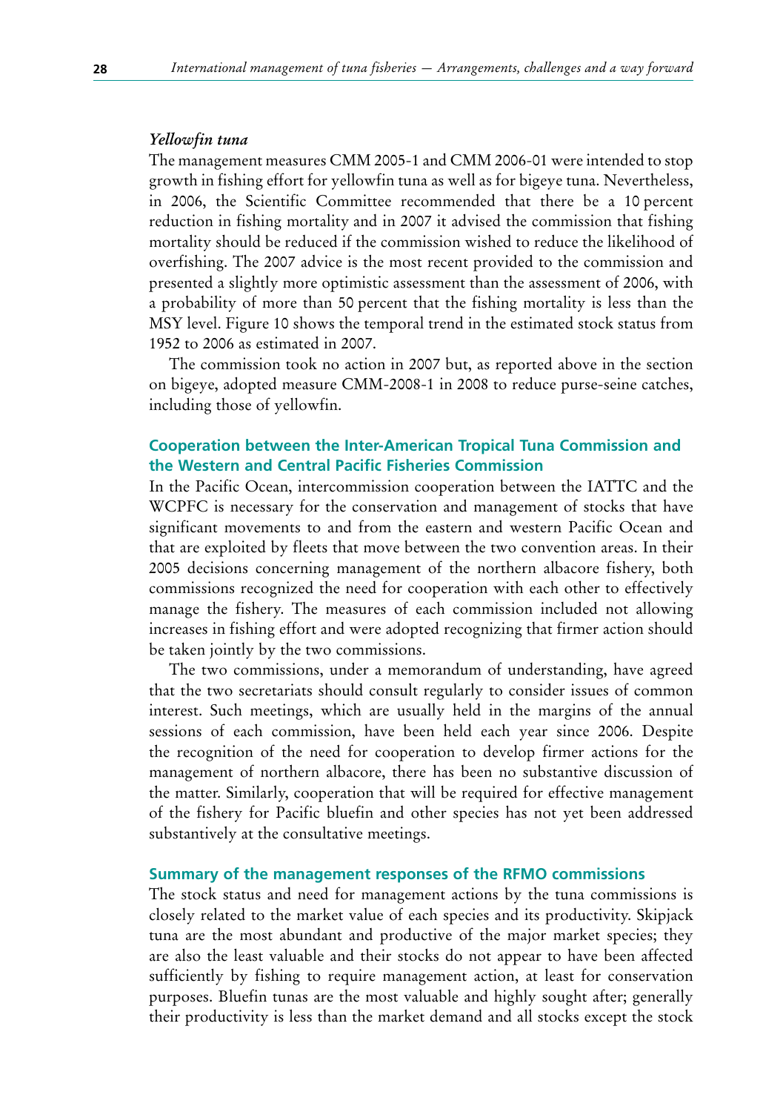#### *Yellowfin tuna*

The management measures CMM 2005-1 and CMM 2006-01 were intended to stop growth in fishing effort for yellowfin tuna as well as for bigeye tuna. Nevertheless, in 2006, the Scientific Committee recommended that there be a 10 percent reduction in fishing mortality and in 2007 it advised the commission that fishing mortality should be reduced if the commission wished to reduce the likelihood of overfishing. The 2007 advice is the most recent provided to the commission and presented a slightly more optimistic assessment than the assessment of 2006, with a probability of more than 50 percent that the fishing mortality is less than the MSY level. Figure 10 shows the temporal trend in the estimated stock status from 1952 to 2006 as estimated in 2007.

The commission took no action in 2007 but, as reported above in the section on bigeye, adopted measure CMM-2008-1 in 2008 to reduce purse-seine catches, including those of yellowfin.

## **Cooperation between the Inter-American Tropical Tuna Commission and the Western and Central Pacific Fisheries Commission**

In the Pacific Ocean, intercommission cooperation between the IATTC and the WCPFC is necessary for the conservation and management of stocks that have significant movements to and from the eastern and western Pacific Ocean and that are exploited by fleets that move between the two convention areas. In their 2005 decisions concerning management of the northern albacore fishery, both commissions recognized the need for cooperation with each other to effectively manage the fishery. The measures of each commission included not allowing increases in fishing effort and were adopted recognizing that firmer action should be taken jointly by the two commissions.

The two commissions, under a memorandum of understanding, have agreed that the two secretariats should consult regularly to consider issues of common interest. Such meetings, which are usually held in the margins of the annual sessions of each commission, have been held each year since 2006. Despite the recognition of the need for cooperation to develop firmer actions for the management of northern albacore, there has been no substantive discussion of the matter. Similarly, cooperation that will be required for effective management of the fishery for Pacific bluefin and other species has not yet been addressed substantively at the consultative meetings.

### **Summary of the management responses of the RFMO commissions**

The stock status and need for management actions by the tuna commissions is closely related to the market value of each species and its productivity. Skipjack tuna are the most abundant and productive of the major market species; they are also the least valuable and their stocks do not appear to have been affected sufficiently by fishing to require management action, at least for conservation purposes. Bluefin tunas are the most valuable and highly sought after; generally their productivity is less than the market demand and all stocks except the stock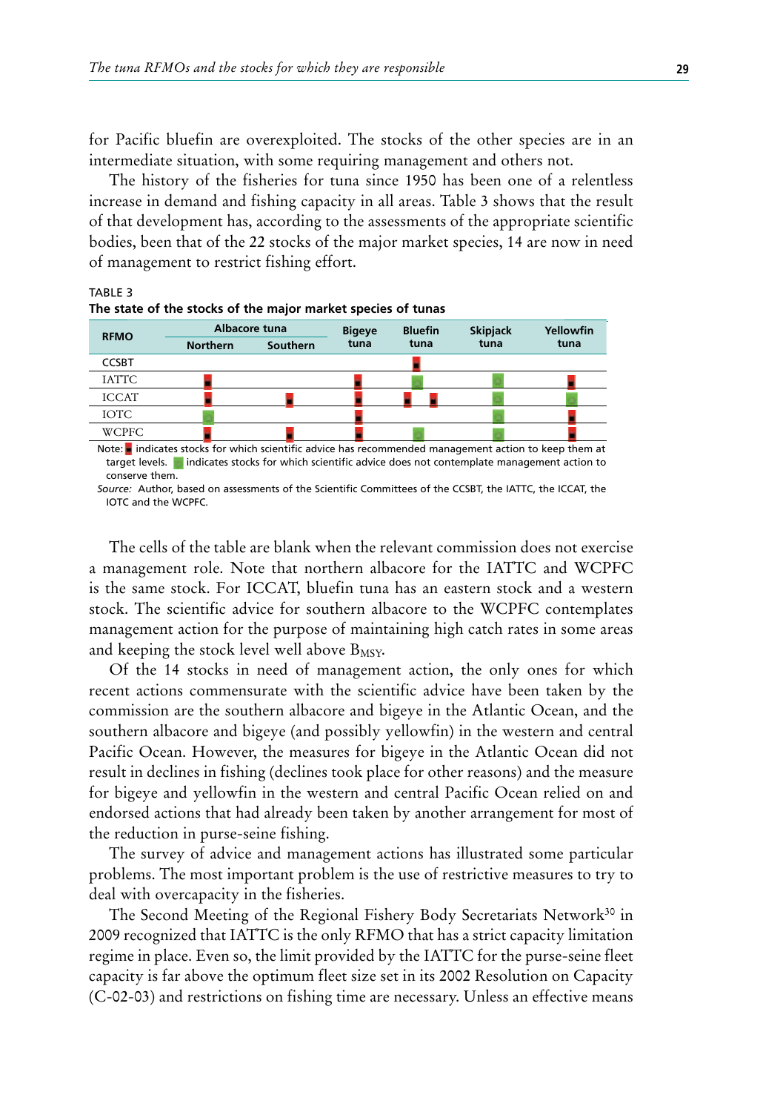for Pacific bluefin are overexploited. The stocks of the other species are in an intermediate situation, with some requiring management and others not.

The history of the fisheries for tuna since 1950 has been one of a relentless increase in demand and fishing capacity in all areas. Table 3 shows that the result of that development has, according to the assessments of the appropriate scientific bodies, been that of the 22 stocks of the major market species, 14 are now in need of management to restrict fishing effort.

### TABLE 3



target levels. indicates stocks for which scientific advice does not contemplate management action to conserve them.

*Source:* Author, based on assessments of the Scientific Committees of the CCSBT, the IATTC, the ICCAT, the IOTC and the WCPFC.

The cells of the table are blank when the relevant commission does not exercise a management role. Note that northern albacore for the IATTC and WCPFC is the same stock. For ICCAT, bluefin tuna has an eastern stock and a western stock. The scientific advice for southern albacore to the WCPFC contemplates management action for the purpose of maintaining high catch rates in some areas and keeping the stock level well above  $B_{MSY}$ .

Of the 14 stocks in need of management action, the only ones for which recent actions commensurate with the scientific advice have been taken by the commission are the southern albacore and bigeye in the Atlantic Ocean, and the southern albacore and bigeye (and possibly yellowfin) in the western and central Pacific Ocean. However, the measures for bigeye in the Atlantic Ocean did not result in declines in fishing (declines took place for other reasons) and the measure for bigeye and yellowfin in the western and central Pacific Ocean relied on and endorsed actions that had already been taken by another arrangement for most of the reduction in purse-seine fishing.

The survey of advice and management actions has illustrated some particular problems. The most important problem is the use of restrictive measures to try to deal with overcapacity in the fisheries.

The Second Meeting of the Regional Fishery Body Secretariats Network<sup>30</sup> in 2009 recognized that IATTC is the only RFMO that has a strict capacity limitation regime in place. Even so, the limit provided by the IATTC for the purse-seine fleet capacity is far above the optimum fleet size set in its 2002 Resolution on Capacity (C-02-03) and restrictions on fishing time are necessary. Unless an effective means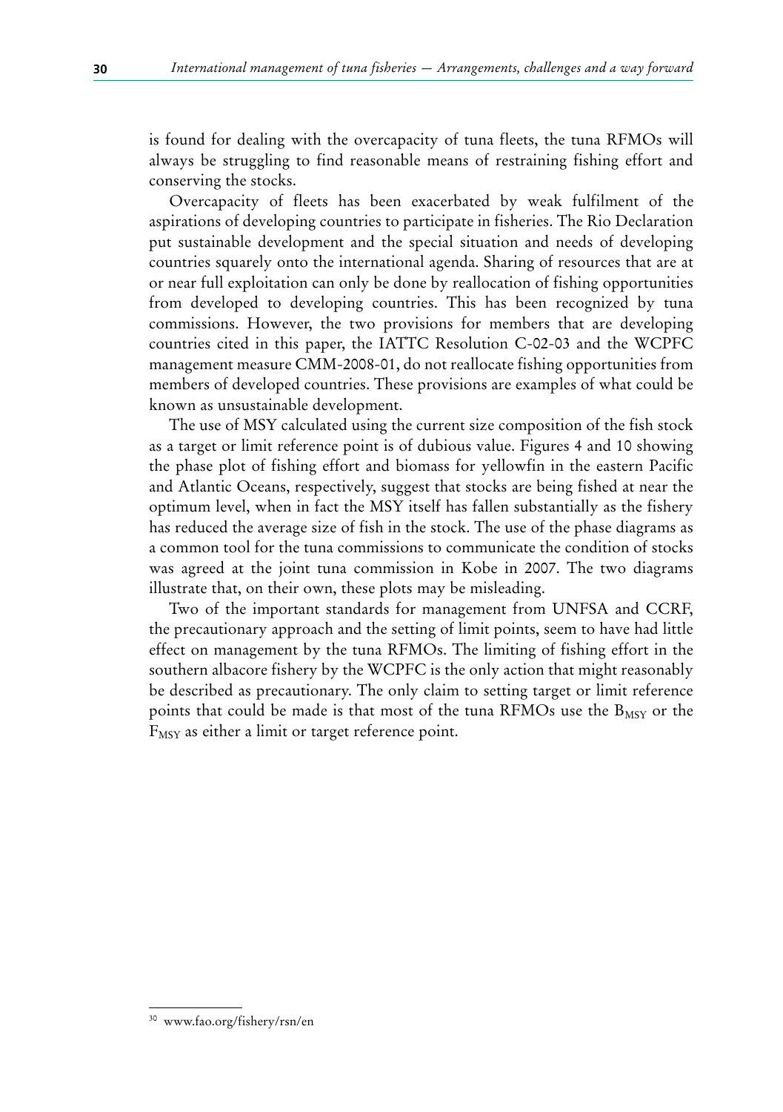is found for dealing with the overcapacity of tuna fleets, the tuna RFMOs will always be struggling to find reasonable means of restraining fishing effort and conserving the stocks.

Overcapacity of fleets has been exacerbated by weak fulfilment of the aspirations of developing countries to participate in fisheries. The Rio Declaration put sustainable development and the special situation and needs of developing countries squarely onto the international agenda. Sharing of resources that are at or near full exploitation can only be done by reallocation of fishing opportunities from developed to developing countries. This has been recognized by tuna commissions. However, the two provisions for members that are developing countries cited in this paper, the IATTC Resolution C-02-03 and the WCPFC management measure CMM-2008-01, do not reallocate fishing opportunities from members of developed countries. These provisions are examples of what could be known as unsustainable development.

The use of MSY calculated using the current size composition of the fish stock as a target or limit reference point is of dubious value. Figures 4 and 10 showing the phase plot of fishing effort and biomass for yellowfin in the eastern Pacific and Atlantic Oceans, respectively, suggest that stocks are being fished at near the optimum level, when in fact the MSY itself has fallen substantially as the fishery has reduced the average size of fish in the stock. The use of the phase diagrams as a common tool for the tuna commissions to communicate the condition of stocks was agreed at the joint tuna commission in Kobe in 2007. The two diagrams illustrate that, on their own, these plots may be misleading.

Two of the important standards for management from UNFSA and CCRF, the precautionary approach and the setting of limit points, seem to have had little effect on management by the tuna RFMOs. The limiting of fishing effort in the southern albacore fishery by the WCPFC is the only action that might reasonably be described as precautionary. The only claim to setting target or limit reference points that could be made is that most of the tuna RFMOs use the  $B_{MSY}$  or the F<sub>MSY</sub> as either a limit or target reference point.

<sup>30</sup> www.fao.org/fishery/rsn/en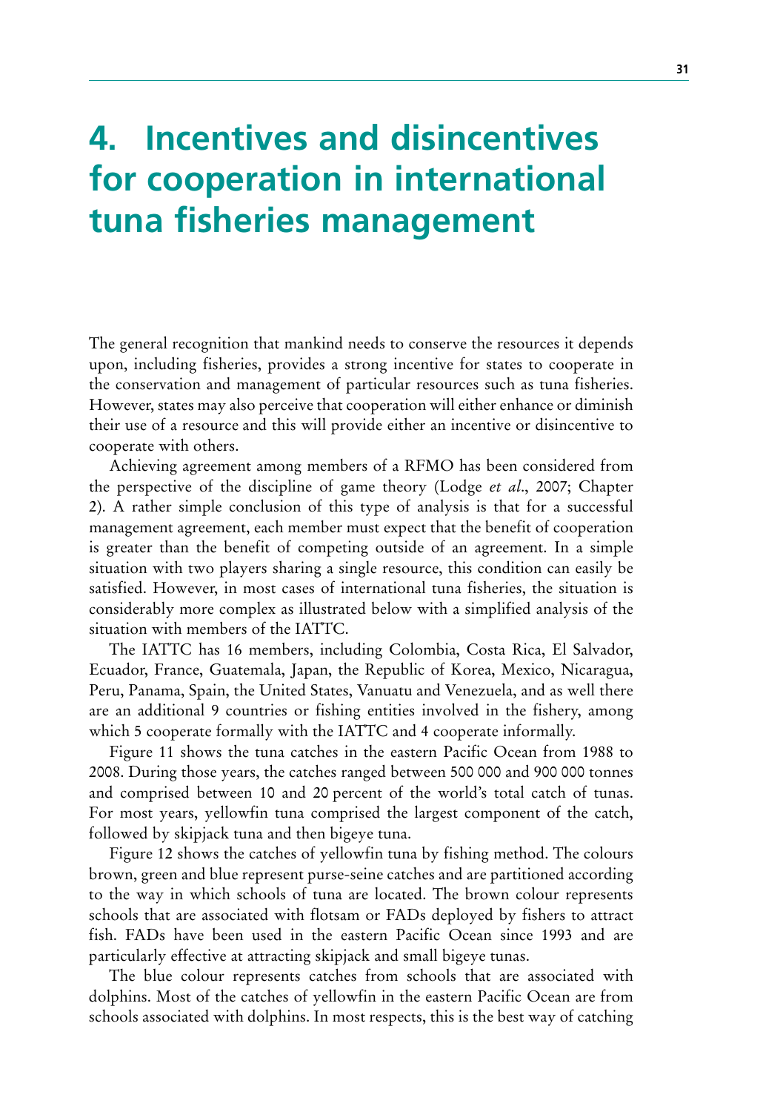# **4. Incentives and disincentives for cooperation in international tuna fisheries management**

The general recognition that mankind needs to conserve the resources it depends upon, including fisheries, provides a strong incentive for states to cooperate in the conservation and management of particular resources such as tuna fisheries. However, states may also perceive that cooperation will either enhance or diminish their use of a resource and this will provide either an incentive or disincentive to cooperate with others.

Achieving agreement among members of a RFMO has been considered from the perspective of the discipline of game theory (Lodge *et al*., 2007; Chapter 2). A rather simple conclusion of this type of analysis is that for a successful management agreement, each member must expect that the benefit of cooperation is greater than the benefit of competing outside of an agreement. In a simple situation with two players sharing a single resource, this condition can easily be satisfied. However, in most cases of international tuna fisheries, the situation is considerably more complex as illustrated below with a simplified analysis of the situation with members of the IATTC.

The IATTC has 16 members, including Colombia, Costa Rica, El Salvador, Ecuador, France, Guatemala, Japan, the Republic of Korea, Mexico, Nicaragua, Peru, Panama, Spain, the United States, Vanuatu and Venezuela, and as well there are an additional 9 countries or fishing entities involved in the fishery, among which 5 cooperate formally with the IATTC and 4 cooperate informally.

Figure 11 shows the tuna catches in the eastern Pacific Ocean from 1988 to 2008. During those years, the catches ranged between 500 000 and 900 000 tonnes and comprised between 10 and 20 percent of the world's total catch of tunas. For most years, yellowfin tuna comprised the largest component of the catch, followed by skipjack tuna and then bigeye tuna.

Figure 12 shows the catches of yellowfin tuna by fishing method. The colours brown, green and blue represent purse-seine catches and are partitioned according to the way in which schools of tuna are located. The brown colour represents schools that are associated with flotsam or FADs deployed by fishers to attract fish. FADs have been used in the eastern Pacific Ocean since 1993 and are particularly effective at attracting skipjack and small bigeye tunas.

The blue colour represents catches from schools that are associated with dolphins. Most of the catches of yellowfin in the eastern Pacific Ocean are from schools associated with dolphins. In most respects, this is the best way of catching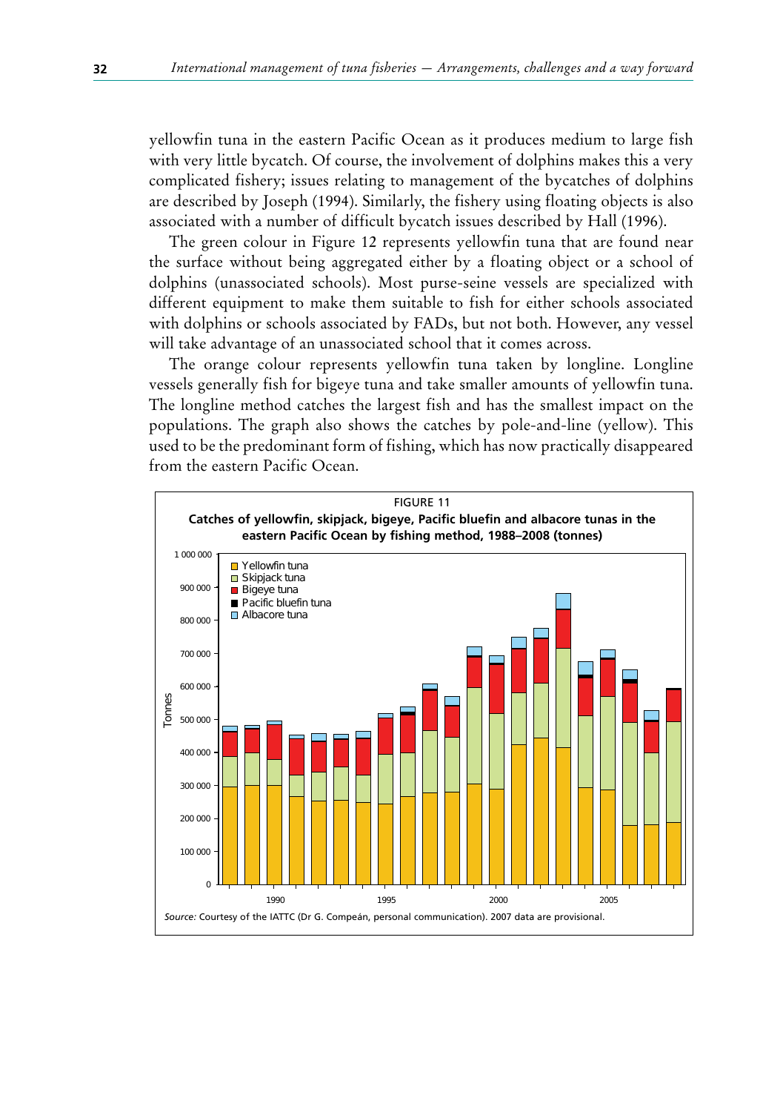yellowfin tuna in the eastern Pacific Ocean as it produces medium to large fish with very little bycatch. Of course, the involvement of dolphins makes this a very complicated fishery; issues relating to management of the bycatches of dolphins are described by Joseph (1994). Similarly, the fishery using floating objects is also associated with a number of difficult bycatch issues described by Hall (1996).

The green colour in Figure 12 represents yellowfin tuna that are found near the surface without being aggregated either by a floating object or a school of dolphins (unassociated schools). Most purse-seine vessels are specialized with different equipment to make them suitable to fish for either schools associated with dolphins or schools associated by FADs, but not both. However, any vessel will take advantage of an unassociated school that it comes across.

The orange colour represents yellowfin tuna taken by longline. Longline vessels generally fish for bigeye tuna and take smaller amounts of yellowfin tuna. The longline method catches the largest fish and has the smallest impact on the populations. The graph also shows the catches by pole-and-line (yellow). This used to be the predominant form of fishing, which has now practically disappeared from the eastern Pacific Ocean.

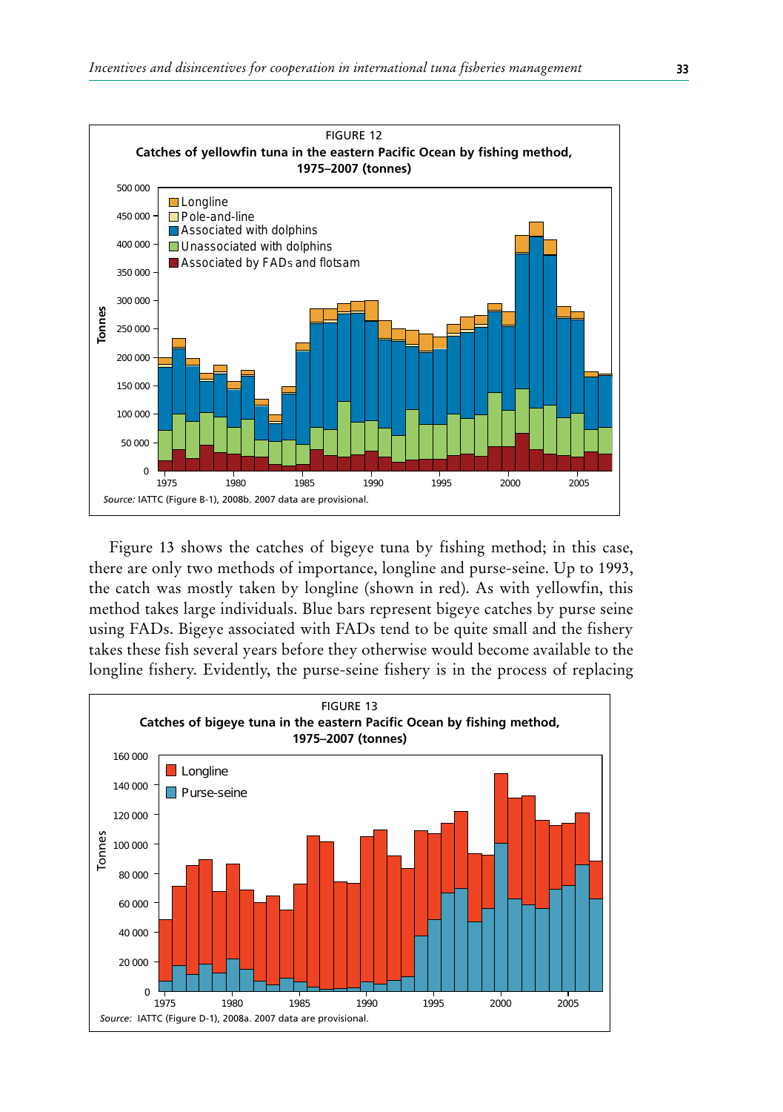

Figure 13 shows the catches of bigeye tuna by fishing method; in this case, there are only two methods of importance, longline and purse-seine. Up to 1993, the catch was mostly taken by longline (shown in red). As with yellowfin, this method takes large individuals. Blue bars represent bigeye catches by purse seine using FADs. Bigeye associated with FADs tend to be quite small and the fishery takes these fish several years before they otherwise would become available to the longline fishery. Evidently, the purse-seine fishery is in the process of replacing

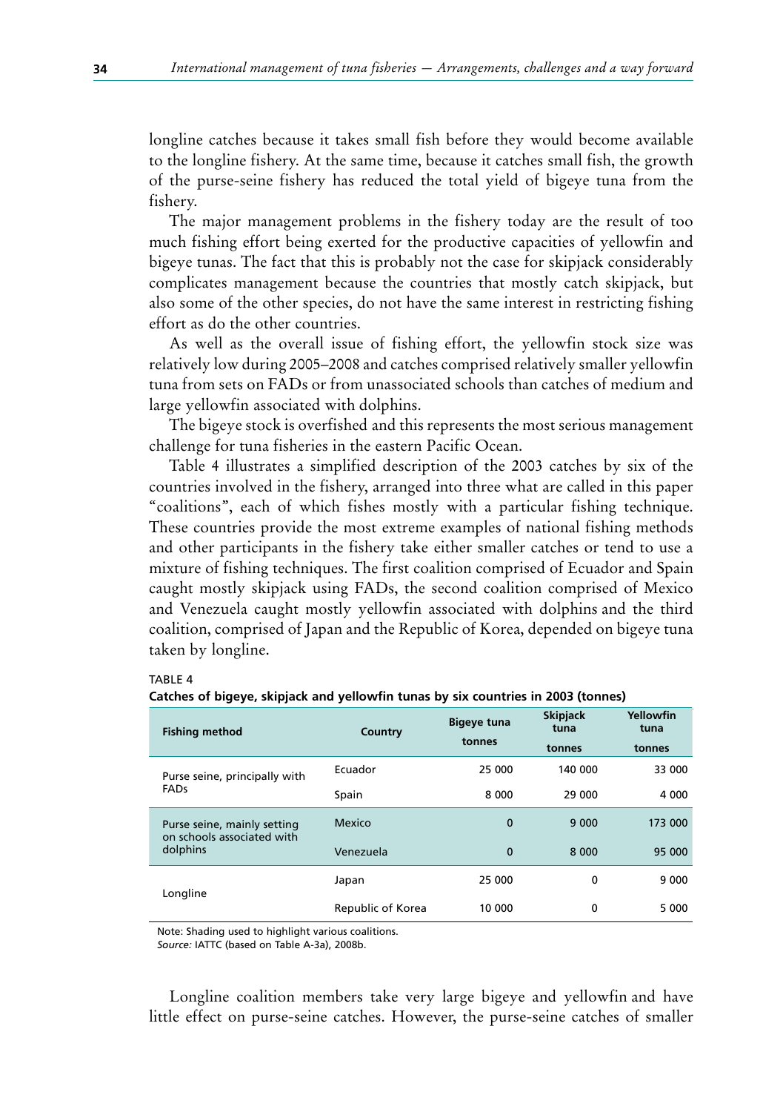longline catches because it takes small fish before they would become available to the longline fishery. At the same time, because it catches small fish, the growth of the purse-seine fishery has reduced the total yield of bigeye tuna from the fishery.

The major management problems in the fishery today are the result of too much fishing effort being exerted for the productive capacities of yellowfin and bigeye tunas. The fact that this is probably not the case for skipjack considerably complicates management because the countries that mostly catch skipjack, but also some of the other species, do not have the same interest in restricting fishing effort as do the other countries.

As well as the overall issue of fishing effort, the yellowfin stock size was relatively low during 2005–2008 and catches comprised relatively smaller yellowfin tuna from sets on FADs or from unassociated schools than catches of medium and large yellowfin associated with dolphins.

The bigeye stock is overfished and this represents the most serious management challenge for tuna fisheries in the eastern Pacific Ocean.

Table 4 illustrates a simplified description of the 2003 catches by six of the countries involved in the fishery, arranged into three what are called in this paper "coalitions", each of which fishes mostly with a particular fishing technique. These countries provide the most extreme examples of national fishing methods and other participants in the fishery take either smaller catches or tend to use a mixture of fishing techniques. The first coalition comprised of Ecuador and Spain caught mostly skipjack using FADs, the second coalition comprised of Mexico and Venezuela caught mostly yellowfin associated with dolphins and the third coalition, comprised of Japan and the Republic of Korea, depended on bigeye tuna taken by longline.

#### TABLE 4

| Catches of bigeye, skipjack and yellowfin tunas by six countries in 2003 (tonnes) |  |  |  |  |  |
|-----------------------------------------------------------------------------------|--|--|--|--|--|
|-----------------------------------------------------------------------------------|--|--|--|--|--|

| <b>Fishing method</b>                                     | Country           | <b>Bigeve tuna</b> | <b>Skipjack</b><br>tuna | Yellowfin<br>tuna |
|-----------------------------------------------------------|-------------------|--------------------|-------------------------|-------------------|
|                                                           |                   | tonnes             | tonnes                  | tonnes            |
| Purse seine, principally with                             | Ecuador           | 25 000             | 140 000                 | 33 000            |
| <b>FADs</b>                                               | Spain             | 8 0 0 0            | 29 000                  | 4 0 0 0           |
| Purse seine, mainly setting<br>on schools associated with | Mexico            | $\mathbf 0$        | 9 0 0 0                 | 173 000           |
| dolphins                                                  | Venezuela         | $\mathbf{0}$       | 8 0 0 0                 | 95 000            |
| Longline                                                  | Japan             | 25 000             | 0                       | 9 0 0 0           |
|                                                           | Republic of Korea | 10 000             | 0                       | 5 0 0 0           |

Note: Shading used to highlight various coalitions.

*Source:* IATTC (based on Table A-3a), 2008b.

Longline coalition members take very large bigeye and yellowfin and have little effect on purse-seine catches. However, the purse-seine catches of smaller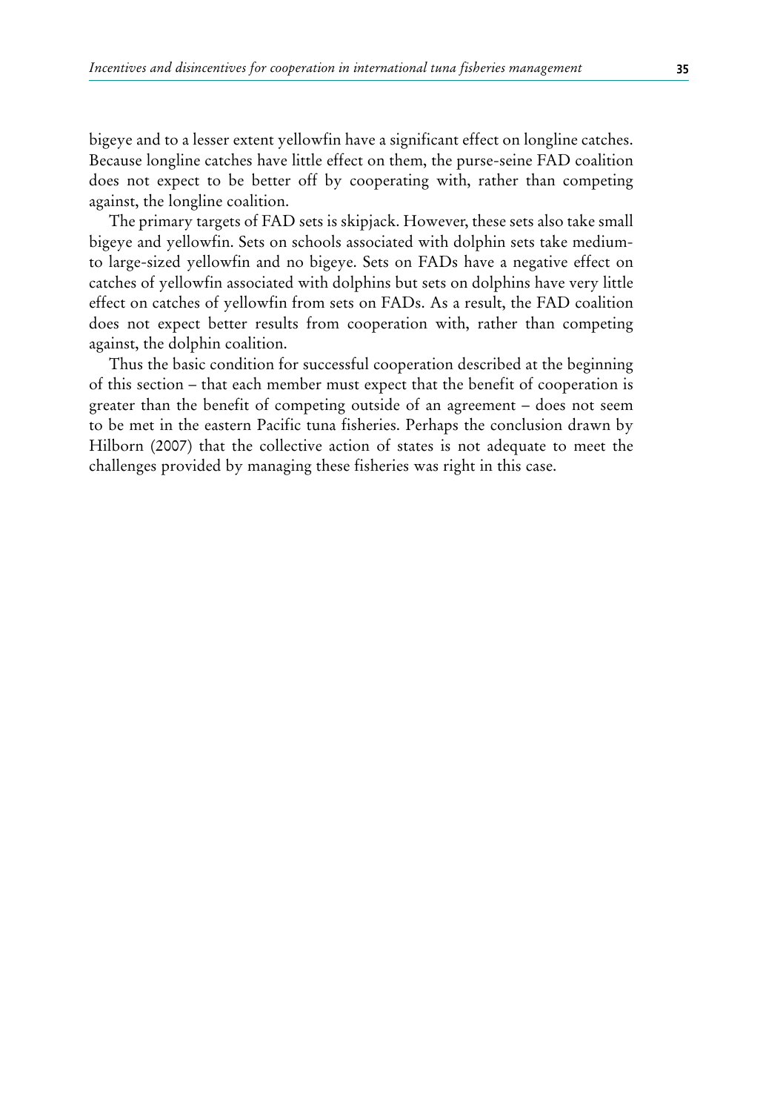bigeye and to a lesser extent yellowfin have a significant effect on longline catches. Because longline catches have little effect on them, the purse-seine FAD coalition does not expect to be better off by cooperating with, rather than competing against, the longline coalition.

The primary targets of FAD sets is skipjack. However, these sets also take small bigeye and yellowfin. Sets on schools associated with dolphin sets take mediumto large-sized yellowfin and no bigeye. Sets on FADs have a negative effect on catches of yellowfin associated with dolphins but sets on dolphins have very little effect on catches of yellowfin from sets on FADs. As a result, the FAD coalition does not expect better results from cooperation with, rather than competing against, the dolphin coalition.

Thus the basic condition for successful cooperation described at the beginning of this section – that each member must expect that the benefit of cooperation is greater than the benefit of competing outside of an agreement – does not seem to be met in the eastern Pacific tuna fisheries. Perhaps the conclusion drawn by Hilborn (2007) that the collective action of states is not adequate to meet the challenges provided by managing these fisheries was right in this case.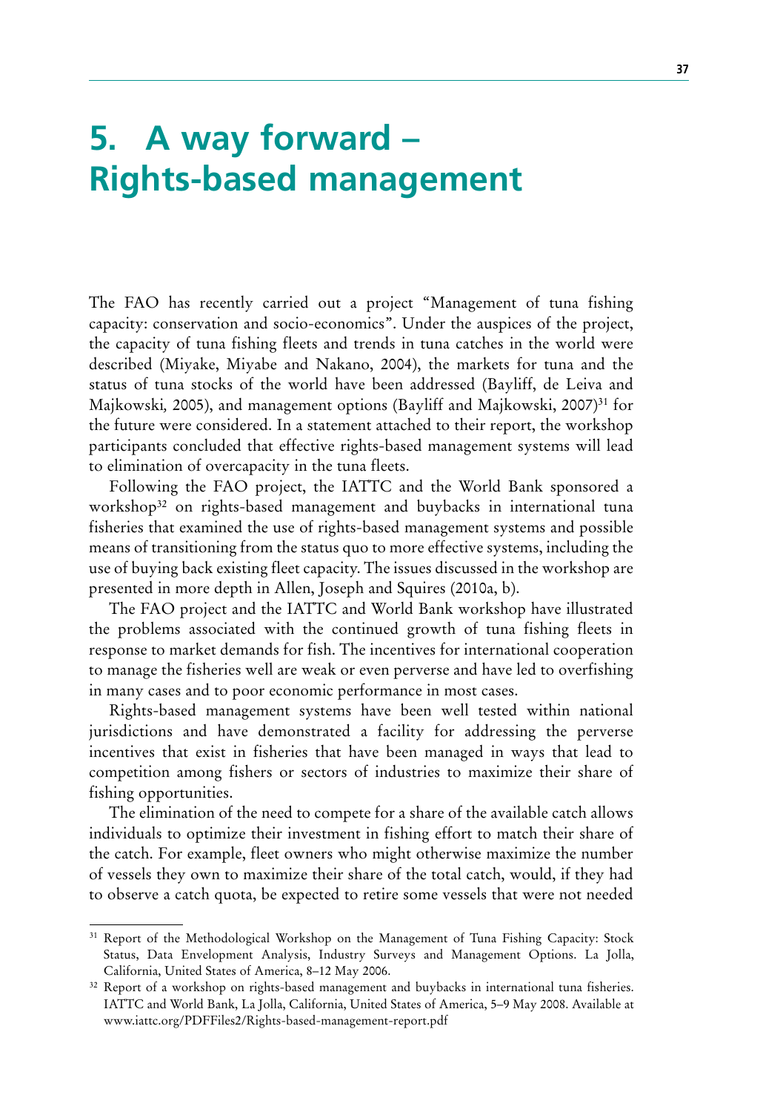# **5. A way forward – Rights-based management**

The FAO has recently carried out a project "Management of tuna fishing capacity: conservation and socio-economics". Under the auspices of the project, the capacity of tuna fishing fleets and trends in tuna catches in the world were described (Miyake, Miyabe and Nakano, 2004), the markets for tuna and the status of tuna stocks of the world have been addressed (Bayliff, de Leiva and Majkowski, 2005), and management options (Bayliff and Majkowski, 2007)<sup>31</sup> for the future were considered. In a statement attached to their report, the workshop participants concluded that effective rights-based management systems will lead to elimination of overcapacity in the tuna fleets.

Following the FAO project, the IATTC and the World Bank sponsored a workshop<sup>32</sup> on rights-based management and buybacks in international tuna fisheries that examined the use of rights-based management systems and possible means of transitioning from the status quo to more effective systems, including the use of buying back existing fleet capacity. The issues discussed in the workshop are presented in more depth in Allen, Joseph and Squires (2010a, b).

The FAO project and the IATTC and World Bank workshop have illustrated the problems associated with the continued growth of tuna fishing fleets in response to market demands for fish. The incentives for international cooperation to manage the fisheries well are weak or even perverse and have led to overfishing in many cases and to poor economic performance in most cases.

Rights-based management systems have been well tested within national jurisdictions and have demonstrated a facility for addressing the perverse incentives that exist in fisheries that have been managed in ways that lead to competition among fishers or sectors of industries to maximize their share of fishing opportunities.

The elimination of the need to compete for a share of the available catch allows individuals to optimize their investment in fishing effort to match their share of the catch. For example, fleet owners who might otherwise maximize the number of vessels they own to maximize their share of the total catch, would, if they had to observe a catch quota, be expected to retire some vessels that were not needed

<sup>&</sup>lt;sup>31</sup> Report of the Methodological Workshop on the Management of Tuna Fishing Capacity: Stock Status, Data Envelopment Analysis, Industry Surveys and Management Options. La Jolla, California, United States of America, 8–12 May 2006.

<sup>&</sup>lt;sup>32</sup> Report of a workshop on rights-based management and buybacks in international tuna fisheries. IATTC and World Bank, La Jolla, California, United States of America, 5–9 May 2008. Available at www.iattc.org/PDFFiles2/Rights-based-management-report.pdf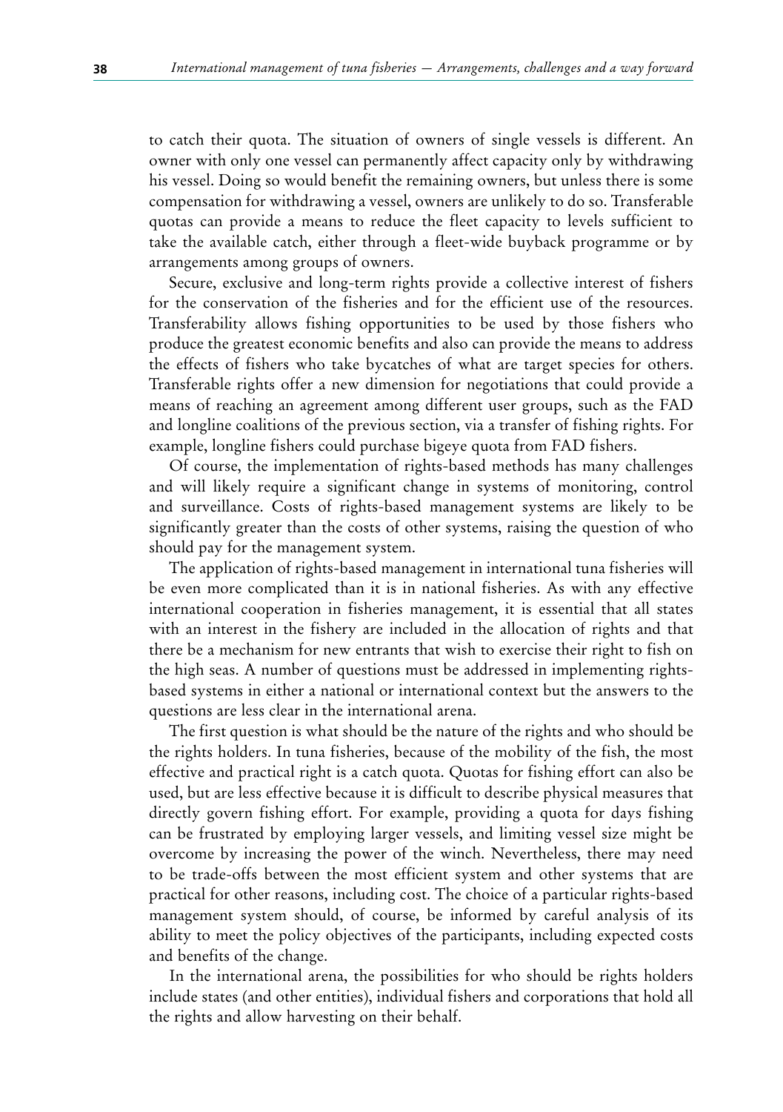to catch their quota. The situation of owners of single vessels is different. An owner with only one vessel can permanently affect capacity only by withdrawing his vessel. Doing so would benefit the remaining owners, but unless there is some compensation for withdrawing a vessel, owners are unlikely to do so. Transferable quotas can provide a means to reduce the fleet capacity to levels sufficient to take the available catch, either through a fleet-wide buyback programme or by arrangements among groups of owners.

Secure, exclusive and long-term rights provide a collective interest of fishers for the conservation of the fisheries and for the efficient use of the resources. Transferability allows fishing opportunities to be used by those fishers who produce the greatest economic benefits and also can provide the means to address the effects of fishers who take bycatches of what are target species for others. Transferable rights offer a new dimension for negotiations that could provide a means of reaching an agreement among different user groups, such as the FAD and longline coalitions of the previous section, via a transfer of fishing rights. For example, longline fishers could purchase bigeye quota from FAD fishers.

Of course, the implementation of rights-based methods has many challenges and will likely require a significant change in systems of monitoring, control and surveillance. Costs of rights-based management systems are likely to be significantly greater than the costs of other systems, raising the question of who should pay for the management system.

The application of rights-based management in international tuna fisheries will be even more complicated than it is in national fisheries. As with any effective international cooperation in fisheries management, it is essential that all states with an interest in the fishery are included in the allocation of rights and that there be a mechanism for new entrants that wish to exercise their right to fish on the high seas. A number of questions must be addressed in implementing rightsbased systems in either a national or international context but the answers to the questions are less clear in the international arena.

The first question is what should be the nature of the rights and who should be the rights holders. In tuna fisheries, because of the mobility of the fish, the most effective and practical right is a catch quota. Quotas for fishing effort can also be used, but are less effective because it is difficult to describe physical measures that directly govern fishing effort. For example, providing a quota for days fishing can be frustrated by employing larger vessels, and limiting vessel size might be overcome by increasing the power of the winch. Nevertheless, there may need to be trade-offs between the most efficient system and other systems that are practical for other reasons, including cost. The choice of a particular rights-based management system should, of course, be informed by careful analysis of its ability to meet the policy objectives of the participants, including expected costs and benefits of the change.

In the international arena, the possibilities for who should be rights holders include states (and other entities), individual fishers and corporations that hold all the rights and allow harvesting on their behalf.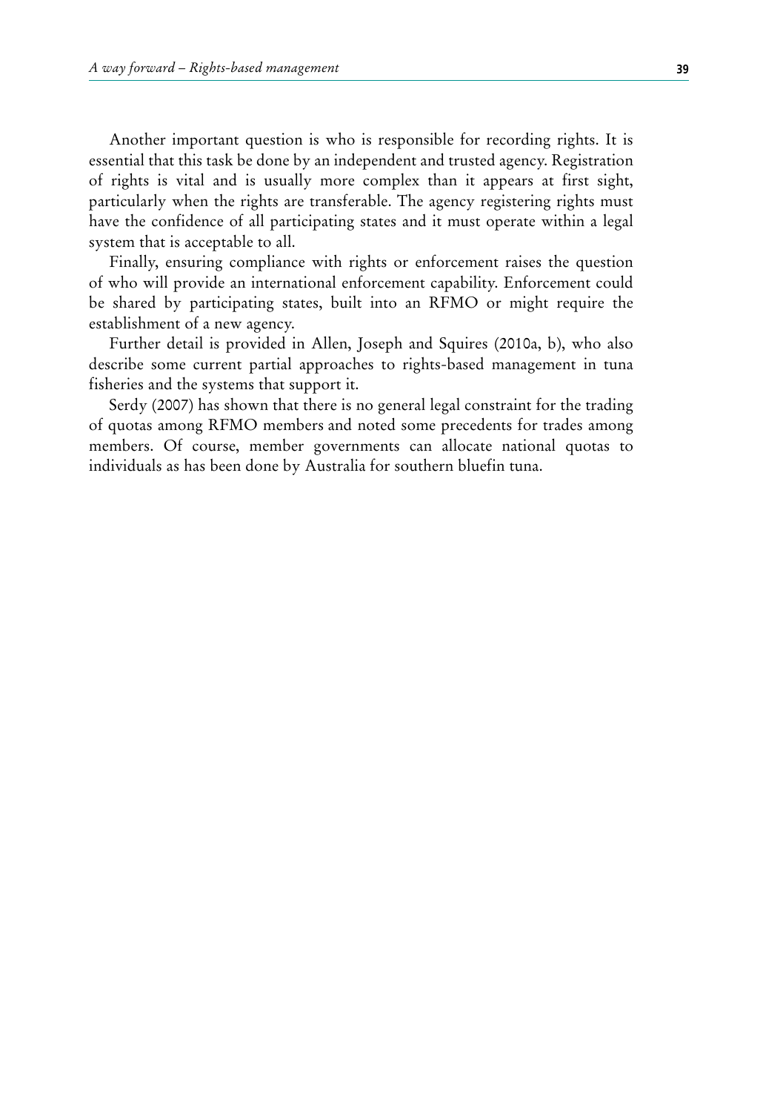Another important question is who is responsible for recording rights. It is essential that this task be done by an independent and trusted agency. Registration of rights is vital and is usually more complex than it appears at first sight, particularly when the rights are transferable. The agency registering rights must have the confidence of all participating states and it must operate within a legal system that is acceptable to all.

Finally, ensuring compliance with rights or enforcement raises the question of who will provide an international enforcement capability. Enforcement could be shared by participating states, built into an RFMO or might require the establishment of a new agency.

Further detail is provided in Allen, Joseph and Squires (2010a, b), who also describe some current partial approaches to rights-based management in tuna fisheries and the systems that support it.

Serdy (2007) has shown that there is no general legal constraint for the trading of quotas among RFMO members and noted some precedents for trades among members. Of course, member governments can allocate national quotas to individuals as has been done by Australia for southern bluefin tuna.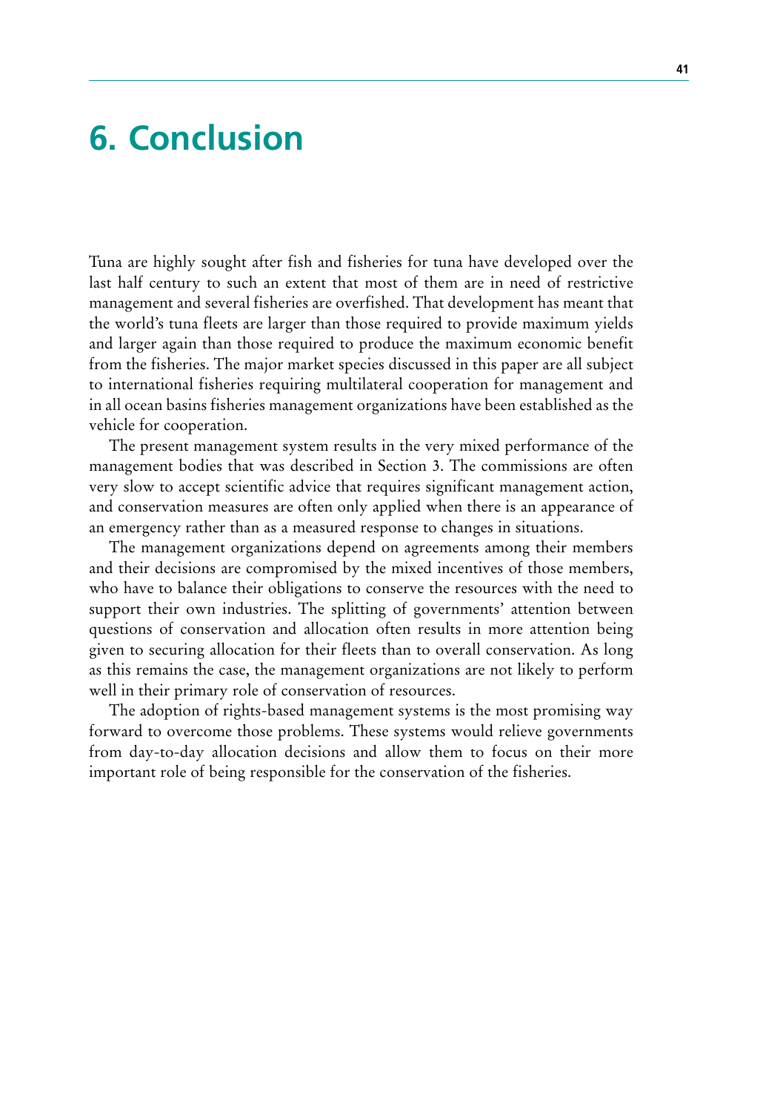# **6. Conclusion**

Tuna are highly sought after fish and fisheries for tuna have developed over the last half century to such an extent that most of them are in need of restrictive management and several fisheries are overfished. That development has meant that the world's tuna fleets are larger than those required to provide maximum yields and larger again than those required to produce the maximum economic benefit from the fisheries. The major market species discussed in this paper are all subject to international fisheries requiring multilateral cooperation for management and in all ocean basins fisheries management organizations have been established as the vehicle for cooperation.

The present management system results in the very mixed performance of the management bodies that was described in Section 3. The commissions are often very slow to accept scientific advice that requires significant management action, and conservation measures are often only applied when there is an appearance of an emergency rather than as a measured response to changes in situations.

The management organizations depend on agreements among their members and their decisions are compromised by the mixed incentives of those members, who have to balance their obligations to conserve the resources with the need to support their own industries. The splitting of governments' attention between questions of conservation and allocation often results in more attention being given to securing allocation for their fleets than to overall conservation. As long as this remains the case, the management organizations are not likely to perform well in their primary role of conservation of resources.

The adoption of rights-based management systems is the most promising way forward to overcome those problems. These systems would relieve governments from day-to-day allocation decisions and allow them to focus on their more important role of being responsible for the conservation of the fisheries.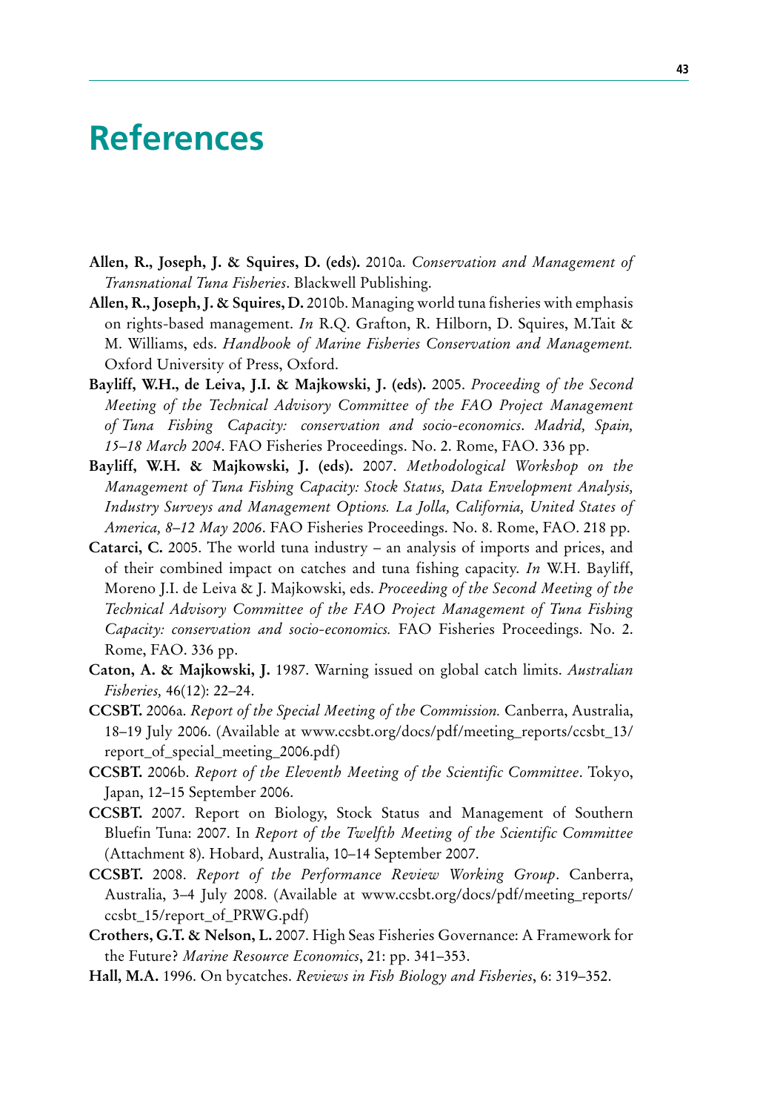## **References**

- **Allen, R., Joseph, J. & Squires, D. (eds).** 2010a. *Conservation and Management of Transnational Tuna Fisheries*. Blackwell Publishing.
- **Allen, R., Joseph, J. & Squires, D.** 2010b. Managing world tuna fisheries with emphasis on rights-based management. *In* R.Q. Grafton, R. Hilborn, D. Squires, M.Tait & M. Williams, eds. *Handbook of Marine Fisheries Conservation and Management.* Oxford University of Press, Oxford.
- **Bayliff, W.H., de Leiva, J.I. & Majkowski, J. (eds).** 2005. *Proceeding of the Second Meeting of the Technical Advisory Committee of the FAO Project Management of Tuna Fishing Capacity: conservation and socio-economics*. *Madrid, Spain, 15–18 March 2004*. FAO Fisheries Proceedings. No. 2. Rome, FAO. 336 pp.
- **Bayliff, W.H. & Majkowski, J. (eds).** 2007. *Methodological Workshop on the Management of Tuna Fishing Capacity: Stock Status, Data Envelopment Analysis, Industry Surveys and Management Options. La Jolla, California, United States of America, 8–12 May 2006*. FAO Fisheries Proceedings. No. 8. Rome, FAO. 218 pp.
- **Catarci, C.** 2005. The world tuna industry an analysis of imports and prices, and of their combined impact on catches and tuna fishing capacity. *In* W.H. Bayliff, Moreno J.I. de Leiva & J. Majkowski, eds. *Proceeding of the Second Meeting of the Technical Advisory Committee of the FAO Project Management of Tuna Fishing Capacity: conservation and socio-economics.* FAO Fisheries Proceedings. No. 2. Rome, FAO. 336 pp.
- **Caton, A. & Majkowski, J.** 1987. Warning issued on global catch limits. *Australian Fisheries,* 46(12): 22–24.
- **CCSBT.** 2006a. *Report of the Special Meeting of the Commission.* Canberra, Australia, 18–19 July 2006. (Available at www.ccsbt.org/docs/pdf/meeting\_reports/ccsbt\_13/ report of special meeting 2006.pdf)
- **CCSBT.** 2006b. *Report of the Eleventh Meeting of the Scientific Committee*. Tokyo, Japan, 12–15 September 2006.
- **CCSBT.** 2007. Report on Biology, Stock Status and Management of Southern Bluefin Tuna: 2007. In *Report of the Twelfth Meeting of the Scientific Committee* (Attachment 8). Hobard, Australia, 10–14 September 2007.
- **CCSBT.** 2008. *Report of the Performance Review Working Group*. Canberra, Australia, 3–4 July 2008. (Available at www.ccsbt.org/docs/pdf/meeting\_reports/ ccsbt\_15/report\_of\_PRWG.pdf)
- **Crothers, G.T. & Nelson, L.** 2007. High Seas Fisheries Governance: A Framework for the Future? *Marine Resource Economics*, 21: pp. 341–353.
- **Hall, M.A.** 1996. On bycatches. *Reviews in Fish Biology and Fisheries*, 6: 319–352.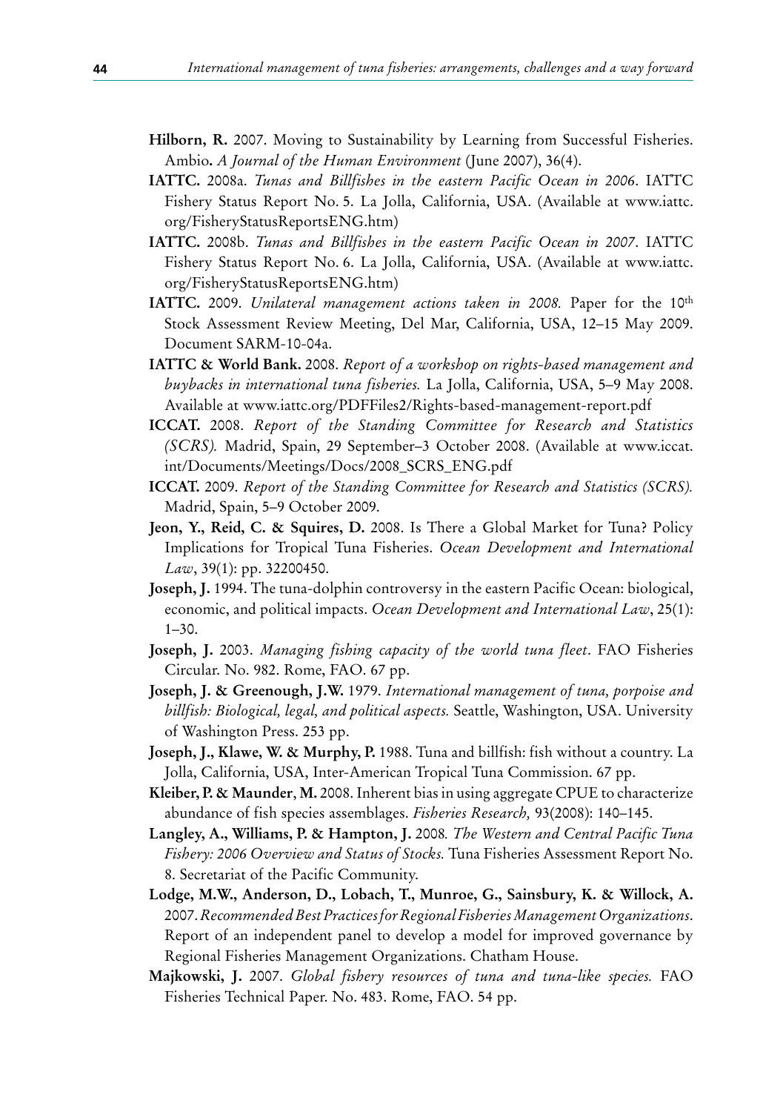- **Hilborn, R.** 2007. Moving to Sustainability by Learning from Successful Fisheries. Ambio**.** *A Journal of the Human Environment* (June 2007), 36(4).
- **IATTC.** 2008a. *Tunas and Billfishes in the eastern Pacific Ocean in 2006*. IATTC Fishery Status Report No. 5. La Jolla, California, USA. (Available at www.iattc. org/FisheryStatusReportsENG.htm)
- **IATTC.** 2008b. *Tunas and Billfishes in the eastern Pacific Ocean in 2007*. IATTC Fishery Status Report No. 6. La Jolla, California, USA. (Available at www.iattc. org/FisheryStatusReportsENG.htm)
- **IATTC.** 2009. *Unilateral management actions taken in 2008*. Paper for the 10<sup>th</sup> Stock Assessment Review Meeting, Del Mar, California, USA, 12–15 May 2009. Document SARM-10-04a.
- **IATTC & World Bank.** 2008. *Report of a workshop on rights-based management and buybacks in international tuna fisheries.* La Jolla, California, USA, 5–9 May 2008. Available at www.iattc.org/PDFFiles2/Rights-based-management-report.pdf
- **ICCAT.** 2008. *Report of the Standing Committee for Research and Statistics (SCRS).* Madrid, Spain, 29 September–3 October 2008. (Available at www.iccat. int/Documents/Meetings/Docs/2008\_SCRS\_ENG.pdf
- **ICCAT.** 2009. *Report of the Standing Committee for Research and Statistics (SCRS).* Madrid, Spain, 5–9 October 2009.
- **Jeon, Y., Reid, C. & Squires, D.** 2008. Is There a Global Market for Tuna? Policy Implications for Tropical Tuna Fisheries. *Ocean Development and International Law*, 39(1): pp. 32200450.
- **Joseph, J.** 1994. The tuna-dolphin controversy in the eastern Pacific Ocean: biological, economic, and political impacts. *Ocean Development and International Law*, 25(1): 1–30.
- **Joseph, J.** 2003. *Managing fishing capacity of the world tuna fleet*. FAO Fisheries Circular. No. 982. Rome, FAO. 67 pp.
- **Joseph, J. & Greenough, J.W.** 1979. *International management of tuna, porpoise and billfish: Biological, legal, and political aspects.* Seattle, Washington, USA. University of Washington Press. 253 pp.
- **Joseph, J., Klawe, W. & Murphy, P.** 1988. Tuna and billfish: fish without a country. La Jolla, California, USA, Inter-American Tropical Tuna Commission. 67 pp.
- **Kleiber, P. & Maunder**, **M.** 2008. Inherent bias in using aggregate CPUE to characterize abundance of fish species assemblages. *Fisheries Research,* 93(2008): 140–145.
- **Langley, A., Williams, P. & Hampton, J.** 2008*. The Western and Central Pacific Tuna Fishery: 2006 Overview and Status of Stocks.* Tuna Fisheries Assessment Report No. 8. Secretariat of the Pacific Community.
- **Lodge, M.W., Anderson, D., Lobach, T., Munroe, G., Sainsbury, K. & Willock, A.**  2007. *Recommended Best Practices for Regional Fisheries Management Organizations*. Report of an independent panel to develop a model for improved governance by Regional Fisheries Management Organizations. Chatham House.
- **Majkowski, J.** 2007. *Global fishery resources of tuna and tuna-like species.* FAO Fisheries Technical Paper. No. 483. Rome, FAO. 54 pp.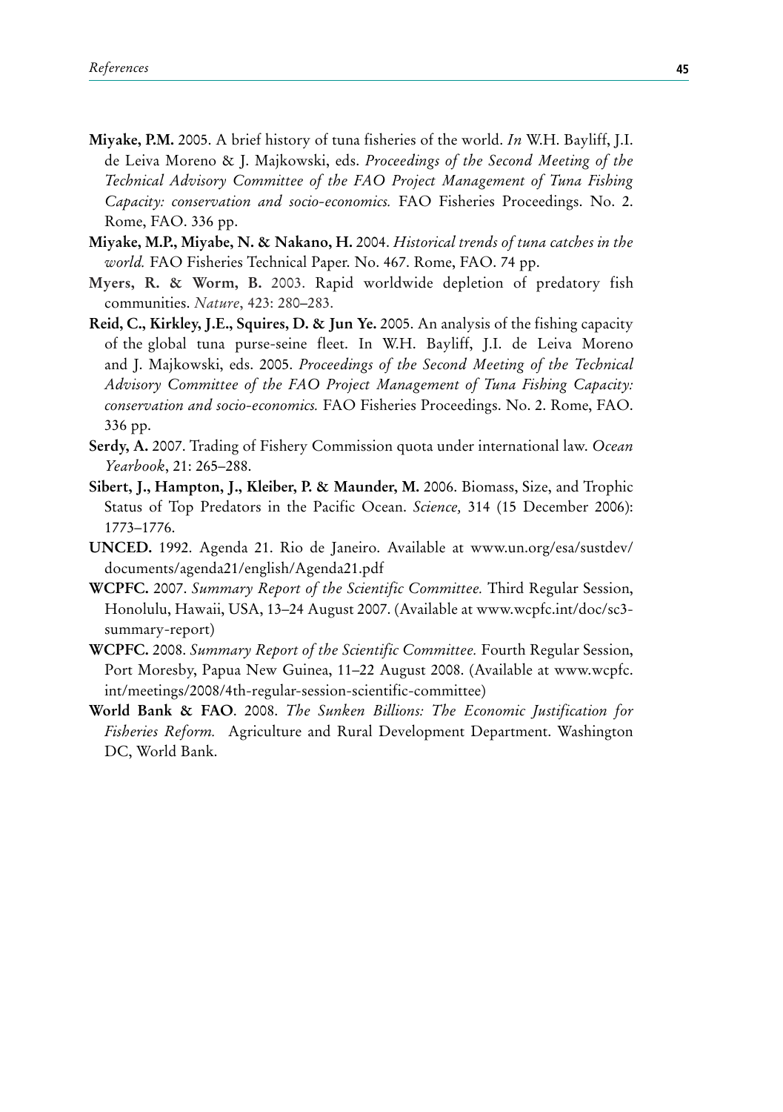- **Miyake, P.M.** 2005. A brief history of tuna fisheries of the world. *In* W.H. Bayliff, J.I. de Leiva Moreno & J. Majkowski, eds. *Proceedings of the Second Meeting of the Technical Advisory Committee of the FAO Project Management of Tuna Fishing Capacity: conservation and socio-economics.* FAO Fisheries Proceedings. No. 2. Rome, FAO. 336 pp.
- **Miyake, M.P., Miyabe, N. & Nakano, H.** 2004. *Historical trends of tuna catches in the world.* FAO Fisheries Technical Paper. No. 467. Rome, FAO. 74 pp.
- **Myers, R. & Worm, B.** 2003. Rapid worldwide depletion of predatory fish communities. *Nature*, 423: 280–283.
- **Reid, C., Kirkley, J.E., Squires, D. & Jun Ye.** 2005. An analysis of the fishing capacity of the global tuna purse-seine fleet. In W.H. Bayliff, J.I. de Leiva Moreno and J. Majkowski, eds. 2005. *Proceedings of the Second Meeting of the Technical Advisory Committee of the FAO Project Management of Tuna Fishing Capacity: conservation and socio-economics.* FAO Fisheries Proceedings. No. 2. Rome, FAO. 336 pp.
- **Serdy, A.** 2007. Trading of Fishery Commission quota under international law. *Ocean Yearbook*, 21: 265–288.
- **Sibert, J., Hampton, J., Kleiber, P. & Maunder, M.** 2006. Biomass, Size, and Trophic Status of Top Predators in the Pacific Ocean. *Science,* 314 (15 December 2006): 1773–1776.
- **UNCED.** 1992. Agenda 21. Rio de Janeiro. Available at www.un.org/esa/sustdev/ documents/agenda21/english/Agenda21.pdf
- **WCPFC.** 2007. *Summary Report of the Scientific Committee.* Third Regular Session, Honolulu, Hawaii, USA, 13–24 August 2007. (Available at www.wcpfc.int/doc/sc3 summary-report)
- **WCPFC.** 2008. *Summary Report of the Scientific Committee.* Fourth Regular Session, Port Moresby, Papua New Guinea, 11–22 August 2008. (Available at www.wcpfc. int/meetings/2008/4th-regular-session-scientific-committee)
- **World Bank & FAO**. 2008. *The Sunken Billions: The Economic Justification for Fisheries Reform.* Agriculture and Rural Development Department. Washington DC, World Bank.